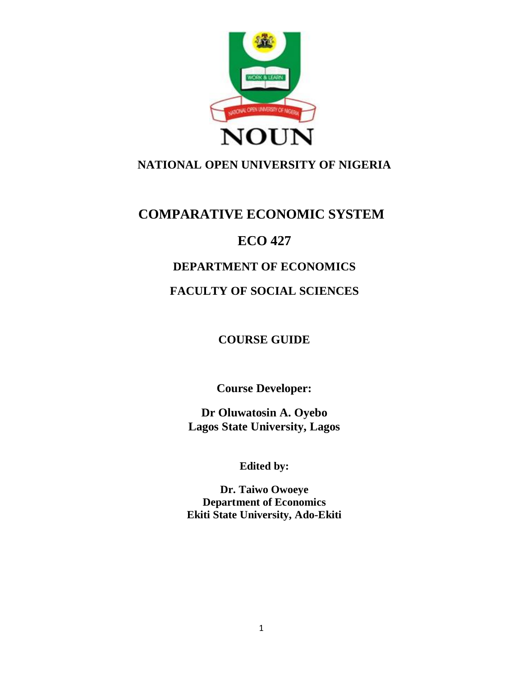

# **NATIONAL OPEN UNIVERSITY OF NIGERIA**

# **COMPARATIVE ECONOMIC SYSTEM**

# **ECO 427**

# **DEPARTMENT OF ECONOMICS**

# **FACULTY OF SOCIAL SCIENCES**

**COURSE GUIDE**

**Course Developer:**

**Dr Oluwatosin A. Oyebo Lagos State University, Lagos**

**Edited by:**

**Dr. Taiwo Owoeye Department of Economics Ekiti State University, Ado-Ekiti**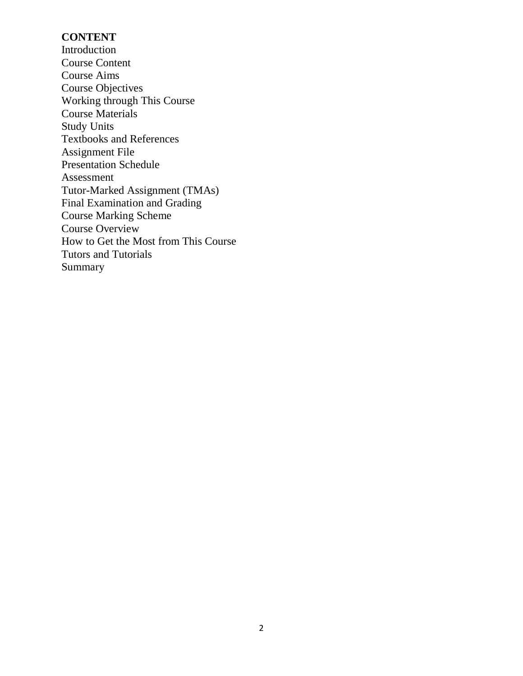### **CONTENT**

Introduction Course Content Course Aims Course Objectives Working through This Course Course Materials Study Units Textbooks and References Assignment File Presentation Schedule Assessment Tutor-Marked Assignment (TMAs) Final Examination and Grading Course Marking Scheme Course Overview How to Get the Most from This Course Tutors and Tutorials Summary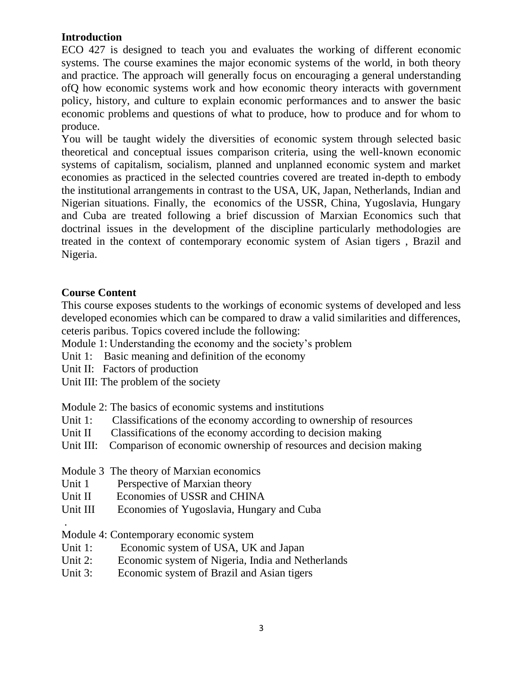### **Introduction**

ECO 427 is designed to teach you and evaluates the working of different economic systems. The course examines the major economic systems of the world, in both theory and practice. The approach will generally focus on encouraging a general understanding ofQ how economic systems work and how economic theory interacts with government policy, history, and culture to explain economic performances and to answer the basic economic problems and questions of what to produce, how to produce and for whom to produce.

You will be taught widely the diversities of economic system through selected basic theoretical and conceptual issues comparison criteria, using the well-known economic systems of capitalism, socialism, planned and unplanned economic system and market economies as practiced in the selected countries covered are treated in-depth to embody the institutional arrangements in contrast to the USA, UK, Japan, Netherlands, Indian and Nigerian situations. Finally, the economics of the USSR, China, Yugoslavia, Hungary and Cuba are treated following a brief discussion of Marxian Economics such that doctrinal issues in the development of the discipline particularly methodologies are treated in the context of contemporary economic system of Asian tigers , Brazil and Nigeria.

### **Course Content**

.

This course exposes students to the workings of economic systems of developed and less developed economies which can be compared to draw a valid similarities and differences, ceteris paribus. Topics covered include the following:

Module 1: Understanding the economy and the society's problem

- Unit 1: Basic meaning and definition of the economy
- Unit II: Factors of production

Unit III: The problem of the society

- Module 2: The basics of economic systems and institutions
- Unit 1: Classifications of the economy according to ownership of resources
- Unit II Classifications of the economy according to decision making
- Unit III: Comparison of economic ownership of resources and decision making
- Module 3 The theory of Marxian economics
- Unit 1 Perspective of Marxian theory
- Unit II Economies of USSR and CHINA
- Unit III Economies of Yugoslavia, Hungary and Cuba

Module 4: Contemporary economic system

- Unit 1: Economic system of USA, UK and Japan
- Unit 2: Economic system of Nigeria, India and Netherlands
- Unit 3: Economic system of Brazil and Asian tigers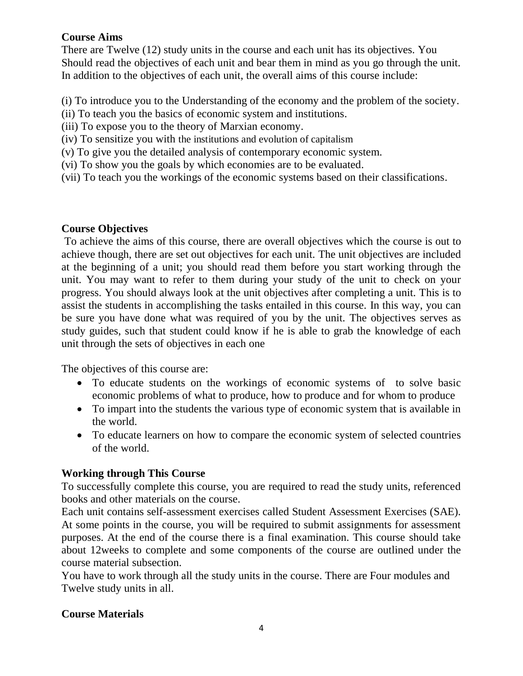### **Course Aims**

There are Twelve (12) study units in the course and each unit has its objectives. You Should read the objectives of each unit and bear them in mind as you go through the unit. In addition to the objectives of each unit, the overall aims of this course include:

(i) To introduce you to the Understanding of the economy and the problem of the society.

(ii) To teach you the basics of economic system and institutions.

(iii) To expose you to the theory of Marxian economy.

(iv) To sensitize you with the institutions and evolution of capitalism

(v) To give you the detailed analysis of contemporary economic system.

(vi) To show you the goals by which economies are to be evaluated.

(vii) To teach you the workings of the economic systems based on their classifications.

### **Course Objectives**

To achieve the aims of this course, there are overall objectives which the course is out to achieve though, there are set out objectives for each unit. The unit objectives are included at the beginning of a unit; you should read them before you start working through the unit. You may want to refer to them during your study of the unit to check on your progress. You should always look at the unit objectives after completing a unit. This is to assist the students in accomplishing the tasks entailed in this course. In this way, you can be sure you have done what was required of you by the unit. The objectives serves as study guides, such that student could know if he is able to grab the knowledge of each unit through the sets of objectives in each one

The objectives of this course are:

- To educate students on the workings of economic systems of to solve basic economic problems of what to produce, how to produce and for whom to produce
- To impart into the students the various type of economic system that is available in the world.
- To educate learners on how to compare the economic system of selected countries of the world.

## **Working through This Course**

To successfully complete this course, you are required to read the study units, referenced books and other materials on the course.

Each unit contains self-assessment exercises called Student Assessment Exercises (SAE). At some points in the course, you will be required to submit assignments for assessment purposes. At the end of the course there is a final examination. This course should take about 12weeks to complete and some components of the course are outlined under the course material subsection.

You have to work through all the study units in the course. There are Four modules and Twelve study units in all.

## **Course Materials**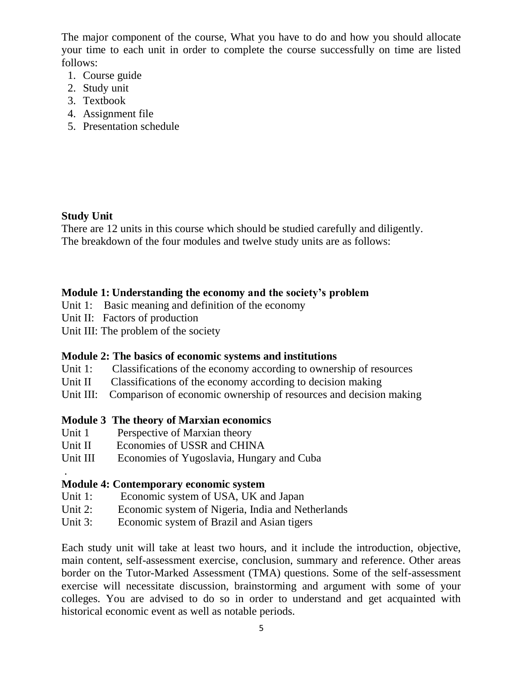The major component of the course, What you have to do and how you should allocate your time to each unit in order to complete the course successfully on time are listed follows:

- 1. Course guide
- 2. Study unit
- 3. Textbook
- 4. Assignment file
- 5. Presentation schedule

#### **Study Unit**

.

There are 12 units in this course which should be studied carefully and diligently. The breakdown of the four modules and twelve study units are as follows:

#### **Module 1: Understanding the economy and the society's problem**

- Unit 1: Basic meaning and definition of the economy
- Unit II: Factors of production
- Unit III: The problem of the society

### **Module 2: The basics of economic systems and institutions**

- Unit 1: Classifications of the economy according to ownership of resources
- Unit II Classifications of the economy according to decision making
- Unit III: Comparison of economic ownership of resources and decision making

### **Module 3 The theory of Marxian economics**

- Unit 1 Perspective of Marxian theory
- Unit II Economies of USSR and CHINA
- Unit III Economies of Yugoslavia, Hungary and Cuba

### **Module 4: Contemporary economic system**

- Unit 1: Economic system of USA, UK and Japan
- Unit 2: Economic system of Nigeria, India and Netherlands
- Unit 3: Economic system of Brazil and Asian tigers

Each study unit will take at least two hours, and it include the introduction, objective, main content, self-assessment exercise, conclusion, summary and reference. Other areas border on the Tutor-Marked Assessment (TMA) questions. Some of the self-assessment exercise will necessitate discussion, brainstorming and argument with some of your colleges. You are advised to do so in order to understand and get acquainted with historical economic event as well as notable periods.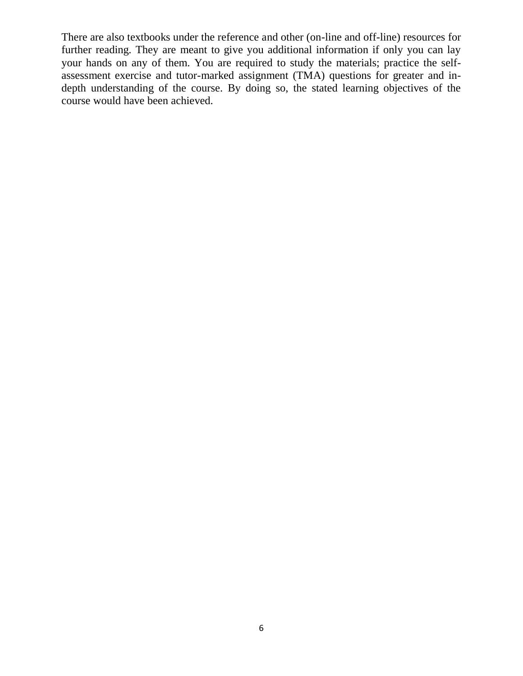There are also textbooks under the reference and other (on-line and off-line) resources for further reading. They are meant to give you additional information if only you can lay your hands on any of them. You are required to study the materials; practice the selfassessment exercise and tutor-marked assignment (TMA) questions for greater and indepth understanding of the course. By doing so, the stated learning objectives of the course would have been achieved.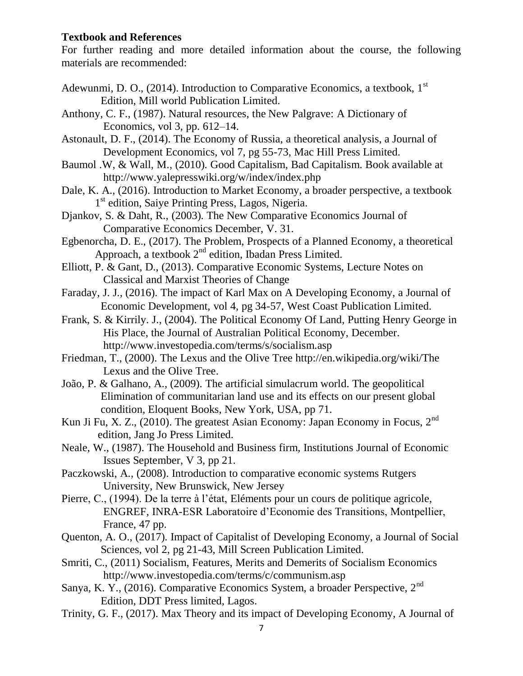#### **Textbook and References**

For further reading and more detailed information about the course, the following materials are recommended:

- Adewunmi, D. O., (2014). Introduction to Comparative Economics, a textbook,  $1<sup>st</sup>$ Edition, Mill world Publication Limited.
- Anthony, C. F., (1987). Natural resources, the New Palgrave: A Dictionary of Economics, vol 3, pp. 612–14.
- Astonault, D. F., (2014). The Economy of Russia, a theoretical analysis, a Journal of Development Economics, vol 7, pg 55-73, Mac Hill Press Limited.
- Baumol .W, & Wall, M., (2010). Good Capitalism, Bad Capitalism. Book available at http://www.yalepresswiki.org/w/index/index.php
- Dale, K. A., (2016). Introduction to Market Economy, a broader perspective, a textbook 1<sup>st</sup> edition, Saiye Printing Press, Lagos, Nigeria.
- Djankov, S. & Daht, R., (2003). The New Comparative Economics Journal of Comparative Economics December, V. 31.
- Egbenorcha, D. E., (2017). The Problem, Prospects of a Planned Economy, a theoretical Approach, a textbook  $2<sup>nd</sup>$  edition, Ibadan Press Limited.
- Elliott, P. & Gant, D., (2013). Comparative Economic Systems, Lecture Notes on Classical and Marxist Theories of Change
- Faraday, J. J., (2016). The impact of Karl Max on A Developing Economy, a Journal of Economic Development, vol 4, pg 34-57, West Coast Publication Limited.
- Frank, S. & Kirrily. J., (2004). The Political Economy Of Land, Putting Henry George in His Place, the Journal of Australian Political Economy, December. http://www.investopedia.com/terms/s/socialism.asp
- Friedman, T., (2000). The Lexus and the Olive Tree http://en.wikipedia.org/wiki/The Lexus and the Olive Tree.
- João, P. & Galhano, A., (2009). The artificial simulacrum world. The geopolitical Elimination of communitarian land use and its effects on our present global condition, Eloquent Books, New York, USA, pp 71.
- Kun Ji Fu, X. Z., (2010). The greatest Asian Economy: Japan Economy in Focus,  $2<sup>nd</sup>$ edition, Jang Jo Press Limited.
- Neale, W., (1987). The Household and Business firm, Institutions Journal of Economic Issues September, V 3, pp 21.
- Paczkowski, A., (2008). Introduction to comparative economic systems Rutgers University, New Brunswick, New Jersey
- Pierre, C., (1994). De la terre à l'état, Eléments pour un cours de politique agricole, ENGREF, INRA-ESR Laboratoire d'Economie des Transitions, Montpellier, France, 47 pp.
- Quenton, A. O., (2017). Impact of Capitalist of Developing Economy, a Journal of Social Sciences, vol 2, pg 21-43, Mill Screen Publication Limited.
- Smriti, C., (2011) Socialism, Features, Merits and Demerits of Socialism Economics http://www.investopedia.com/terms/c/communism.asp
- Sanya, K. Y., (2016). Comparative Economics System, a broader Perspective, 2nd Edition, DDT Press limited, Lagos.
- Trinity, G. F., (2017). Max Theory and its impact of Developing Economy, A Journal of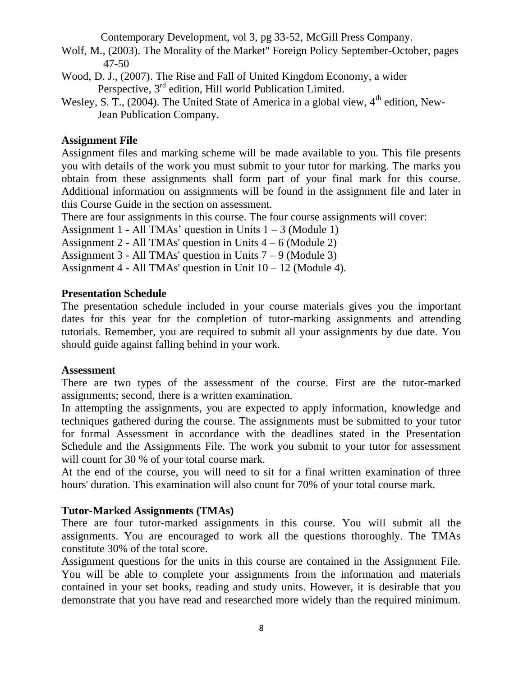Contemporary Development, vol 3, pg 33-52, McGill Press Company.

- Wolf, M., (2003). The Morality of the Market" Foreign Policy September-October, pages 47-50
- Wood, D. J., (2007). The Rise and Fall of United Kingdom Economy, a wider Perspective, 3<sup>rd</sup> edition, Hill world Publication Limited.
- Wesley, S. T.,  $(2004)$ . The United State of America in a global view,  $4<sup>th</sup>$  edition, New-Jean Publication Company.

### **Assignment File**

Assignment files and marking scheme will be made available to you. This file presents you with details of the work you must submit to your tutor for marking. The marks you obtain from these assignments shall form part of your final mark for this course. Additional information on assignments will be found in the assignment file and later in this Course Guide in the section on assessment.

There are four assignments in this course. The four course assignments will cover:

Assignment 1 - All TMAs' question in Units  $1 - 3$  (Module 1)

Assignment 2 - All TMAs' question in Units  $4 - 6$  (Module 2)

Assignment  $3 - All TMAs' question in Units  $7 - 9$  (Module 3)$ 

Assignment 4 - All TMAs' question in Unit  $10 - 12$  (Module 4).

### **Presentation Schedule**

The presentation schedule included in your course materials gives you the important dates for this year for the completion of tutor-marking assignments and attending tutorials. Remember, you are required to submit all your assignments by due date. You should guide against falling behind in your work.

### **Assessment**

There are two types of the assessment of the course. First are the tutor-marked assignments; second, there is a written examination.

In attempting the assignments, you are expected to apply information, knowledge and techniques gathered during the course. The assignments must be submitted to your tutor for formal Assessment in accordance with the deadlines stated in the Presentation Schedule and the Assignments File. The work you submit to your tutor for assessment will count for 30 % of your total course mark.

At the end of the course, you will need to sit for a final written examination of three hours' duration. This examination will also count for 70% of your total course mark.

## **Tutor-Marked Assignments (TMAs)**

There are four tutor-marked assignments in this course. You will submit all the assignments. You are encouraged to work all the questions thoroughly. The TMAs constitute 30% of the total score.

Assignment questions for the units in this course are contained in the Assignment File. You will be able to complete your assignments from the information and materials contained in your set books, reading and study units. However, it is desirable that you demonstrate that you have read and researched more widely than the required minimum.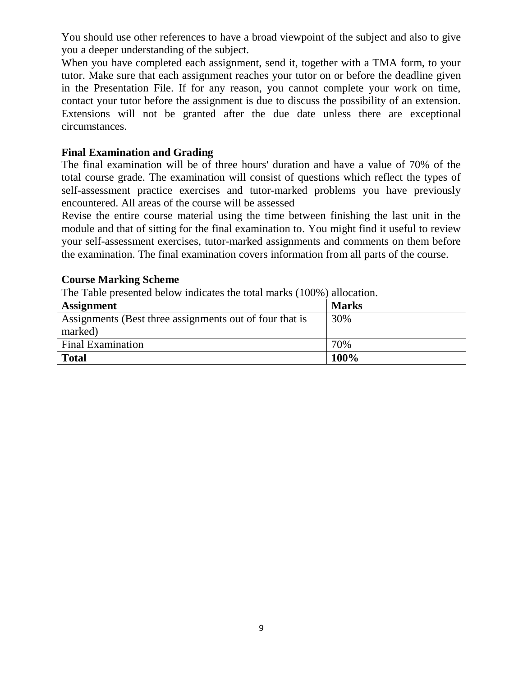You should use other references to have a broad viewpoint of the subject and also to give you a deeper understanding of the subject.

When you have completed each assignment, send it, together with a TMA form, to your tutor. Make sure that each assignment reaches your tutor on or before the deadline given in the Presentation File. If for any reason, you cannot complete your work on time, contact your tutor before the assignment is due to discuss the possibility of an extension. Extensions will not be granted after the due date unless there are exceptional circumstances.

#### **Final Examination and Grading**

The final examination will be of three hours' duration and have a value of 70% of the total course grade. The examination will consist of questions which reflect the types of self-assessment practice exercises and tutor-marked problems you have previously encountered. All areas of the course will be assessed

Revise the entire course material using the time between finishing the last unit in the module and that of sitting for the final examination to. You might find it useful to review your self-assessment exercises, tutor-marked assignments and comments on them before the examination. The final examination covers information from all parts of the course.

#### **Course Marking Scheme**

The Table presented below indicates the total marks (100%) allocation.

| <b>Assignment</b>                                       | <b>Marks</b> |
|---------------------------------------------------------|--------------|
| Assignments (Best three assignments out of four that is | 30%          |
| marked)                                                 |              |
| <b>Final Examination</b>                                | 70%          |
| <b>Total</b>                                            | 100%         |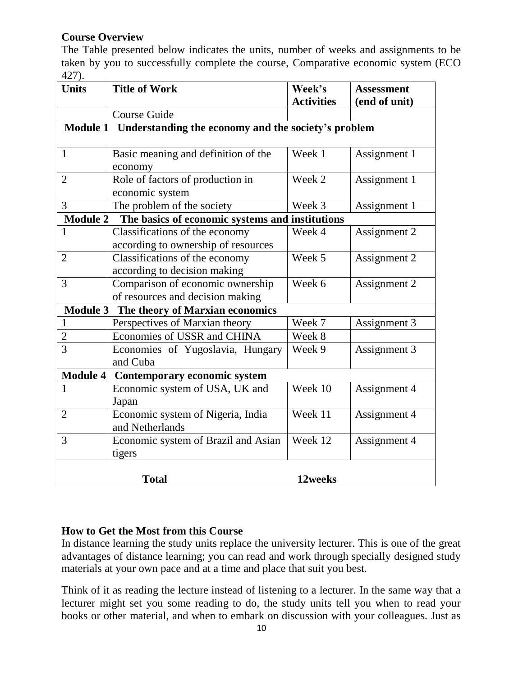### **Course Overview**

The Table presented below indicates the units, number of weeks and assignments to be taken by you to successfully complete the course, Comparative economic system (ECO 427).

| <b>Units</b>                                                       | <b>Title of Work</b>                                         | Week's            | <b>Assessment</b> |  |  |
|--------------------------------------------------------------------|--------------------------------------------------------------|-------------------|-------------------|--|--|
|                                                                    |                                                              | <b>Activities</b> | (end of unit)     |  |  |
|                                                                    | Course Guide                                                 |                   |                   |  |  |
|                                                                    | Module 1 Understanding the economy and the society's problem |                   |                   |  |  |
|                                                                    |                                                              |                   |                   |  |  |
| $\mathbf{1}$                                                       | Basic meaning and definition of the                          | Week 1            | Assignment 1      |  |  |
|                                                                    | economy                                                      |                   |                   |  |  |
| $\overline{2}$                                                     | Role of factors of production in                             | Week 2            | Assignment 1      |  |  |
|                                                                    | economic system                                              |                   |                   |  |  |
| 3                                                                  | The problem of the society                                   | Week 3            | Assignment 1      |  |  |
| The basics of economic systems and institutions<br><b>Module 2</b> |                                                              |                   |                   |  |  |
| 1                                                                  | Classifications of the economy                               | Week 4            | Assignment 2      |  |  |
|                                                                    | according to ownership of resources                          |                   |                   |  |  |
| $\overline{2}$                                                     | Classifications of the economy                               | Week 5            | Assignment 2      |  |  |
|                                                                    | according to decision making                                 |                   |                   |  |  |
| 3                                                                  | Comparison of economic ownership                             | Week 6            | Assignment 2      |  |  |
|                                                                    | of resources and decision making                             |                   |                   |  |  |
| <b>Module 3</b><br>The theory of Marxian economics                 |                                                              |                   |                   |  |  |
| 1                                                                  | Perspectives of Marxian theory                               | Week 7            | Assignment 3      |  |  |
| $\overline{2}$                                                     | Economies of USSR and CHINA                                  | Week 8            |                   |  |  |
| $\overline{3}$                                                     | Economies of Yugoslavia, Hungary                             | Week 9            | Assignment 3      |  |  |
|                                                                    | and Cuba                                                     |                   |                   |  |  |
| <b>Module 4</b><br>Contemporary economic system                    |                                                              |                   |                   |  |  |
| 1                                                                  | Economic system of USA, UK and                               | Week 10           | Assignment 4      |  |  |
|                                                                    | Japan                                                        |                   |                   |  |  |
| $\overline{2}$                                                     | Economic system of Nigeria, India                            | Week 11           | Assignment 4      |  |  |
|                                                                    | and Netherlands                                              |                   |                   |  |  |
| 3                                                                  | Economic system of Brazil and Asian                          | Week 12           | Assignment 4      |  |  |
|                                                                    | tigers                                                       |                   |                   |  |  |
|                                                                    |                                                              |                   |                   |  |  |
|                                                                    | <b>Total</b>                                                 | 12weeks           |                   |  |  |

## **How to Get the Most from this Course**

In distance learning the study units replace the university lecturer. This is one of the great advantages of distance learning; you can read and work through specially designed study materials at your own pace and at a time and place that suit you best.

Think of it as reading the lecture instead of listening to a lecturer. In the same way that a lecturer might set you some reading to do, the study units tell you when to read your books or other material, and when to embark on discussion with your colleagues. Just as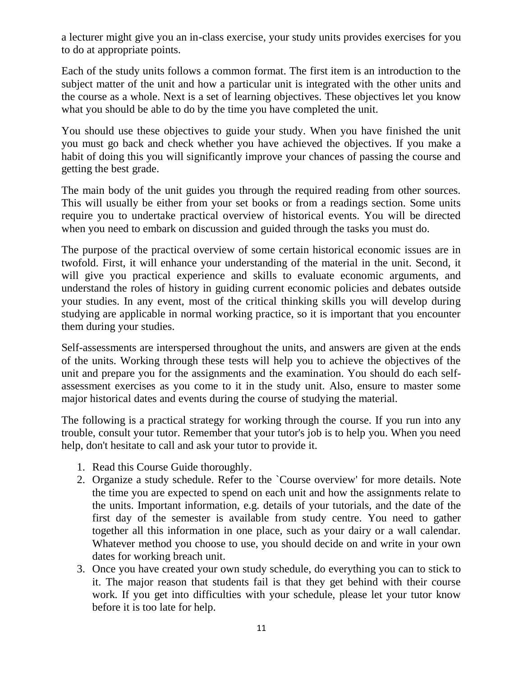a lecturer might give you an in-class exercise, your study units provides exercises for you to do at appropriate points.

Each of the study units follows a common format. The first item is an introduction to the subject matter of the unit and how a particular unit is integrated with the other units and the course as a whole. Next is a set of learning objectives. These objectives let you know what you should be able to do by the time you have completed the unit.

You should use these objectives to guide your study. When you have finished the unit you must go back and check whether you have achieved the objectives. If you make a habit of doing this you will significantly improve your chances of passing the course and getting the best grade.

The main body of the unit guides you through the required reading from other sources. This will usually be either from your set books or from a readings section. Some units require you to undertake practical overview of historical events. You will be directed when you need to embark on discussion and guided through the tasks you must do.

The purpose of the practical overview of some certain historical economic issues are in twofold. First, it will enhance your understanding of the material in the unit. Second, it will give you practical experience and skills to evaluate economic arguments, and understand the roles of history in guiding current economic policies and debates outside your studies. In any event, most of the critical thinking skills you will develop during studying are applicable in normal working practice, so it is important that you encounter them during your studies.

Self-assessments are interspersed throughout the units, and answers are given at the ends of the units. Working through these tests will help you to achieve the objectives of the unit and prepare you for the assignments and the examination. You should do each selfassessment exercises as you come to it in the study unit. Also, ensure to master some major historical dates and events during the course of studying the material.

The following is a practical strategy for working through the course. If you run into any trouble, consult your tutor. Remember that your tutor's job is to help you. When you need help, don't hesitate to call and ask your tutor to provide it.

- 1. Read this Course Guide thoroughly.
- 2. Organize a study schedule. Refer to the `Course overview' for more details. Note the time you are expected to spend on each unit and how the assignments relate to the units. Important information, e.g. details of your tutorials, and the date of the first day of the semester is available from study centre. You need to gather together all this information in one place, such as your dairy or a wall calendar. Whatever method you choose to use, you should decide on and write in your own dates for working breach unit.
- 3. Once you have created your own study schedule, do everything you can to stick to it. The major reason that students fail is that they get behind with their course work. If you get into difficulties with your schedule, please let your tutor know before it is too late for help.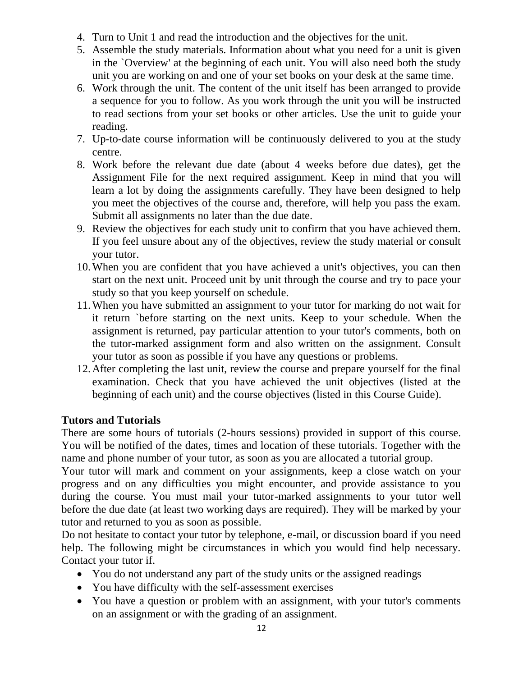- 4. Turn to Unit 1 and read the introduction and the objectives for the unit.
- 5. Assemble the study materials. Information about what you need for a unit is given in the `Overview' at the beginning of each unit. You will also need both the study unit you are working on and one of your set books on your desk at the same time.
- 6. Work through the unit. The content of the unit itself has been arranged to provide a sequence for you to follow. As you work through the unit you will be instructed to read sections from your set books or other articles. Use the unit to guide your reading.
- 7. Up-to-date course information will be continuously delivered to you at the study centre.
- 8. Work before the relevant due date (about 4 weeks before due dates), get the Assignment File for the next required assignment. Keep in mind that you will learn a lot by doing the assignments carefully. They have been designed to help you meet the objectives of the course and, therefore, will help you pass the exam. Submit all assignments no later than the due date.
- 9. Review the objectives for each study unit to confirm that you have achieved them. If you feel unsure about any of the objectives, review the study material or consult your tutor.
- 10.When you are confident that you have achieved a unit's objectives, you can then start on the next unit. Proceed unit by unit through the course and try to pace your study so that you keep yourself on schedule.
- 11.When you have submitted an assignment to your tutor for marking do not wait for it return `before starting on the next units. Keep to your schedule. When the assignment is returned, pay particular attention to your tutor's comments, both on the tutor-marked assignment form and also written on the assignment. Consult your tutor as soon as possible if you have any questions or problems.
- 12.After completing the last unit, review the course and prepare yourself for the final examination. Check that you have achieved the unit objectives (listed at the beginning of each unit) and the course objectives (listed in this Course Guide).

### **Tutors and Tutorials**

There are some hours of tutorials (2-hours sessions) provided in support of this course. You will be notified of the dates, times and location of these tutorials. Together with the name and phone number of your tutor, as soon as you are allocated a tutorial group.

Your tutor will mark and comment on your assignments, keep a close watch on your progress and on any difficulties you might encounter, and provide assistance to you during the course. You must mail your tutor-marked assignments to your tutor well before the due date (at least two working days are required). They will be marked by your tutor and returned to you as soon as possible.

Do not hesitate to contact your tutor by telephone, e-mail, or discussion board if you need help. The following might be circumstances in which you would find help necessary. Contact your tutor if.

- You do not understand any part of the study units or the assigned readings
- You have difficulty with the self-assessment exercises
- You have a question or problem with an assignment, with your tutor's comments on an assignment or with the grading of an assignment.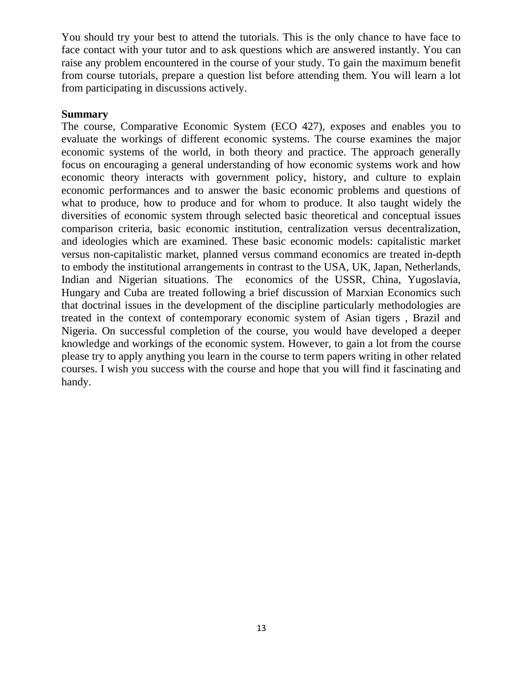You should try your best to attend the tutorials. This is the only chance to have face to face contact with your tutor and to ask questions which are answered instantly. You can raise any problem encountered in the course of your study. To gain the maximum benefit from course tutorials, prepare a question list before attending them. You will learn a lot from participating in discussions actively.

#### **Summary**

The course, Comparative Economic System (ECO 427), exposes and enables you to evaluate the workings of different economic systems. The course examines the major economic systems of the world, in both theory and practice. The approach generally focus on encouraging a general understanding of how economic systems work and how economic theory interacts with government policy, history, and culture to explain economic performances and to answer the basic economic problems and questions of what to produce, how to produce and for whom to produce. It also taught widely the diversities of economic system through selected basic theoretical and conceptual issues comparison criteria, basic economic institution, centralization versus decentralization, and ideologies which are examined. These basic economic models: capitalistic market versus non-capitalistic market, planned versus command economics are treated in-depth to embody the institutional arrangements in contrast to the USA, UK, Japan, Netherlands, Indian and Nigerian situations. The economics of the USSR, China, Yugoslavia, Hungary and Cuba are treated following a brief discussion of Marxian Economics such that doctrinal issues in the development of the discipline particularly methodologies are treated in the context of contemporary economic system of Asian tigers , Brazil and Nigeria. On successful completion of the course, you would have developed a deeper knowledge and workings of the economic system. However, to gain a lot from the course please try to apply anything you learn in the course to term papers writing in other related courses. I wish you success with the course and hope that you will find it fascinating and handy.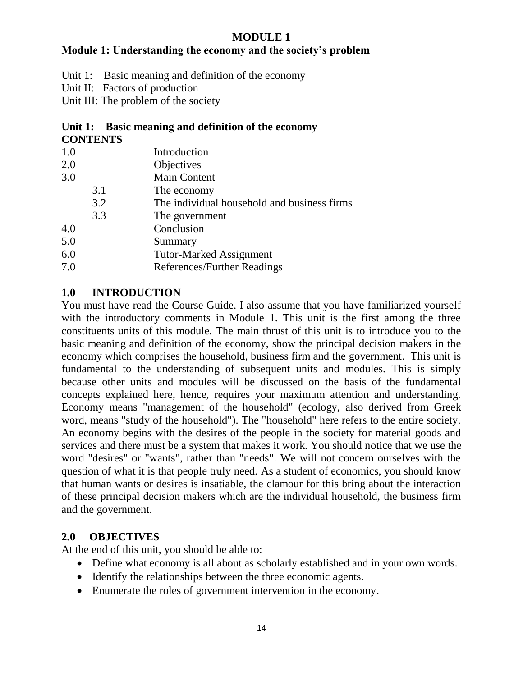## **MODULE 1**

### **Module 1: Understanding the economy and the society's problem**

- Unit 1: Basic meaning and definition of the economy
- Unit II: Factors of production

Unit III: The problem of the society

### **Unit 1: Basic meaning and definition of the economy CONTENTS**

| 1.0 |     | Introduction                                |
|-----|-----|---------------------------------------------|
| 2.0 |     | Objectives                                  |
| 3.0 |     | Main Content                                |
|     | 3.1 | The economy                                 |
|     | 3.2 | The individual household and business firms |
|     | 3.3 | The government                              |
| 4.0 |     | Conclusion                                  |
| 5.0 |     | Summary                                     |
| 6.0 |     | <b>Tutor-Marked Assignment</b>              |
| 7.0 |     | References/Further Readings                 |
|     |     |                                             |

### **1.0 INTRODUCTION**

You must have read the Course Guide. I also assume that you have familiarized yourself with the introductory comments in Module 1. This unit is the first among the three constituents units of this module. The main thrust of this unit is to introduce you to the basic meaning and definition of the economy, show the principal decision makers in the economy which comprises the household, business firm and the government. This unit is fundamental to the understanding of subsequent units and modules. This is simply because other units and modules will be discussed on the basis of the fundamental concepts explained here, hence, requires your maximum attention and understanding. Economy means "management of the household" (ecology, also derived from Greek word, means "study of the household"). The "household" here refers to the entire society. An economy begins with the desires of the people in the society for material goods and services and there must be a system that makes it work. You should notice that we use the word "desires" or "wants", rather than "needs". We will not concern ourselves with the question of what it is that people truly need. As a student of economics, you should know that human wants or desires is insatiable, the clamour for this bring about the interaction of these principal decision makers which are the individual household, the business firm and the government.

## **2.0 OBJECTIVES**

At the end of this unit, you should be able to:

- Define what economy is all about as scholarly established and in your own words.
- Identify the relationships between the three economic agents.
- Enumerate the roles of government intervention in the economy.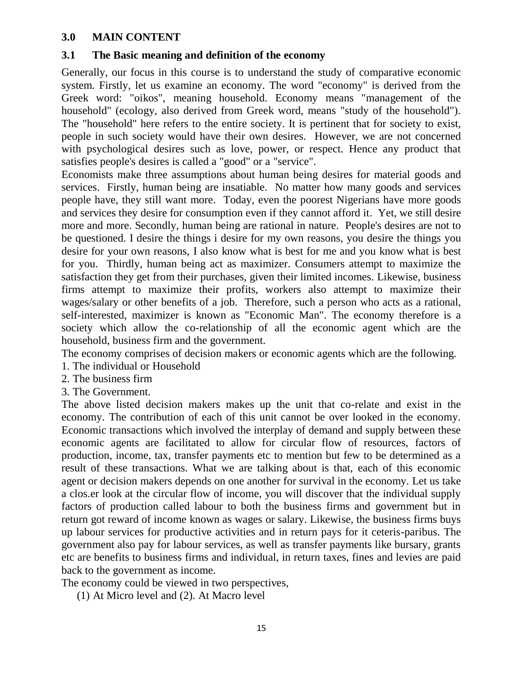### **3.0 MAIN CONTENT**

#### **3.1 The Basic meaning and definition of the economy**

Generally, our focus in this course is to understand the study of comparative economic system. Firstly, let us examine an economy. The word "economy" is derived from the Greek word: "oikos", meaning household. Economy means "management of the household" (ecology, also derived from Greek word, means "study of the household"). The "household" here refers to the entire society. It is pertinent that for society to exist, people in such society would have their own desires. However, we are not concerned with psychological desires such as love, power, or respect. Hence any product that satisfies people's desires is called a "good" or a "service".

Economists make three assumptions about human being desires for material goods and services. Firstly, human being are insatiable. No matter how many goods and services people have, they still want more. Today, even the poorest Nigerians have more goods and services they desire for consumption even if they cannot afford it. Yet, we still desire more and more. Secondly, human being are rational in nature. People's desires are not to be questioned. I desire the things i desire for my own reasons, you desire the things you desire for your own reasons, I also know what is best for me and you know what is best for you. Thirdly, human being act as maximizer. Consumers attempt to maximize the satisfaction they get from their purchases, given their limited incomes. Likewise, business firms attempt to maximize their profits, workers also attempt to maximize their wages/salary or other benefits of a job. Therefore, such a person who acts as a rational, self-interested, maximizer is known as "Economic Man". The economy therefore is a society which allow the co-relationship of all the economic agent which are the household, business firm and the government.

The economy comprises of decision makers or economic agents which are the following.

- 1. The individual or Household
- 2. The business firm
- 3. The Government.

The above listed decision makers makes up the unit that co-relate and exist in the economy. The contribution of each of this unit cannot be over looked in the economy. Economic transactions which involved the interplay of demand and supply between these economic agents are facilitated to allow for circular flow of resources, factors of production, income, tax, transfer payments etc to mention but few to be determined as a result of these transactions. What we are talking about is that, each of this economic agent or decision makers depends on one another for survival in the economy. Let us take a clos.er look at the circular flow of income, you will discover that the individual supply factors of production called labour to both the business firms and government but in return got reward of income known as wages or salary. Likewise, the business firms buys up labour services for productive activities and in return pays for it ceteris-paribus. The government also pay for labour services, as well as transfer payments like bursary, grants etc are benefits to business firms and individual, in return taxes, fines and levies are paid back to the government as income.

The economy could be viewed in two perspectives,

(1) At Micro level and (2). At Macro level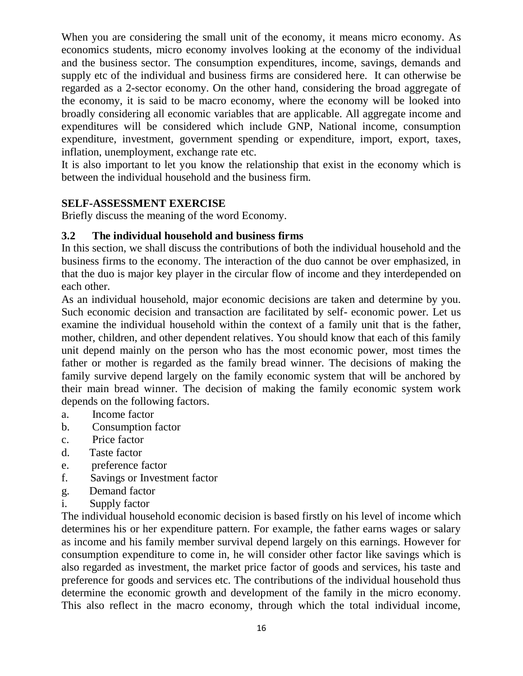When you are considering the small unit of the economy, it means micro economy. As economics students, micro economy involves looking at the economy of the individual and the business sector. The consumption expenditures, income, savings, demands and supply etc of the individual and business firms are considered here. It can otherwise be regarded as a 2-sector economy. On the other hand, considering the broad aggregate of the economy, it is said to be macro economy, where the economy will be looked into broadly considering all economic variables that are applicable. All aggregate income and expenditures will be considered which include GNP, National income, consumption expenditure, investment, government spending or expenditure, import, export, taxes, inflation, unemployment, exchange rate etc.

It is also important to let you know the relationship that exist in the economy which is between the individual household and the business firm.

### **SELF-ASSESSMENT EXERCISE**

Briefly discuss the meaning of the word Economy.

### **3.2 The individual household and business firms**

In this section, we shall discuss the contributions of both the individual household and the business firms to the economy. The interaction of the duo cannot be over emphasized, in that the duo is major key player in the circular flow of income and they interdepended on each other.

As an individual household, major economic decisions are taken and determine by you. Such economic decision and transaction are facilitated by self- economic power. Let us examine the individual household within the context of a family unit that is the father, mother, children, and other dependent relatives. You should know that each of this family unit depend mainly on the person who has the most economic power, most times the father or mother is regarded as the family bread winner. The decisions of making the family survive depend largely on the family economic system that will be anchored by their main bread winner. The decision of making the family economic system work depends on the following factors.

- a. Income factor
- b. Consumption factor
- c. Price factor
- d. Taste factor
- e. preference factor
- f. Savings or Investment factor
- g. Demand factor
- i. Supply factor

The individual household economic decision is based firstly on his level of income which determines his or her expenditure pattern. For example, the father earns wages or salary as income and his family member survival depend largely on this earnings. However for consumption expenditure to come in, he will consider other factor like savings which is also regarded as investment, the market price factor of goods and services, his taste and preference for goods and services etc. The contributions of the individual household thus determine the economic growth and development of the family in the micro economy. This also reflect in the macro economy, through which the total individual income,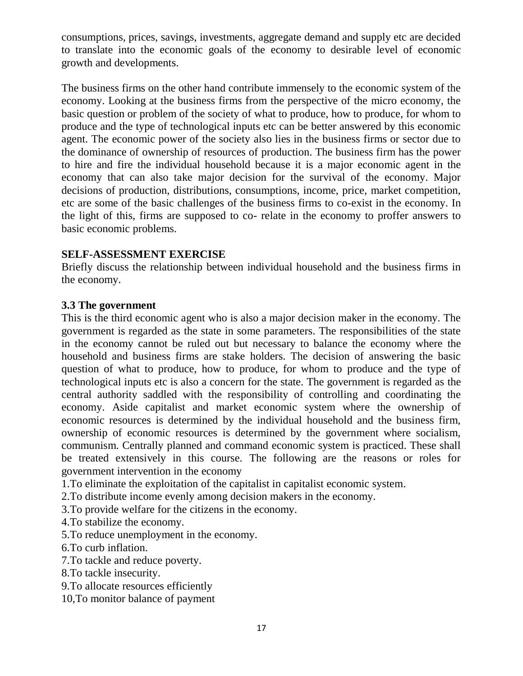consumptions, prices, savings, investments, aggregate demand and supply etc are decided to translate into the economic goals of the economy to desirable level of economic growth and developments.

The business firms on the other hand contribute immensely to the economic system of the economy. Looking at the business firms from the perspective of the micro economy, the basic question or problem of the society of what to produce, how to produce, for whom to produce and the type of technological inputs etc can be better answered by this economic agent. The economic power of the society also lies in the business firms or sector due to the dominance of ownership of resources of production. The business firm has the power to hire and fire the individual household because it is a major economic agent in the economy that can also take major decision for the survival of the economy. Major decisions of production, distributions, consumptions, income, price, market competition, etc are some of the basic challenges of the business firms to co-exist in the economy. In the light of this, firms are supposed to co- relate in the economy to proffer answers to basic economic problems.

### **SELF-ASSESSMENT EXERCISE**

Briefly discuss the relationship between individual household and the business firms in the economy.

#### **3.3 The government**

This is the third economic agent who is also a major decision maker in the economy. The government is regarded as the state in some parameters. The responsibilities of the state in the economy cannot be ruled out but necessary to balance the economy where the household and business firms are stake holders. The decision of answering the basic question of what to produce, how to produce, for whom to produce and the type of technological inputs etc is also a concern for the state. The government is regarded as the central authority saddled with the responsibility of controlling and coordinating the economy. Aside capitalist and market economic system where the ownership of economic resources is determined by the individual household and the business firm, ownership of economic resources is determined by the government where socialism, communism. Centrally planned and command economic system is practiced. These shall be treated extensively in this course. The following are the reasons or roles for government intervention in the economy

1.To eliminate the exploitation of the capitalist in capitalist economic system.

2.To distribute income evenly among decision makers in the economy.

3.To provide welfare for the citizens in the economy.

4.To stabilize the economy.

5.To reduce unemployment in the economy.

6.To curb inflation.

7.To tackle and reduce poverty.

8.To tackle insecurity.

9.To allocate resources efficiently

10,To monitor balance of payment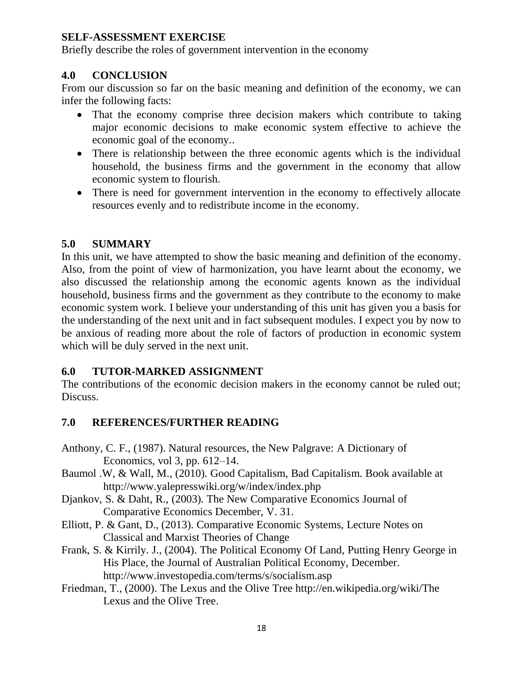### **SELF-ASSESSMENT EXERCISE**

Briefly describe the roles of government intervention in the economy

### **4.0 CONCLUSION**

From our discussion so far on the basic meaning and definition of the economy, we can infer the following facts:

- That the economy comprise three decision makers which contribute to taking major economic decisions to make economic system effective to achieve the economic goal of the economy..
- There is relationship between the three economic agents which is the individual household, the business firms and the government in the economy that allow economic system to flourish.
- There is need for government intervention in the economy to effectively allocate resources evenly and to redistribute income in the economy.

## **5.0 SUMMARY**

In this unit, we have attempted to show the basic meaning and definition of the economy. Also, from the point of view of harmonization, you have learnt about the economy, we also discussed the relationship among the economic agents known as the individual household, business firms and the government as they contribute to the economy to make economic system work. I believe your understanding of this unit has given you a basis for the understanding of the next unit and in fact subsequent modules. I expect you by now to be anxious of reading more about the role of factors of production in economic system which will be duly served in the next unit.

### **6.0 TUTOR-MARKED ASSIGNMENT**

The contributions of the economic decision makers in the economy cannot be ruled out; Discuss.

## **7.0 REFERENCES/FURTHER READING**

- Anthony, C. F., (1987). Natural resources, the New Palgrave: A Dictionary of Economics, vol 3, pp. 612–14.
- Baumol .W, & Wall, M., (2010). Good Capitalism, Bad Capitalism. Book available at http://www.yalepresswiki.org/w/index/index.php
- Djankov, S. & Daht, R., (2003). The New Comparative Economics Journal of Comparative Economics December, V. 31.
- Elliott, P. & Gant, D., (2013). Comparative Economic Systems, Lecture Notes on Classical and Marxist Theories of Change
- Frank, S. & Kirrily. J., (2004). The Political Economy Of Land, Putting Henry George in His Place, the Journal of Australian Political Economy, December. http://www.investopedia.com/terms/s/socialism.asp
- Friedman, T., (2000). The Lexus and the Olive Tree http://en.wikipedia.org/wiki/The Lexus and the Olive Tree.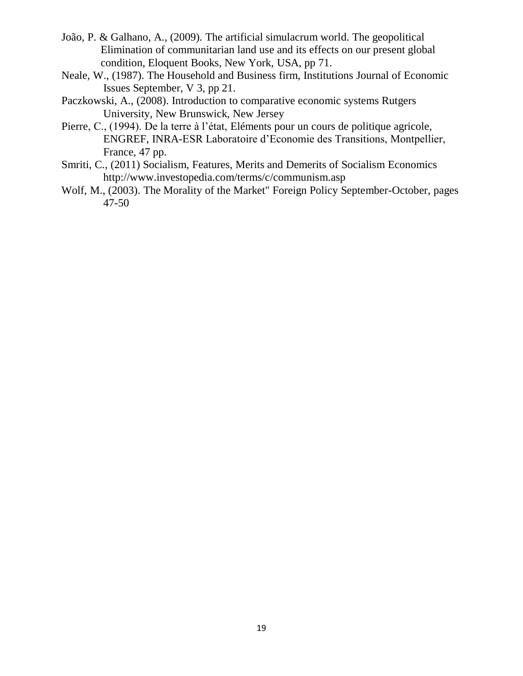- João, P. & Galhano, A., (2009). The artificial simulacrum world. The geopolitical Elimination of communitarian land use and its effects on our present global condition, Eloquent Books, New York, USA, pp 71.
- Neale, W., (1987). The Household and Business firm, Institutions Journal of Economic Issues September, V 3, pp 21.
- Paczkowski, A., (2008). Introduction to comparative economic systems Rutgers University, New Brunswick, New Jersey
- Pierre, C., (1994). De la terre à l'état, Eléments pour un cours de politique agricole, ENGREF, INRA-ESR Laboratoire d'Economie des Transitions, Montpellier, France, 47 pp.
- Smriti, C., (2011) Socialism, Features, Merits and Demerits of Socialism Economics http://www.investopedia.com/terms/c/communism.asp
- Wolf, M., (2003). The Morality of the Market" Foreign Policy September-October, pages 47-50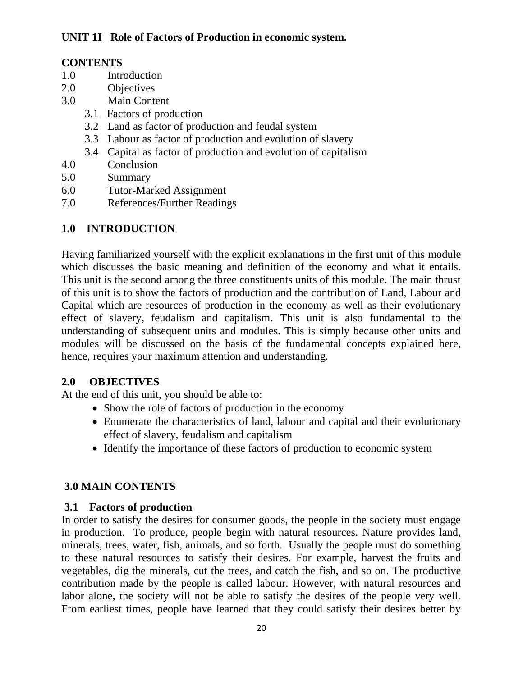## **UNIT 1I Role of Factors of Production in economic system.**

#### **CONTENTS**

- 1.0 Introduction
- 2.0 Objectives
- 3.0 Main Content
	- 3.1 Factors of production
	- 3.2 Land as factor of production and feudal system
	- 3.3 Labour as factor of production and evolution of slavery
	- 3.4 Capital as factor of production and evolution of capitalism
- 4.0 Conclusion
- 5.0 Summary
- 6.0 Tutor-Marked Assignment
- 7.0 References/Further Readings

## **1.0 INTRODUCTION**

Having familiarized yourself with the explicit explanations in the first unit of this module which discusses the basic meaning and definition of the economy and what it entails. This unit is the second among the three constituents units of this module. The main thrust of this unit is to show the factors of production and the contribution of Land, Labour and Capital which are resources of production in the economy as well as their evolutionary effect of slavery, feudalism and capitalism. This unit is also fundamental to the understanding of subsequent units and modules. This is simply because other units and modules will be discussed on the basis of the fundamental concepts explained here, hence, requires your maximum attention and understanding.

### **2.0 OBJECTIVES**

At the end of this unit, you should be able to:

- Show the role of factors of production in the economy
- Enumerate the characteristics of land, labour and capital and their evolutionary effect of slavery, feudalism and capitalism
- Identify the importance of these factors of production to economic system

## **3.0 MAIN CONTENTS**

### **3.1 Factors of production**

In order to satisfy the desires for consumer goods, the people in the society must engage in production. To produce, people begin with natural resources. Nature provides land, minerals, trees, water, fish, animals, and so forth. Usually the people must do something to these natural resources to satisfy their desires. For example, harvest the fruits and vegetables, dig the minerals, cut the trees, and catch the fish, and so on. The productive contribution made by the people is called labour. However, with natural resources and labor alone, the society will not be able to satisfy the desires of the people very well. From earliest times, people have learned that they could satisfy their desires better by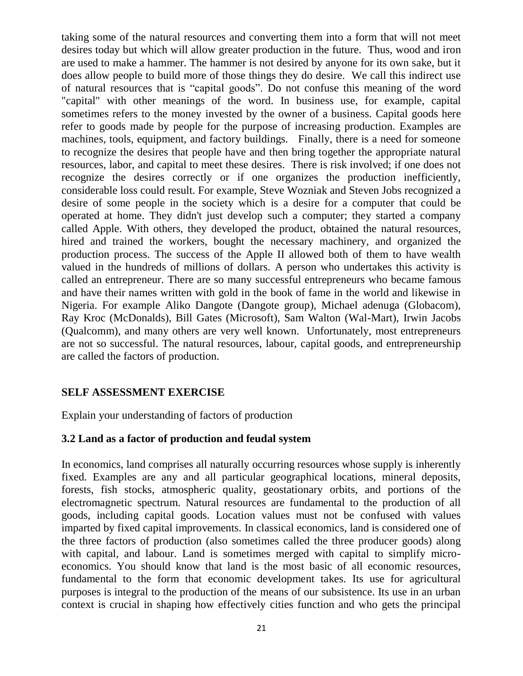taking some of the natural resources and converting them into a form that will not meet desires today but which will allow greater production in the future. Thus, wood and iron are used to make a hammer. The hammer is not desired by anyone for its own sake, but it does allow people to build more of those things they do desire. We call this indirect use of natural resources that is "capital goods". Do not confuse this meaning of the word "capital" with other meanings of the word. In business use, for example, capital sometimes refers to the money invested by the owner of a business. Capital goods here refer to goods made by people for the purpose of increasing production. Examples are machines, tools, equipment, and factory buildings. Finally, there is a need for someone to recognize the desires that people have and then bring together the appropriate natural resources, labor, and capital to meet these desires. There is risk involved; if one does not recognize the desires correctly or if one organizes the production inefficiently, considerable loss could result. For example, Steve Wozniak and Steven Jobs recognized a desire of some people in the society which is a desire for a computer that could be operated at home. They didn't just develop such a computer; they started a company called Apple. With others, they developed the product, obtained the natural resources, hired and trained the workers, bought the necessary machinery, and organized the production process. The success of the Apple II allowed both of them to have wealth valued in the hundreds of millions of dollars. A person who undertakes this activity is called an entrepreneur. There are so many successful entrepreneurs who became famous and have their names written with gold in the book of fame in the world and likewise in Nigeria. For example Aliko Dangote (Dangote group), Michael adenuga (Globacom), Ray Kroc (McDonalds), Bill Gates (Microsoft), Sam Walton (Wal-Mart), Irwin Jacobs (Qualcomm), and many others are very well known. Unfortunately, most entrepreneurs are not so successful. The natural resources, labour, capital goods, and entrepreneurship are called the factors of production.

#### **SELF ASSESSMENT EXERCISE**

Explain your understanding of factors of production

#### **3.2 Land as a factor of production and feudal system**

In economics, land comprises all naturally occurring resources whose supply is inherently fixed. Examples are any and all particular geographical locations, mineral deposits, forests, fish stocks, atmospheric quality, geostationary orbits, and portions of the electromagnetic spectrum. Natural resources are fundamental to the production of all goods, including capital goods. Location values must not be confused with values imparted by fixed capital improvements. In classical economics, land is considered one of the three factors of production (also sometimes called the three producer goods) along with capital, and labour. Land is sometimes merged with capital to simplify microeconomics. You should know that land is the most basic of all economic resources, fundamental to the form that economic development takes. Its use for agricultural purposes is integral to the production of the means of our subsistence. Its use in an urban context is crucial in shaping how effectively cities function and who gets the principal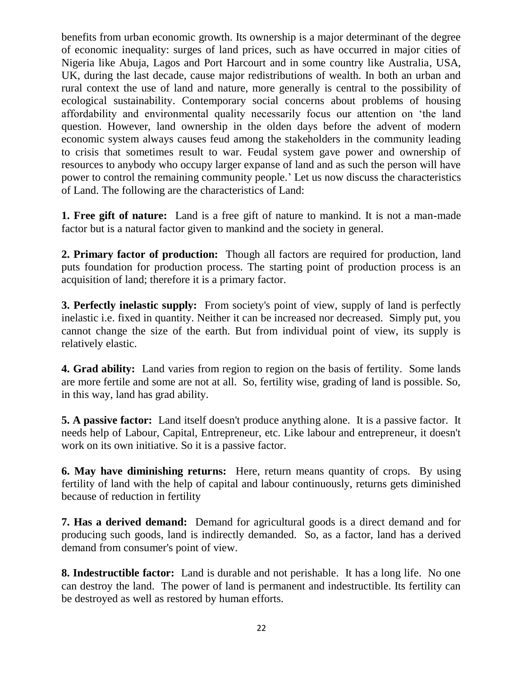benefits from urban economic growth. Its ownership is a major determinant of the degree of economic inequality: surges of land prices, such as have occurred in major cities of Nigeria like Abuja, Lagos and Port Harcourt and in some country like Australia, USA, UK, during the last decade, cause major redistributions of wealth. In both an urban and rural context the use of land and nature, more generally is central to the possibility of ecological sustainability. Contemporary social concerns about problems of housing affordability and environmental quality necessarily focus our attention on 'the land question. However, land ownership in the olden days before the advent of modern economic system always causes feud among the stakeholders in the community leading to crisis that sometimes result to war. Feudal system gave power and ownership of resources to anybody who occupy larger expanse of land and as such the person will have power to control the remaining community people.' Let us now discuss the characteristics of Land. The following are the characteristics of Land:

**1. Free gift of nature:** Land is a free gift of nature to mankind. It is not a man-made factor but is a natural factor given to mankind and the society in general.

**2. Primary factor of production:** Though all factors are required for production, land puts foundation for production process. The starting point of production process is an acquisition of land; therefore it is a primary factor.

**3. Perfectly inelastic supply:** From society's point of view, supply of land is perfectly inelastic i.e. fixed in quantity. Neither it can be increased nor decreased. Simply put, you cannot change the size of the earth. But from individual point of view, its supply is relatively elastic.

**4. Grad ability:** Land varies from region to region on the basis of fertility. Some lands are more fertile and some are not at all. So, fertility wise, grading of land is possible. So, in this way, land has grad ability.

**5. A passive factor:** Land itself doesn't produce anything alone. It is a passive factor. It needs help of Labour, Capital, Entrepreneur, etc. Like labour and entrepreneur, it doesn't work on its own initiative. So it is a passive factor.

**6. May have diminishing returns:** Here, return means quantity of crops. By using fertility of land with the help of capital and labour continuously, returns gets diminished because of reduction in fertility

**7. Has a derived demand:** Demand for agricultural goods is a direct demand and for producing such goods, land is indirectly demanded. So, as a factor, land has a derived demand from consumer's point of view.

**8. Indestructible factor:** Land is durable and not perishable. It has a long life. No one can destroy the land. The power of land is permanent and indestructible. Its fertility can be destroyed as well as restored by human efforts.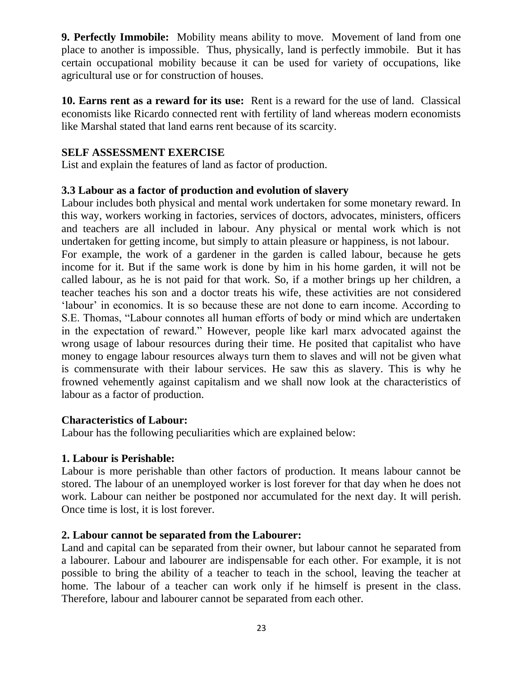**9. Perfectly Immobile:** Mobility means ability to move. Movement of land from one place to another is impossible. Thus, physically, land is perfectly immobile. But it has certain occupational mobility because it can be used for variety of occupations, like agricultural use or for construction of houses.

**10. Earns rent as a reward for its use:** Rent is a reward for the use of land. Classical economists like Ricardo connected rent with fertility of land whereas modern economists like Marshal stated that land earns rent because of its scarcity.

### **SELF ASSESSMENT EXERCISE**

List and explain the features of land as factor of production.

### **3.3 Labour as a factor of production and evolution of slavery**

Labour includes both physical and mental work undertaken for some monetary reward. In this way, workers working in factories, services of doctors, advocates, ministers, officers and teachers are all included in labour. Any physical or mental work which is not undertaken for getting income, but simply to attain pleasure or happiness, is not labour.

For example, the work of a gardener in the garden is called labour, because he gets income for it. But if the same work is done by him in his home garden, it will not be called labour, as he is not paid for that work. So, if a mother brings up her children, a teacher teaches his son and a doctor treats his wife, these activities are not considered 'labour' in economics. It is so because these are not done to earn income. According to S.E. Thomas, "Labour connotes all human efforts of body or mind which are undertaken in the expectation of reward." However, people like karl marx advocated against the wrong usage of labour resources during their time. He posited that capitalist who have money to engage labour resources always turn them to slaves and will not be given what is commensurate with their labour services. He saw this as slavery. This is why he frowned vehemently against capitalism and we shall now look at the characteristics of labour as a factor of production.

### **Characteristics of Labour:**

Labour has the following peculiarities which are explained below:

### **1. Labour is Perishable:**

Labour is more perishable than other factors of production. It means labour cannot be stored. The labour of an unemployed worker is lost forever for that day when he does not work. Labour can neither be postponed nor accumulated for the next day. It will perish. Once time is lost, it is lost forever.

### **2. Labour cannot be separated from the Labourer:**

Land and capital can be separated from their owner, but labour cannot he separated from a labourer. Labour and labourer are indispensable for each other. For example, it is not possible to bring the ability of a teacher to teach in the school, leaving the teacher at home. The labour of a teacher can work only if he himself is present in the class. Therefore, labour and labourer cannot be separated from each other.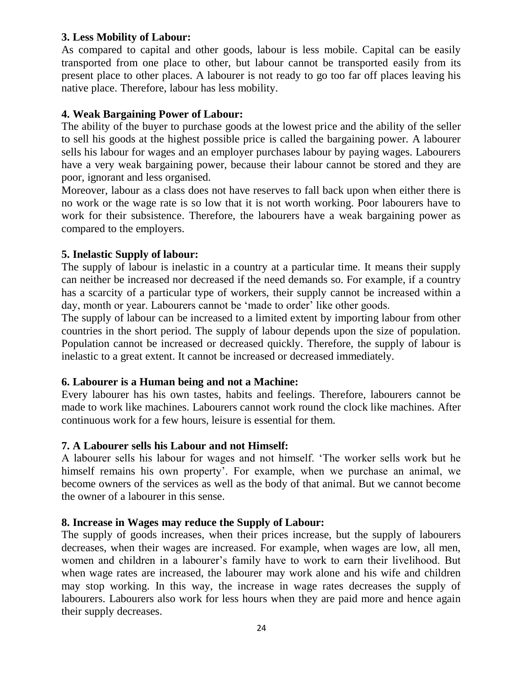### **3. Less Mobility of Labour:**

As compared to capital and other goods, labour is less mobile. Capital can be easily transported from one place to other, but labour cannot be transported easily from its present place to other places. A labourer is not ready to go too far off places leaving his native place. Therefore, labour has less mobility.

#### **4. Weak Bargaining Power of Labour:**

The ability of the buyer to purchase goods at the lowest price and the ability of the seller to sell his goods at the highest possible price is called the bargaining power. A labourer sells his labour for wages and an employer purchases labour by paying wages. Labourers have a very weak bargaining power, because their labour cannot be stored and they are poor, ignorant and less organised.

Moreover, labour as a class does not have reserves to fall back upon when either there is no work or the wage rate is so low that it is not worth working. Poor labourers have to work for their subsistence. Therefore, the labourers have a weak bargaining power as compared to the employers.

#### **5. Inelastic Supply of labour:**

The supply of labour is inelastic in a country at a particular time. It means their supply can neither be increased nor decreased if the need demands so. For example, if a country has a scarcity of a particular type of workers, their supply cannot be increased within a day, month or year. Labourers cannot be 'made to order' like other goods.

The supply of labour can be increased to a limited extent by importing labour from other countries in the short period. The supply of labour depends upon the size of population. Population cannot be increased or decreased quickly. Therefore, the supply of labour is inelastic to a great extent. It cannot be increased or decreased immediately.

### **6. Labourer is a Human being and not a Machine:**

Every labourer has his own tastes, habits and feelings. Therefore, labourers cannot be made to work like machines. Labourers cannot work round the clock like machines. After continuous work for a few hours, leisure is essential for them.

#### **7. A Labourer sells his Labour and not Himself:**

A labourer sells his labour for wages and not himself. ‗The worker sells work but he himself remains his own property'. For example, when we purchase an animal, we become owners of the services as well as the body of that animal. But we cannot become the owner of a labourer in this sense.

#### **8. Increase in Wages may reduce the Supply of Labour:**

The supply of goods increases, when their prices increase, but the supply of labourers decreases, when their wages are increased. For example, when wages are low, all men, women and children in a labourer's family have to work to earn their livelihood. But when wage rates are increased, the labourer may work alone and his wife and children may stop working. In this way, the increase in wage rates decreases the supply of labourers. Labourers also work for less hours when they are paid more and hence again their supply decreases.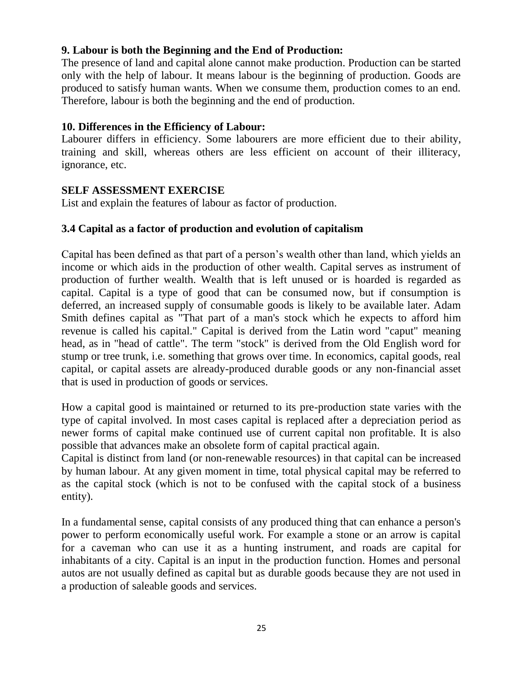#### **9. Labour is both the Beginning and the End of Production:**

The presence of land and capital alone cannot make production. Production can be started only with the help of labour. It means labour is the beginning of production. Goods are produced to satisfy human wants. When we consume them, production comes to an end. Therefore, labour is both the beginning and the end of production.

#### **10. Differences in the Efficiency of Labour:**

Labourer differs in efficiency. Some labourers are more efficient due to their ability, training and skill, whereas others are less efficient on account of their illiteracy, ignorance, etc.

#### **SELF ASSESSMENT EXERCISE**

List and explain the features of labour as factor of production.

### **3.4 Capital as a factor of production and evolution of capitalism**

Capital has been defined as that part of a person's wealth other than land, which yields an income or which aids in the production of other wealth. Capital serves as instrument of production of further wealth. Wealth that is left unused or is hoarded is regarded as capital. Capital is a type of good that can be consumed now, but if consumption is deferred, an increased supply of consumable goods is likely to be available later. Adam Smith defines capital as "That part of a man's stock which he expects to afford him revenue is called his capital." Capital is derived from the Latin word "caput" meaning head, as in "head of cattle". The term "stock" is derived from the Old English word for stump or tree trunk, i.e. something that grows over time. In economics, capital goods, real capital, or capital assets are already-produced durable goods or any non-financial asset that is used in production of goods or services.

How a capital good is maintained or returned to its pre-production state varies with the type of capital involved. In most cases capital is replaced after a depreciation period as newer forms of capital make continued use of current capital non profitable. It is also possible that advances make an obsolete form of capital practical again.

Capital is distinct from land (or non-renewable resources) in that capital can be increased by human labour. At any given moment in time, total physical capital may be referred to as the capital stock (which is not to be confused with the capital stock of a business entity).

In a fundamental sense, capital consists of any produced thing that can enhance a person's power to perform economically useful work. For example a stone or an arrow is capital for a caveman who can use it as a hunting instrument, and roads are capital for inhabitants of a city. Capital is an input in the production function. Homes and personal autos are not usually defined as capital but as durable goods because they are not used in a production of saleable goods and services.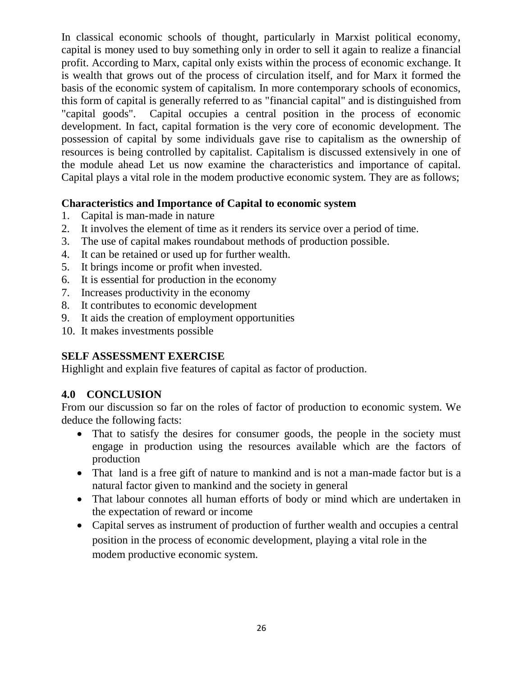In classical economic schools of thought, particularly in Marxist political economy, capital is money used to buy something only in order to sell it again to realize a financial profit. According to Marx, capital only exists within the process of economic exchange. It is wealth that grows out of the process of circulation itself, and for Marx it formed the basis of the economic system of capitalism. In more contemporary schools of economics, this form of capital is generally referred to as "financial capital" and is distinguished from "capital goods". Capital occupies a central position in the process of economic development. In fact, capital formation is the very core of economic development. The possession of capital by some individuals gave rise to capitalism as the ownership of resources is being controlled by capitalist. Capitalism is discussed extensively in one of the module ahead Let us now examine the characteristics and importance of capital. Capital plays a vital role in the modem productive economic system. They are as follows;

### **Characteristics and Importance of Capital to economic system**

- 1. Capital is man-made in nature
- 2. It involves the element of time as it renders its service over a period of time.
- 3. The use of capital makes roundabout methods of production possible.
- 4. It can be retained or used up for further wealth.
- 5. It brings income or profit when invested.
- 6. It is essential for production in the economy
- 7. Increases productivity in the economy
- 8. It contributes to economic development
- 9. It aids the creation of employment opportunities
- 10. It makes investments possible

## **SELF ASSESSMENT EXERCISE**

Highlight and explain five features of capital as factor of production.

## **4.0 CONCLUSION**

From our discussion so far on the roles of factor of production to economic system. We deduce the following facts:

- That to satisfy the desires for consumer goods, the people in the society must engage in production using the resources available which are the factors of production
- That land is a free gift of nature to mankind and is not a man-made factor but is a natural factor given to mankind and the society in general
- That labour connotes all human efforts of body or mind which are undertaken in the expectation of reward or income
- Capital serves as instrument of production of further wealth and occupies a central position in the process of economic development, playing a vital role in the modem productive economic system.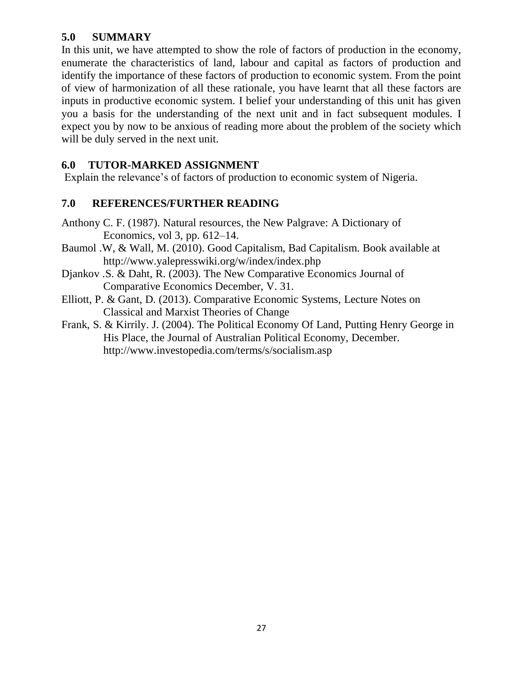### **5.0 SUMMARY**

In this unit, we have attempted to show the role of factors of production in the economy, enumerate the characteristics of land, labour and capital as factors of production and identify the importance of these factors of production to economic system. From the point of view of harmonization of all these rationale, you have learnt that all these factors are inputs in productive economic system. I belief your understanding of this unit has given you a basis for the understanding of the next unit and in fact subsequent modules. I expect you by now to be anxious of reading more about the problem of the society which will be duly served in the next unit.

### **6.0 TUTOR-MARKED ASSIGNMENT**

Explain the relevance's of factors of production to economic system of Nigeria.

### **7.0 REFERENCES/FURTHER READING**

- Anthony C. F. (1987). Natural resources, the New Palgrave: A Dictionary of Economics, vol 3, pp. 612–14.
- Baumol .W, & Wall, M. (2010). Good Capitalism, Bad Capitalism. Book available at http://www.yalepresswiki.org/w/index/index.php
- Djankov .S. & Daht, R. (2003). The New Comparative Economics Journal of Comparative Economics December, V. 31.
- Elliott, P. & Gant, D. (2013). Comparative Economic Systems, Lecture Notes on Classical and Marxist Theories of Change
- Frank, S. & Kirrily. J. (2004). The Political Economy Of Land, Putting Henry George in His Place, the Journal of Australian Political Economy, December. http://www.investopedia.com/terms/s/socialism.asp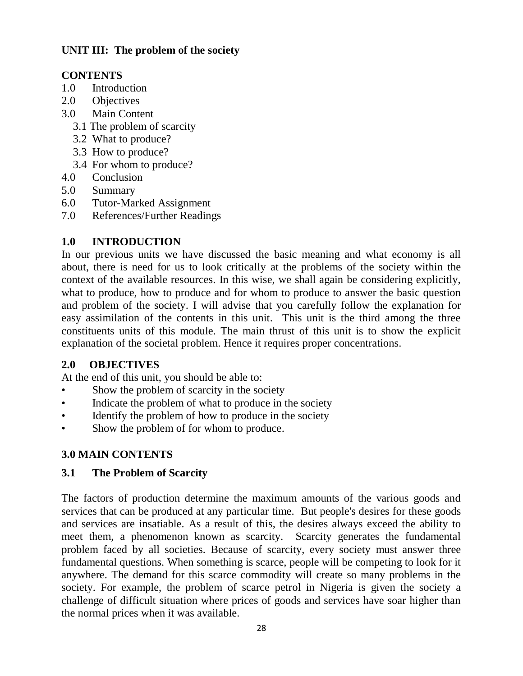### **UNIT III: The problem of the society**

### **CONTENTS**

- 1.0 Introduction
- 2.0 Objectives
- 3.0 Main Content
	- 3.1 The problem of scarcity
	- 3.2 What to produce?
	- 3.3 How to produce?
	- 3.4 For whom to produce?
- 4.0 Conclusion
- 5.0 Summary
- 6.0 Tutor-Marked Assignment
- 7.0 References/Further Readings

## **1.0 INTRODUCTION**

In our previous units we have discussed the basic meaning and what economy is all about, there is need for us to look critically at the problems of the society within the context of the available resources. In this wise, we shall again be considering explicitly, what to produce, how to produce and for whom to produce to answer the basic question and problem of the society. I will advise that you carefully follow the explanation for easy assimilation of the contents in this unit. This unit is the third among the three constituents units of this module. The main thrust of this unit is to show the explicit explanation of the societal problem. Hence it requires proper concentrations.

## **2.0 OBJECTIVES**

At the end of this unit, you should be able to:

- Show the problem of scarcity in the society
- Indicate the problem of what to produce in the society
- Identify the problem of how to produce in the society
- Show the problem of for whom to produce.

## **3.0 MAIN CONTENTS**

## **3.1 The Problem of Scarcity**

The factors of production determine the maximum amounts of the various goods and services that can be produced at any particular time. But people's desires for these goods and services are insatiable. As a result of this, the desires always exceed the ability to meet them, a phenomenon known as scarcity. Scarcity generates the fundamental problem faced by all societies. Because of scarcity, every society must answer three fundamental questions. When something is scarce, people will be competing to look for it anywhere. The demand for this scarce commodity will create so many problems in the society. For example, the problem of scarce petrol in Nigeria is given the society a challenge of difficult situation where prices of goods and services have soar higher than the normal prices when it was available.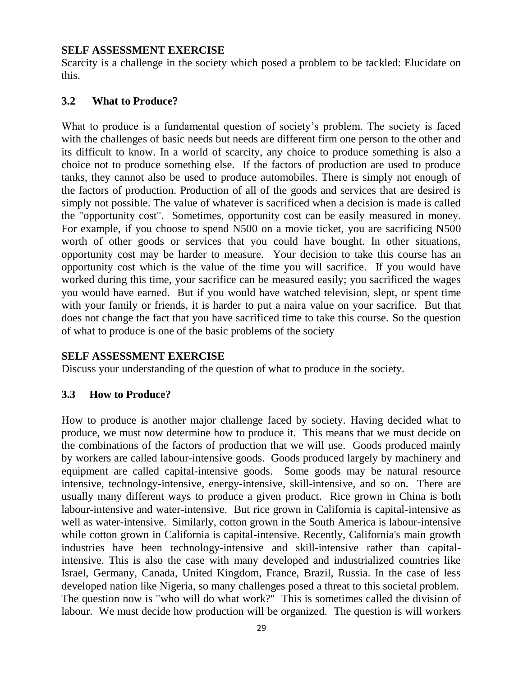#### **SELF ASSESSMENT EXERCISE**

Scarcity is a challenge in the society which posed a problem to be tackled: Elucidate on this.

#### **3.2 What to Produce?**

What to produce is a fundamental question of society's problem. The society is faced with the challenges of basic needs but needs are different firm one person to the other and its difficult to know. In a world of scarcity, any choice to produce something is also a choice not to produce something else. If the factors of production are used to produce tanks, they cannot also be used to produce automobiles. There is simply not enough of the factors of production. Production of all of the goods and services that are desired is simply not possible. The value of whatever is sacrificed when a decision is made is called the "opportunity cost". Sometimes, opportunity cost can be easily measured in money. For example, if you choose to spend N500 on a movie ticket, you are sacrificing N500 worth of other goods or services that you could have bought. In other situations, opportunity cost may be harder to measure. Your decision to take this course has an opportunity cost which is the value of the time you will sacrifice. If you would have worked during this time, your sacrifice can be measured easily; you sacrificed the wages you would have earned. But if you would have watched television, slept, or spent time with your family or friends, it is harder to put a naira value on your sacrifice. But that does not change the fact that you have sacrificed time to take this course. So the question of what to produce is one of the basic problems of the society

#### **SELF ASSESSMENT EXERCISE**

Discuss your understanding of the question of what to produce in the society.

### **3.3 How to Produce?**

How to produce is another major challenge faced by society. Having decided what to produce, we must now determine how to produce it. This means that we must decide on the combinations of the factors of production that we will use. Goods produced mainly by workers are called labour-intensive goods. Goods produced largely by machinery and equipment are called capital-intensive goods. Some goods may be natural resource intensive, technology-intensive, energy-intensive, skill-intensive, and so on. There are usually many different ways to produce a given product. Rice grown in China is both labour-intensive and water-intensive. But rice grown in California is capital-intensive as well as water-intensive. Similarly, cotton grown in the South America is labour-intensive while cotton grown in California is capital-intensive. Recently, California's main growth industries have been technology-intensive and skill-intensive rather than capitalintensive. This is also the case with many developed and industrialized countries like Israel, Germany, Canada, United Kingdom, France, Brazil, Russia. In the case of less developed nation like Nigeria, so many challenges posed a threat to this societal problem. The question now is "who will do what work?" This is sometimes called the division of labour. We must decide how production will be organized. The question is will workers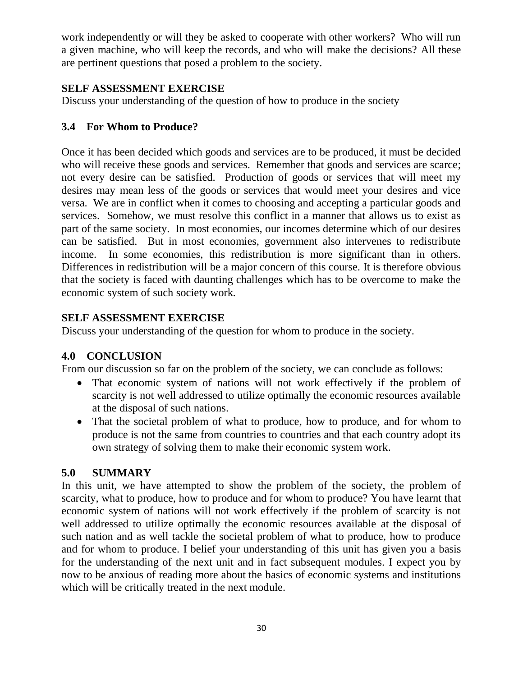work independently or will they be asked to cooperate with other workers? Who will run a given machine, who will keep the records, and who will make the decisions? All these are pertinent questions that posed a problem to the society.

### **SELF ASSESSMENT EXERCISE**

Discuss your understanding of the question of how to produce in the society

## **3.4 For Whom to Produce?**

Once it has been decided which goods and services are to be produced, it must be decided who will receive these goods and services. Remember that goods and services are scarce; not every desire can be satisfied. Production of goods or services that will meet my desires may mean less of the goods or services that would meet your desires and vice versa. We are in conflict when it comes to choosing and accepting a particular goods and services. Somehow, we must resolve this conflict in a manner that allows us to exist as part of the same society. In most economies, our incomes determine which of our desires can be satisfied. But in most economies, government also intervenes to redistribute income. In some economies, this redistribution is more significant than in others. Differences in redistribution will be a major concern of this course. It is therefore obvious that the society is faced with daunting challenges which has to be overcome to make the economic system of such society work.

### **SELF ASSESSMENT EXERCISE**

Discuss your understanding of the question for whom to produce in the society.

## **4.0 CONCLUSION**

From our discussion so far on the problem of the society, we can conclude as follows:

- That economic system of nations will not work effectively if the problem of scarcity is not well addressed to utilize optimally the economic resources available at the disposal of such nations.
- That the societal problem of what to produce, how to produce, and for whom to produce is not the same from countries to countries and that each country adopt its own strategy of solving them to make their economic system work.

## **5.0 SUMMARY**

In this unit, we have attempted to show the problem of the society, the problem of scarcity, what to produce, how to produce and for whom to produce? You have learnt that economic system of nations will not work effectively if the problem of scarcity is not well addressed to utilize optimally the economic resources available at the disposal of such nation and as well tackle the societal problem of what to produce, how to produce and for whom to produce. I belief your understanding of this unit has given you a basis for the understanding of the next unit and in fact subsequent modules. I expect you by now to be anxious of reading more about the basics of economic systems and institutions which will be critically treated in the next module.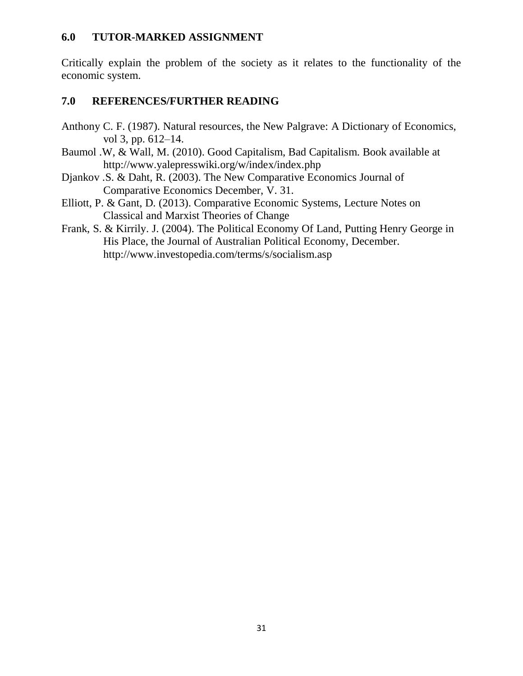#### **6.0 TUTOR-MARKED ASSIGNMENT**

Critically explain the problem of the society as it relates to the functionality of the economic system.

### **7.0 REFERENCES/FURTHER READING**

- Anthony C. F. (1987). Natural resources, the New Palgrave: A Dictionary of Economics, vol 3, pp. 612–14.
- Baumol .W, & Wall, M. (2010). Good Capitalism, Bad Capitalism. Book available at http://www.yalepresswiki.org/w/index/index.php
- Djankov .S. & Daht, R. (2003). The New Comparative Economics Journal of Comparative Economics December, V. 31.
- Elliott, P. & Gant, D. (2013). Comparative Economic Systems, Lecture Notes on Classical and Marxist Theories of Change
- Frank, S. & Kirrily. J. (2004). The Political Economy Of Land, Putting Henry George in His Place, the Journal of Australian Political Economy, December. http://www.investopedia.com/terms/s/socialism.asp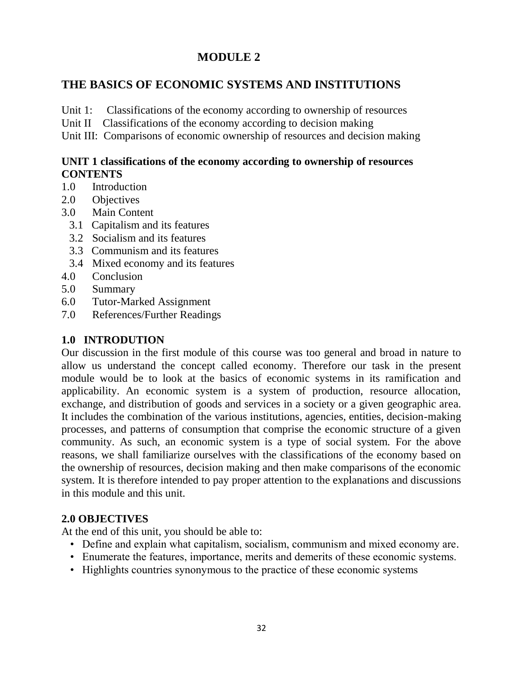# **MODULE 2**

## **THE BASICS OF ECONOMIC SYSTEMS AND INSTITUTIONS**

Unit 1: Classifications of the economy according to ownership of resources

Unit II Classifications of the economy according to decision making

Unit III: Comparisons of economic ownership of resources and decision making

### **UNIT 1 classifications of the economy according to ownership of resources CONTENTS**

- 1.0 Introduction
- 2.0 Objectives
- 3.0 Main Content
	- 3.1 Capitalism and its features
	- 3.2 Socialism and its features
	- 3.3 Communism and its features
	- 3.4 Mixed economy and its features
- 4.0 Conclusion
- 5.0 Summary
- 6.0 Tutor-Marked Assignment
- 7.0 References/Further Readings

## **1.0 INTRODUTION**

Our discussion in the first module of this course was too general and broad in nature to allow us understand the concept called economy. Therefore our task in the present module would be to look at the basics of economic systems in its ramification and applicability. An economic system is a system of production, resource allocation, exchange, and distribution of goods and services in a society or a given geographic area. It includes the combination of the various institutions, agencies, entities, decision-making processes, and patterns of consumption that comprise the economic structure of a given community. As such, an economic system is a type of social system. For the above reasons, we shall familiarize ourselves with the classifications of the economy based on the ownership of resources, decision making and then make comparisons of the economic system. It is therefore intended to pay proper attention to the explanations and discussions in this module and this unit.

# **2.0 OBJECTIVES**

At the end of this unit, you should be able to:

- Define and explain what capitalism, socialism, communism and mixed economy are.
- Enumerate the features, importance, merits and demerits of these economic systems.
- Highlights countries synonymous to the practice of these economic systems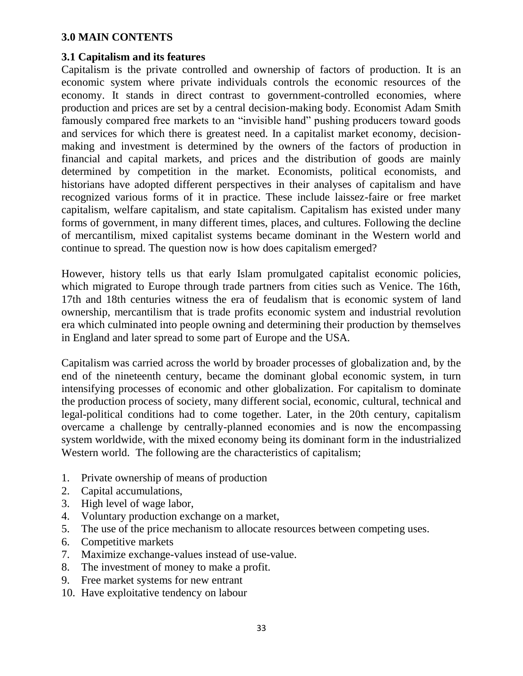#### **3.0 MAIN CONTENTS**

#### **3.1 Capitalism and its features**

Capitalism is the private controlled and ownership of factors of production. It is an economic system where private individuals controls the economic resources of the economy. It stands in direct contrast to government-controlled economies, where production and prices are set by a central decision-making body. Economist Adam Smith famously compared free markets to an "invisible hand" pushing producers toward goods and services for which there is greatest need. In a capitalist market economy, decisionmaking and investment is determined by the owners of the factors of production in financial and capital markets, and prices and the distribution of goods are mainly determined by competition in the market. Economists, political economists, and historians have adopted different perspectives in their analyses of capitalism and have recognized various forms of it in practice. These include laissez-faire or free market capitalism, welfare capitalism, and state capitalism. Capitalism has existed under many forms of government, in many different times, places, and cultures. Following the decline of mercantilism, mixed capitalist systems became dominant in the Western world and continue to spread. The question now is how does capitalism emerged?

However, history tells us that early Islam promulgated capitalist economic policies, which migrated to Europe through trade partners from cities such as Venice. The 16th, 17th and 18th centuries witness the era of feudalism that is economic system of land ownership, mercantilism that is trade profits economic system and industrial revolution era which culminated into people owning and determining their production by themselves in England and later spread to some part of Europe and the USA.

Capitalism was carried across the world by broader processes of globalization and, by the end of the nineteenth century, became the dominant global economic system, in turn intensifying processes of economic and other globalization. For capitalism to dominate the production process of society, many different social, economic, cultural, technical and legal-political conditions had to come together. Later, in the 20th century, capitalism overcame a challenge by centrally-planned economies and is now the encompassing system worldwide, with the mixed economy being its dominant form in the industrialized Western world. The following are the characteristics of capitalism;

- 1. Private ownership of means of production
- 2. Capital accumulations,
- 3. High level of wage labor,
- 4. Voluntary production exchange on a market,
- 5. The use of the price mechanism to allocate resources between competing uses.
- 6. Competitive markets
- 7. Maximize exchange-values instead of use-value.
- 8. The investment of money to make a profit.
- 9. Free market systems for new entrant
- 10. Have exploitative tendency on labour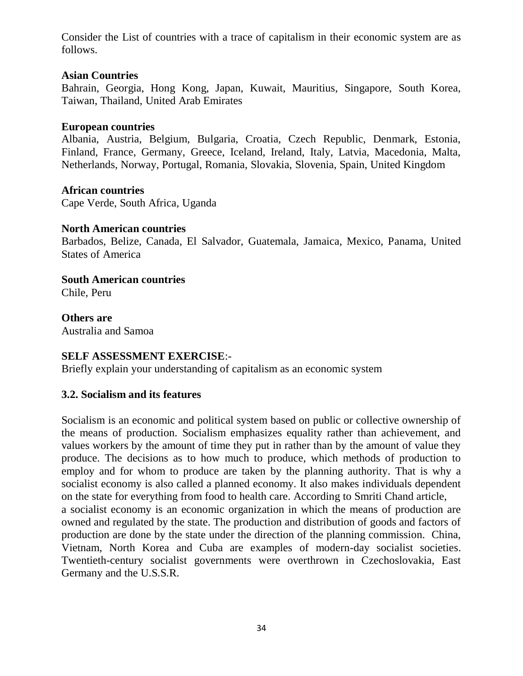Consider the List of countries with a trace of capitalism in their economic system are as follows.

#### **Asian Countries**

Bahrain, Georgia, Hong Kong, Japan, Kuwait, Mauritius, Singapore, South Korea, Taiwan, Thailand, United Arab Emirates

#### **European countries**

Albania, Austria, Belgium, Bulgaria, Croatia, Czech Republic, Denmark, Estonia, Finland, France, Germany, Greece, Iceland, Ireland, Italy, Latvia, Macedonia, Malta, Netherlands, Norway, Portugal, Romania, Slovakia, Slovenia, Spain, United Kingdom

#### **African countries**

Cape Verde, South Africa, Uganda

#### **North American countries**

Barbados, Belize, Canada, El Salvador, Guatemala, Jamaica, Mexico, Panama, United States of America

### **South American countries**

Chile, Peru

### **Others are**

Australia and Samoa

### **SELF ASSESSMENT EXERCISE**:-

Briefly explain your understanding of capitalism as an economic system

### **3.2. Socialism and its features**

Socialism is an economic and political system based on public or collective ownership of the means of production. Socialism emphasizes equality rather than achievement, and values workers by the amount of time they put in rather than by the amount of value they produce. The decisions as to how much to produce, which methods of production to employ and for whom to produce are taken by the planning authority. That is why a socialist economy is also called a planned economy. It also makes individuals dependent on the state for everything from food to health care. According to Smriti Chand article, a socialist economy is an economic organization in which the means of production are owned and regulated by the state. The production and distribution of goods and factors of production are done by the state under the direction of the planning commission. China, Vietnam, North Korea and Cuba are examples of modern-day socialist societies. Twentieth-century socialist governments were overthrown in Czechoslovakia, East Germany and the U.S.S.R.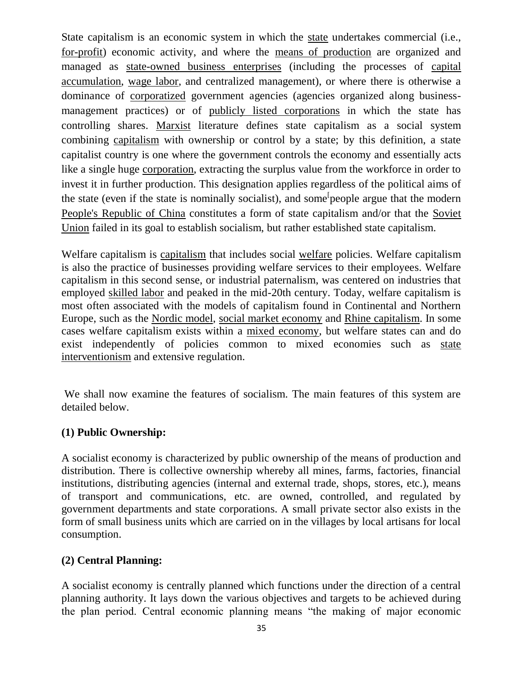State capitalism is an economic system in which the [state](https://en.wikipedia.org/wiki/State_(polity)) undertakes commercial (i.e., [for-profit\)](https://en.wikipedia.org/wiki/Profit_(economics)) economic activity, and where the [means of production](https://en.wikipedia.org/wiki/Means_of_production) are organized and managed as [state-owned business enterprises](https://en.wikipedia.org/wiki/Government-owned_corporation) (including the processes of [capital](https://en.wikipedia.org/wiki/Capital_accumulation)  [accumulation,](https://en.wikipedia.org/wiki/Capital_accumulation) [wage labor,](https://en.wikipedia.org/wiki/Wage_labor) and centralized management), or where there is otherwise a dominance of [corporatized](https://en.wikipedia.org/wiki/Corporatization) government agencies (agencies organized along businessmanagement practices) or of [publicly listed corporations](https://en.wikipedia.org/wiki/Public_company) in which the state has controlling shares. [Marxist](https://en.wikipedia.org/wiki/Marxist) literature defines state capitalism as a social system combining [capitalism](https://en.wikipedia.org/wiki/Capitalism) with ownership or control by a state; by this definition, a state capitalist country is one where the government controls the economy and essentially acts like a single huge [corporation,](https://en.wikipedia.org/wiki/Corporation) extracting the surplus value from the workforce in order to invest it in further production. This designation applies regardless of the political aims of the state (even if the state is nominally socialist), and some people argue that the modern [People's Republic of China](https://en.wikipedia.org/wiki/People%27s_Republic_of_China) constitutes a form of state capitalism and/or that the [Soviet](https://en.wikipedia.org/wiki/Soviet_Union)  [Union](https://en.wikipedia.org/wiki/Soviet_Union) failed in its goal to establish socialism, but rather established state capitalism.

Welfare capitalism is [capitalism](https://en.wikipedia.org/wiki/Capitalism) that includes social [welfare](https://en.wikipedia.org/wiki/Welfare) policies. Welfare capitalism is also the practice of businesses providing welfare services to their employees. Welfare capitalism in this second sense, or industrial paternalism, was centered on industries that employed [skilled labor](https://en.wikipedia.org/wiki/Skilled_labor) and peaked in the mid-20th century. Today, welfare capitalism is most often associated with the models of capitalism found in Continental and Northern Europe, such as the [Nordic model,](https://en.wikipedia.org/wiki/Nordic_model) [social market economy](https://en.wikipedia.org/wiki/Social_market_economy) and [Rhine capitalism.](https://en.wikipedia.org/wiki/Rhine_capitalism) In some cases welfare capitalism exists within a [mixed economy,](https://en.wikipedia.org/wiki/Mixed_economy) but welfare states can and do exist independently of policies common to mixed economies such as [state](https://en.wikipedia.org/wiki/State_interventionism)  [interventionism](https://en.wikipedia.org/wiki/State_interventionism) and extensive regulation.

We shall now examine the features of socialism. The main features of this system are detailed below.

## **(1) Public Ownership:**

A socialist economy is characterized by public ownership of the means of production and distribution. There is collective ownership whereby all mines, farms, factories, financial institutions, distributing agencies (internal and external trade, shops, stores, etc.), means of transport and communications, etc. are owned, controlled, and regulated by government departments and state corporations. A small private sector also exists in the form of small business units which are carried on in the villages by local artisans for local consumption.

## **(2) Central Planning:**

A socialist economy is centrally planned which functions under the direction of a central planning authority. It lays down the various objectives and targets to be achieved during the plan period. Central economic planning means "the making of major economic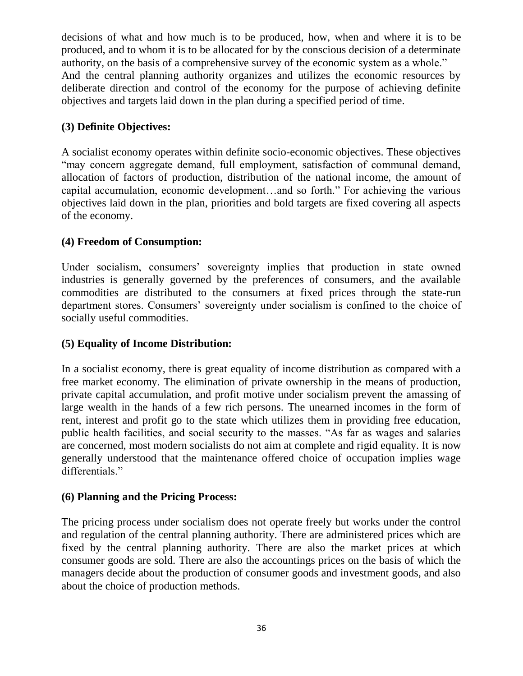decisions of what and how much is to be produced, how, when and where it is to be produced, and to whom it is to be allocated for by the conscious decision of a determinate authority, on the basis of a comprehensive survey of the economic system as a whole." And the central planning authority organizes and utilizes the economic resources by deliberate direction and control of the economy for the purpose of achieving definite objectives and targets laid down in the plan during a specified period of time.

## **(3) Definite Objectives:**

A socialist economy operates within definite socio-economic objectives. These objectives "may concern aggregate demand, full employment, satisfaction of communal demand, allocation of factors of production, distribution of the national income, the amount of capital accumulation, economic development...and so forth." For achieving the various objectives laid down in the plan, priorities and bold targets are fixed covering all aspects of the economy.

### **(4) Freedom of Consumption:**

Under socialism, consumers' sovereignty implies that production in state owned industries is generally governed by the preferences of consumers, and the available commodities are distributed to the consumers at fixed prices through the state-run department stores. Consumers' sovereignty under socialism is confined to the choice of socially useful commodities.

### **(5) Equality of Income Distribution:**

In a socialist economy, there is great equality of income distribution as compared with a free market economy. The elimination of private ownership in the means of production, private capital accumulation, and profit motive under socialism prevent the amassing of large wealth in the hands of a few rich persons. The unearned incomes in the form of rent, interest and profit go to the state which utilizes them in providing free education, public health facilities, and social security to the masses. "As far as wages and salaries are concerned, most modern socialists do not aim at complete and rigid equality. It is now generally understood that the maintenance offered choice of occupation implies wage differentials."

### **(6) Planning and the Pricing Process:**

The pricing process under socialism does not operate freely but works under the control and regulation of the central planning authority. There are administered prices which are fixed by the central planning authority. There are also the market prices at which consumer goods are sold. There are also the accountings prices on the basis of which the managers decide about the production of consumer goods and investment goods, and also about the choice of production methods.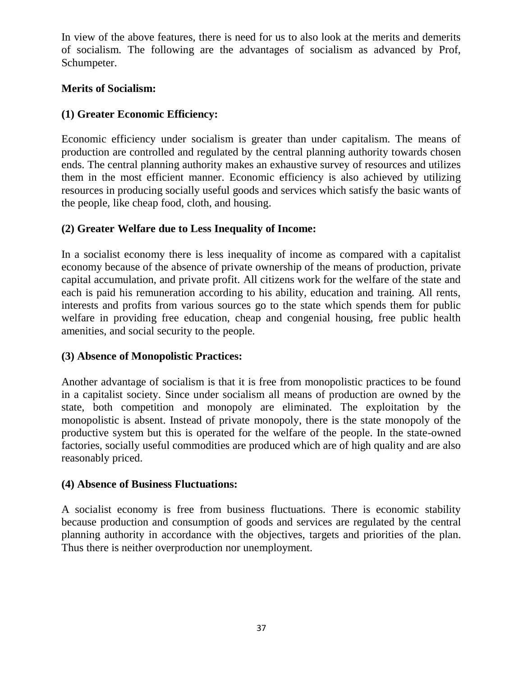In view of the above features, there is need for us to also look at the merits and demerits of socialism. The following are the advantages of socialism as advanced by Prof, Schumpeter.

### **Merits of Socialism:**

### **(1) Greater Economic Efficiency:**

Economic efficiency under socialism is greater than under capitalism. The means of production are controlled and regulated by the central planning authority towards chosen ends. The central planning authority makes an exhaustive survey of resources and utilizes them in the most efficient manner. Economic efficiency is also achieved by utilizing resources in producing socially useful goods and services which satisfy the basic wants of the people, like cheap food, cloth, and housing.

### **(2) Greater Welfare due to Less Inequality of Income:**

In a socialist economy there is less inequality of income as compared with a capitalist economy because of the absence of private ownership of the means of production, private capital accumulation, and private profit. All citizens work for the welfare of the state and each is paid his remuneration according to his ability, education and training. All rents, interests and profits from various sources go to the state which spends them for public welfare in providing free education, cheap and congenial housing, free public health amenities, and social security to the people.

#### **(3) Absence of Monopolistic Practices:**

Another advantage of socialism is that it is free from monopolistic practices to be found in a capitalist society. Since under socialism all means of production are owned by the state, both competition and monopoly are eliminated. The exploitation by the monopolistic is absent. Instead of private monopoly, there is the state monopoly of the productive system but this is operated for the welfare of the people. In the state-owned factories, socially useful commodities are produced which are of high quality and are also reasonably priced.

#### **(4) Absence of Business Fluctuations:**

A socialist economy is free from business fluctuations. There is economic stability because production and consumption of goods and services are regulated by the central planning authority in accordance with the objectives, targets and priorities of the plan. Thus there is neither overproduction nor unemployment.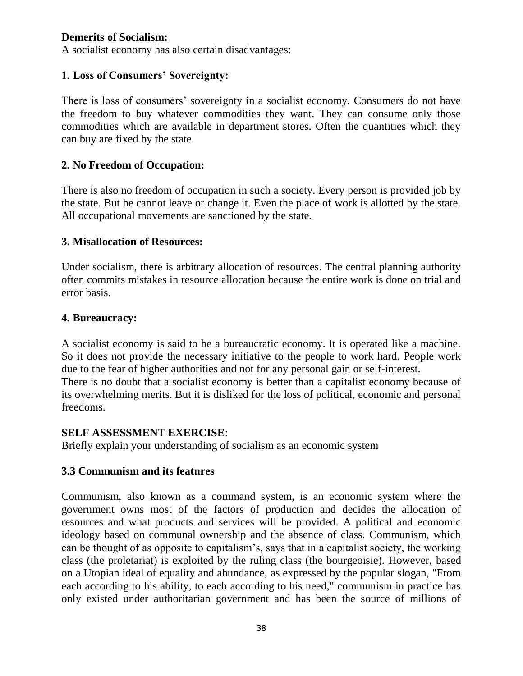#### **Demerits of Socialism:**

A socialist economy has also certain disadvantages:

### **1. Loss of Consumers' Sovereignty:**

There is loss of consumers' sovereignty in a socialist economy. Consumers do not have the freedom to buy whatever commodities they want. They can consume only those commodities which are available in department stores. Often the quantities which they can buy are fixed by the state.

### **2. No Freedom of Occupation:**

There is also no freedom of occupation in such a society. Every person is provided job by the state. But he cannot leave or change it. Even the place of work is allotted by the state. All occupational movements are sanctioned by the state.

#### **3. Misallocation of Resources:**

Under socialism, there is arbitrary allocation of resources. The central planning authority often commits mistakes in resource allocation because the entire work is done on trial and error basis.

#### **4. Bureaucracy:**

A socialist economy is said to be a bureaucratic economy. It is operated like a machine. So it does not provide the necessary initiative to the people to work hard. People work due to the fear of higher authorities and not for any personal gain or self-interest. There is no doubt that a socialist economy is better than a capitalist economy because of its overwhelming merits. But it is disliked for the loss of political, economic and personal freedoms.

#### **SELF ASSESSMENT EXERCISE**:

Briefly explain your understanding of socialism as an economic system

#### **3.3 Communism and its features**

Communism, also known as a command system, is an economic system where the government owns most of the factors of production and decides the allocation of resources and what products and services will be provided. A political and economic ideology based on communal ownership and the absence of class. Communism, which can be thought of as opposite to capitalism's, says that in a capitalist society, the working class (the proletariat) is exploited by the ruling class (the bourgeoisie). However, based on a Utopian ideal of equality and abundance, as expressed by the popular slogan, "From each according to his ability, to each according to his need," communism in practice has only existed under authoritarian government and has been the source of millions of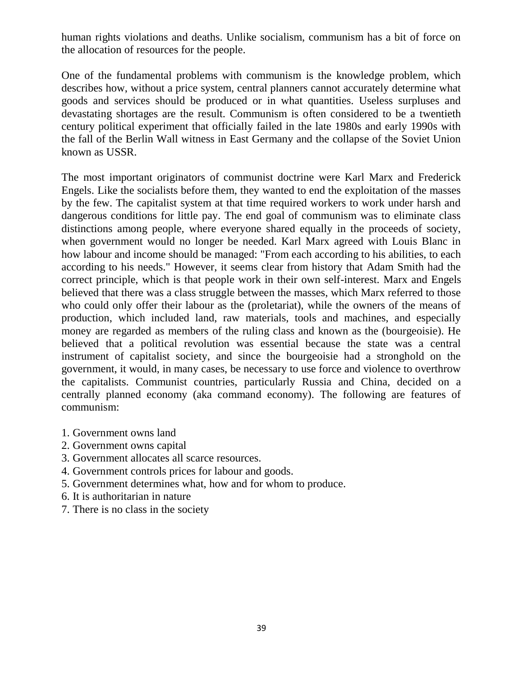human rights violations and deaths. Unlike socialism, communism has a bit of force on the allocation of resources for the people.

One of the fundamental problems with communism is the knowledge problem, which describes how, without a price system, central planners cannot accurately determine what goods and services should be produced or in what quantities. Useless surpluses and devastating shortages are the result. Communism is often considered to be a twentieth century political experiment that officially failed in the late 1980s and early 1990s with the fall of the Berlin Wall witness in East Germany and the collapse of the Soviet Union known as USSR.

The most important originators of communist doctrine were Karl Marx and Frederick Engels. Like the socialists before them, they wanted to end the exploitation of the masses by the few. The capitalist system at that time required workers to work under harsh and dangerous conditions for little pay. The end goal of communism was to eliminate class distinctions among people, where everyone shared equally in the proceeds of society, when government would no longer be needed. Karl Marx agreed with Louis Blanc in how labour and income should be managed: "From each according to his abilities, to each according to his needs." However, it seems clear from history that Adam Smith had the correct principle, which is that people work in their own self-interest. Marx and Engels believed that there was a class struggle between the masses, which Marx referred to those who could only offer their labour as the (proletariat), while the owners of the means of production, which included land, raw materials, tools and machines, and especially money are regarded as members of the ruling class and known as the (bourgeoisie). He believed that a political revolution was essential because the state was a central instrument of capitalist society, and since the bourgeoisie had a stronghold on the government, it would, in many cases, be necessary to use force and violence to overthrow the capitalists. Communist countries, particularly Russia and China, decided on a centrally planned economy (aka command economy). The following are features of communism:

- 1. Government owns land
- 2. Government owns capital
- 3. Government allocates all scarce resources.
- 4. Government controls prices for labour and goods.
- 5. Government determines what, how and for whom to produce.
- 6. It is authoritarian in nature
- 7. There is no class in the society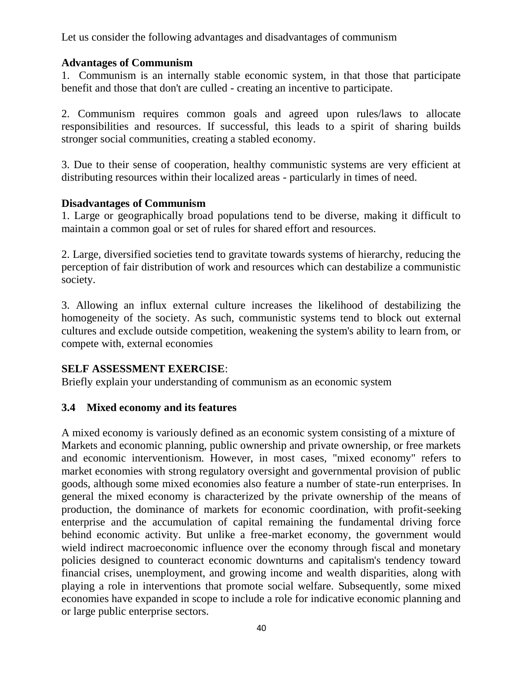Let us consider the following advantages and disadvantages of communism

#### **Advantages of Communism**

1. Communism is an internally stable economic system, in that those that participate benefit and those that don't are culled - creating an incentive to participate.

2. Communism requires common goals and agreed upon rules/laws to allocate responsibilities and resources. If successful, this leads to a spirit of sharing builds stronger social communities, creating a stabled economy.

3. Due to their sense of cooperation, healthy communistic systems are very efficient at distributing resources within their localized areas - particularly in times of need.

#### **Disadvantages of Communism**

1. Large or geographically broad populations tend to be diverse, making it difficult to maintain a common goal or set of rules for shared effort and resources.

2. Large, diversified societies tend to gravitate towards systems of hierarchy, reducing the perception of fair distribution of work and resources which can destabilize a communistic society.

3. Allowing an influx external culture increases the likelihood of destabilizing the homogeneity of the society. As such, communistic systems tend to block out external cultures and exclude outside competition, weakening the system's ability to learn from, or compete with, external economies

#### **SELF ASSESSMENT EXERCISE**:

Briefly explain your understanding of communism as an economic system

#### **3.4 Mixed economy and its features**

A mixed economy is variously defined as an economic system consisting of a mixture of Markets and economic planning, public ownership and private ownership, or free markets and economic interventionism. However, in most cases, "mixed economy" refers to market economies with strong regulatory oversight and governmental provision of public goods, although some mixed economies also feature a number of state-run enterprises. In general the mixed economy is characterized by the private ownership of the means of production, the dominance of markets for economic coordination, with profit-seeking enterprise and the accumulation of capital remaining the fundamental driving force behind economic activity. But unlike a free-market economy, the government would wield indirect macroeconomic influence over the economy through fiscal and monetary policies designed to counteract economic downturns and capitalism's tendency toward financial crises, unemployment, and growing income and wealth disparities, along with playing a role in interventions that promote social welfare. Subsequently, some mixed economies have expanded in scope to include a role for indicative economic planning and or large public enterprise sectors.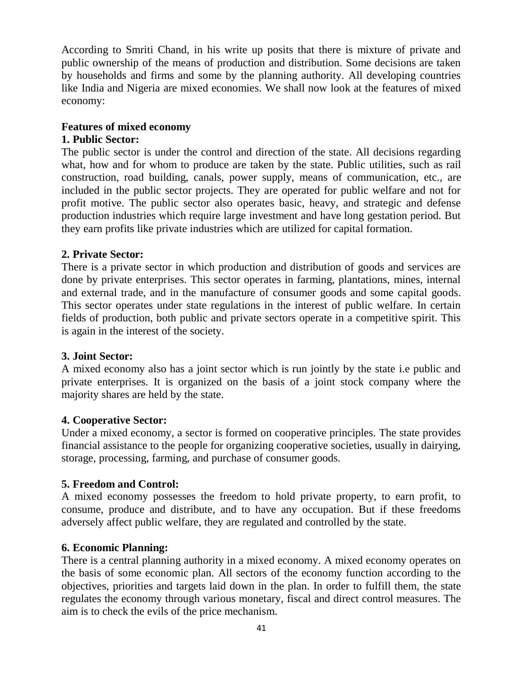According to Smriti Chand, in his write up posits that there is mixture of private and public ownership of the means of production and distribution. Some decisions are taken by households and firms and some by the planning authority. All developing countries like India and Nigeria are mixed economies. We shall now look at the features of mixed economy:

# **Features of mixed economy**

#### **1. Public Sector:**

The public sector is under the control and direction of the state. All decisions regarding what, how and for whom to produce are taken by the state. Public utilities, such as rail construction, road building, canals, power supply, means of communication, etc., are included in the public sector projects. They are operated for public welfare and not for profit motive. The public sector also operates basic, heavy, and strategic and defense production industries which require large investment and have long gestation period. But they earn profits like private industries which are utilized for capital formation.

#### **2. Private Sector:**

There is a private sector in which production and distribution of goods and services are done by private enterprises. This sector operates in farming, plantations, mines, internal and external trade, and in the manufacture of consumer goods and some capital goods. This sector operates under state regulations in the interest of public welfare. In certain fields of production, both public and private sectors operate in a competitive spirit. This is again in the interest of the society.

#### **3. Joint Sector:**

A mixed economy also has a joint sector which is run jointly by the state i.e public and private enterprises. It is organized on the basis of a joint stock company where the majority shares are held by the state.

#### **4. Cooperative Sector:**

Under a mixed economy, a sector is formed on cooperative principles. The state provides financial assistance to the people for organizing cooperative societies, usually in dairying, storage, processing, farming, and purchase of consumer goods.

#### **5. Freedom and Control:**

A mixed economy possesses the freedom to hold private property, to earn profit, to consume, produce and distribute, and to have any occupation. But if these freedoms adversely affect public welfare, they are regulated and controlled by the state.

#### **6. Economic Planning:**

There is a central planning authority in a mixed economy. A mixed economy operates on the basis of some economic plan. All sectors of the economy function according to the objectives, priorities and targets laid down in the plan. In order to fulfill them, the state regulates the economy through various monetary, fiscal and direct control measures. The aim is to check the evils of the price mechanism.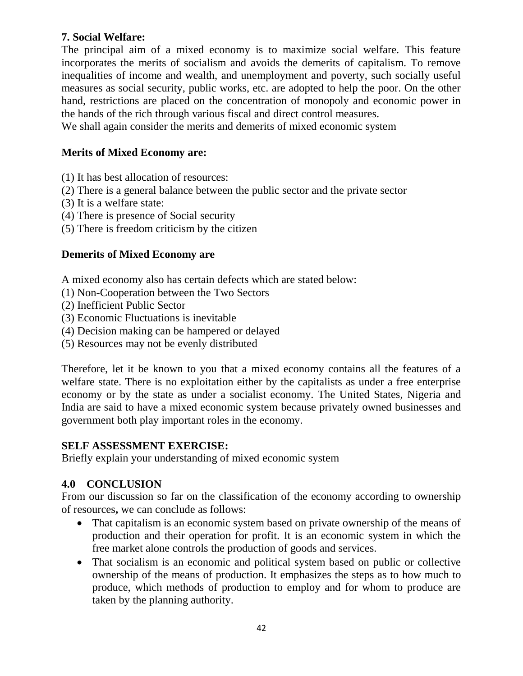### **7. Social Welfare:**

The principal aim of a mixed economy is to maximize social welfare. This feature incorporates the merits of socialism and avoids the demerits of capitalism. To remove inequalities of income and wealth, and unemployment and poverty, such socially useful measures as social security, public works, etc. are adopted to help the poor. On the other hand, restrictions are placed on the concentration of monopoly and economic power in the hands of the rich through various fiscal and direct control measures.

We shall again consider the merits and demerits of mixed economic system

#### **Merits of Mixed Economy are:**

- (1) It has best allocation of resources:
- (2) There is a general balance between the public sector and the private sector
- (3) It is a welfare state:
- (4) There is presence of Social security
- (5) There is freedom criticism by the citizen

#### **Demerits of Mixed Economy are**

A mixed economy also has certain defects which are stated below:

- (1) Non-Cooperation between the Two Sectors
- (2) Inefficient Public Sector
- (3) Economic Fluctuations is inevitable
- (4) Decision making can be hampered or delayed
- (5) Resources may not be evenly distributed

Therefore, let it be known to you that a mixed economy contains all the features of a welfare state. There is no exploitation either by the capitalists as under a free enterprise economy or by the state as under a socialist economy. The United States, Nigeria and India are said to have a mixed economic system because privately owned businesses and government both play important roles in the economy.

#### **SELF ASSESSMENT EXERCISE:**

Briefly explain your understanding of mixed economic system

#### **4.0 CONCLUSION**

From our discussion so far on the classification of the economy according to ownership of resources**,** we can conclude as follows:

- That capitalism is an economic system based on private ownership of the means of production and their operation for profit. It is an economic system in which the free market alone controls the production of goods and services.
- That socialism is an economic and political system based on public or collective ownership of the means of production. It emphasizes the steps as to how much to produce, which methods of production to employ and for whom to produce are taken by the planning authority.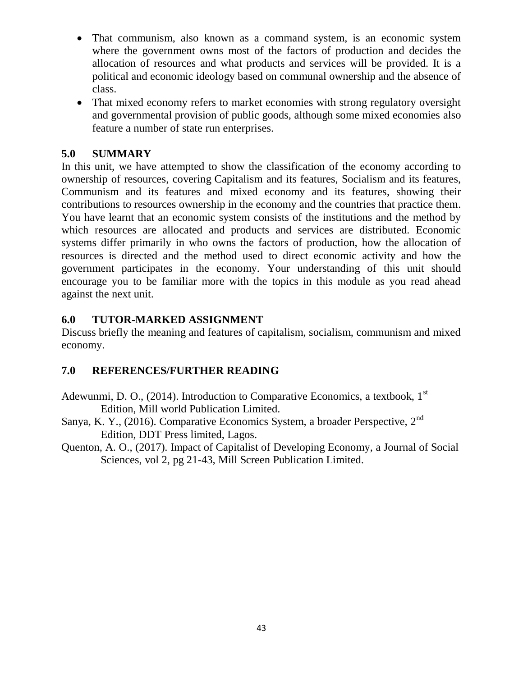- That communism, also known as a command system, is an economic system where the government owns most of the factors of production and decides the allocation of resources and what products and services will be provided. It is a political and economic ideology based on communal ownership and the absence of class.
- That mixed economy refers to market economies with strong regulatory oversight and governmental provision of public goods, although some mixed economies also feature a number of state run enterprises.

### **5.0 SUMMARY**

In this unit, we have attempted to show the classification of the economy according to ownership of resources, covering Capitalism and its features, Socialism and its features, Communism and its features and mixed economy and its features, showing their contributions to resources ownership in the economy and the countries that practice them. You have learnt that an economic system consists of the institutions and the method by which resources are allocated and products and services are distributed. Economic systems differ primarily in who owns the factors of production, how the allocation of resources is directed and the method used to direct economic activity and how the government participates in the economy. Your understanding of this unit should encourage you to be familiar more with the topics in this module as you read ahead against the next unit.

### **6.0 TUTOR-MARKED ASSIGNMENT**

Discuss briefly the meaning and features of capitalism, socialism, communism and mixed economy.

# **7.0 REFERENCES/FURTHER READING**

Adewunmi, D. O., (2014). Introduction to Comparative Economics, a textbook,  $1<sup>st</sup>$ Edition, Mill world Publication Limited.

Sanya, K. Y., (2016). Comparative Economics System, a broader Perspective, 2<sup>nd</sup> Edition, DDT Press limited, Lagos.

Quenton, A. O., (2017). Impact of Capitalist of Developing Economy, a Journal of Social Sciences, vol 2, pg 21-43, Mill Screen Publication Limited.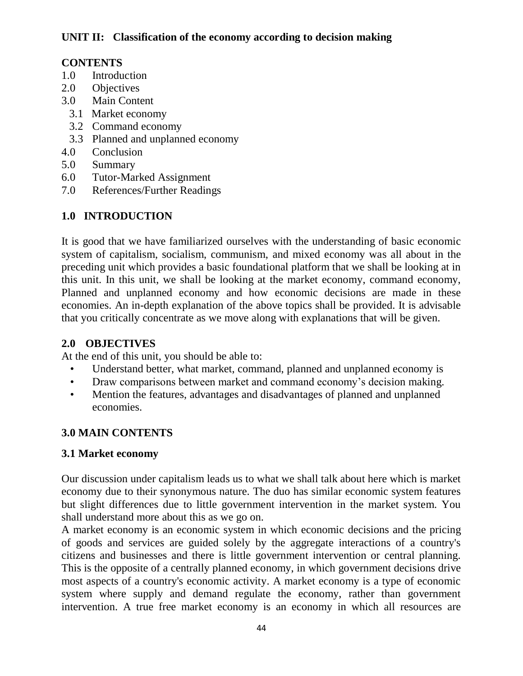### **UNIT II: Classification of the economy according to decision making**

### **CONTENTS**

- 1.0 Introduction
- 2.0 Objectives
- 3.0 Main Content
	- 3.1 Market economy
	- 3.2 Command economy
	- 3.3 Planned and unplanned economy
- 4.0 Conclusion
- 5.0 Summary
- 6.0 Tutor-Marked Assignment
- 7.0 References/Further Readings

## **1.0 INTRODUCTION**

It is good that we have familiarized ourselves with the understanding of basic economic system of capitalism, socialism, communism, and mixed economy was all about in the preceding unit which provides a basic foundational platform that we shall be looking at in this unit. In this unit, we shall be looking at the market economy, command economy, Planned and unplanned economy and how economic decisions are made in these economies. An in-depth explanation of the above topics shall be provided. It is advisable that you critically concentrate as we move along with explanations that will be given.

### **2.0 OBJECTIVES**

At the end of this unit, you should be able to:

- Understand better, what market, command, planned and unplanned economy is
- Draw comparisons between market and command economy's decision making.
- Mention the features, advantages and disadvantages of planned and unplanned economies.

### **3.0 MAIN CONTENTS**

#### **3.1 Market economy**

Our discussion under capitalism leads us to what we shall talk about here which is market economy due to their synonymous nature. The duo has similar economic system features but slight differences due to little government intervention in the market system. You shall understand more about this as we go on.

A market economy is an economic system in which economic decisions and the pricing of goods and services are guided solely by the aggregate interactions of a country's citizens and businesses and there is little government intervention or central planning. This is the opposite of a centrally planned economy, in which government decisions drive most aspects of a country's economic activity. A market economy is a type of economic system where supply and demand regulate the economy, rather than government intervention. A true free market economy is an economy in which all resources are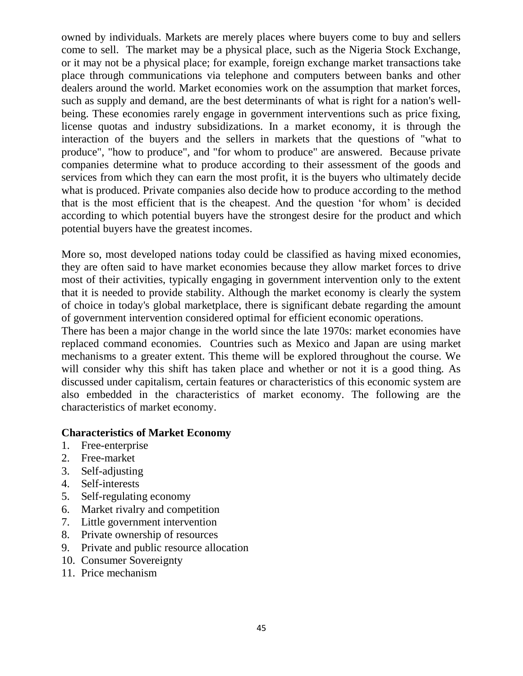owned by individuals. Markets are merely places where buyers come to buy and sellers come to sell. The market may be a physical place, such as the Nigeria Stock Exchange, or it may not be a physical place; for example, foreign exchange market transactions take place through communications via telephone and computers between banks and other dealers around the world. Market economies work on the assumption that market forces, such as supply and demand, are the best determinants of what is right for a nation's wellbeing. These economies rarely engage in government interventions such as price fixing, license quotas and industry subsidizations. In a market economy, it is through the interaction of the buyers and the sellers in markets that the questions of "what to produce", "how to produce", and "for whom to produce" are answered. Because private companies determine what to produce according to their assessment of the goods and services from which they can earn the most profit, it is the buyers who ultimately decide what is produced. Private companies also decide how to produce according to the method that is the most efficient that is the cheapest. And the question 'for whom' is decided according to which potential buyers have the strongest desire for the product and which potential buyers have the greatest incomes.

More so, most developed nations today could be classified as having mixed economies, they are often said to have market economies because they allow market forces to drive most of their activities, typically engaging in government intervention only to the extent that it is needed to provide stability. Although the market economy is clearly the system of choice in today's global marketplace, there is significant debate regarding the amount of government intervention considered optimal for efficient economic operations.

There has been a major change in the world since the late 1970s: market economies have replaced command economies. Countries such as Mexico and Japan are using market mechanisms to a greater extent. This theme will be explored throughout the course. We will consider why this shift has taken place and whether or not it is a good thing. As discussed under capitalism, certain features or characteristics of this economic system are also embedded in the characteristics of market economy. The following are the characteristics of market economy.

#### **Characteristics of Market Economy**

- 1. Free-enterprise
- 2. Free-market
- 3. Self-adjusting
- 4. Self-interests
- 5. Self-regulating economy
- 6. Market rivalry and competition
- 7. Little government intervention
- 8. Private ownership of resources
- 9. Private and public resource allocation
- 10. Consumer Sovereignty
- 11. Price mechanism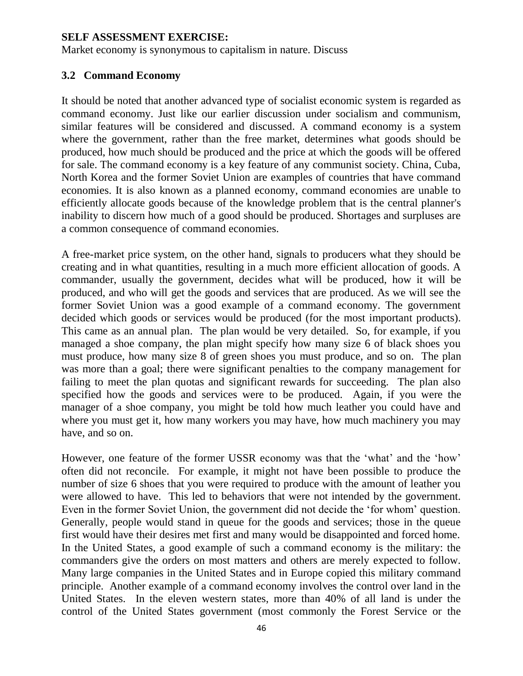#### **SELF ASSESSMENT EXERCISE:**

Market economy is synonymous to capitalism in nature. Discuss

#### **3.2 Command Economy**

It should be noted that another advanced type of socialist economic system is regarded as command economy. Just like our earlier discussion under socialism and communism, similar features will be considered and discussed. A command economy is a system where the government, rather than the free market, determines what goods should be produced, how much should be produced and the price at which the goods will be offered for sale. The command economy is a key feature of any communist society. China, Cuba, North Korea and the former Soviet Union are examples of countries that have command economies. It is also known as a planned economy, command economies are unable to efficiently allocate goods because of the knowledge problem that is the central planner's inability to discern how much of a good should be produced. Shortages and surpluses are a common consequence of command economies.

A free-market price system, on the other hand, signals to producers what they should be creating and in what quantities, resulting in a much more efficient allocation of goods. A commander, usually the government, decides what will be produced, how it will be produced, and who will get the goods and services that are produced. As we will see the former Soviet Union was a good example of a command economy. The government decided which goods or services would be produced (for the most important products). This came as an annual plan. The plan would be very detailed. So, for example, if you managed a shoe company, the plan might specify how many size 6 of black shoes you must produce, how many size 8 of green shoes you must produce, and so on. The plan was more than a goal; there were significant penalties to the company management for failing to meet the plan quotas and significant rewards for succeeding. The plan also specified how the goods and services were to be produced. Again, if you were the manager of a shoe company, you might be told how much leather you could have and where you must get it, how many workers you may have, how much machinery you may have, and so on.

However, one feature of the former USSR economy was that the 'what' and the 'how' often did not reconcile. For example, it might not have been possible to produce the number of size 6 shoes that you were required to produce with the amount of leather you were allowed to have. This led to behaviors that were not intended by the government. Even in the former Soviet Union, the government did not decide the 'for whom' question. Generally, people would stand in queue for the goods and services; those in the queue first would have their desires met first and many would be disappointed and forced home. In the United States, a good example of such a command economy is the military: the commanders give the orders on most matters and others are merely expected to follow. Many large companies in the United States and in Europe copied this military command principle. Another example of a command economy involves the control over land in the United States. In the eleven western states, more than 40% of all land is under the control of the United States government (most commonly the Forest Service or the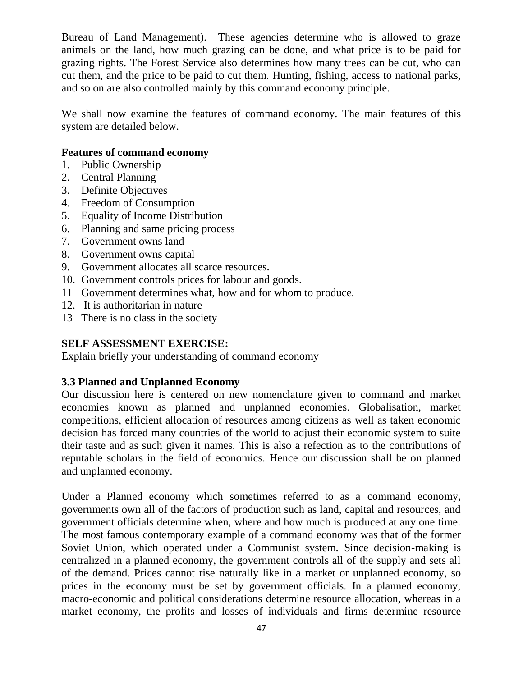Bureau of Land Management). These agencies determine who is allowed to graze animals on the land, how much grazing can be done, and what price is to be paid for grazing rights. The Forest Service also determines how many trees can be cut, who can cut them, and the price to be paid to cut them. Hunting, fishing, access to national parks, and so on are also controlled mainly by this command economy principle.

We shall now examine the features of command economy. The main features of this system are detailed below.

#### **Features of command economy**

- 1. Public Ownership
- 2. Central Planning
- 3. Definite Objectives
- 4. Freedom of Consumption
- 5. Equality of Income Distribution
- 6. Planning and same pricing process
- 7. Government owns land
- 8. Government owns capital
- 9. Government allocates all scarce resources.
- 10. Government controls prices for labour and goods.
- 11 Government determines what, how and for whom to produce.
- 12. It is authoritarian in nature
- 13 There is no class in the society

### **SELF ASSESSMENT EXERCISE:**

Explain briefly your understanding of command economy

### **3.3 Planned and Unplanned Economy**

Our discussion here is centered on new nomenclature given to command and market economies known as planned and unplanned economies. Globalisation, market competitions, efficient allocation of resources among citizens as well as taken economic decision has forced many countries of the world to adjust their economic system to suite their taste and as such given it names. This is also a refection as to the contributions of reputable scholars in the field of economics. Hence our discussion shall be on planned and unplanned economy.

Under a Planned economy which sometimes referred to as a command economy, governments own all of the factors of production such as land, capital and resources, and government officials determine when, where and how much is produced at any one time. The most famous contemporary example of a command economy was that of the former Soviet Union, which operated under a Communist system. Since decision-making is centralized in a planned economy, the government controls all of the supply and sets all of the demand. Prices cannot rise naturally like in a market or unplanned economy, so prices in the economy must be set by government officials. In a planned economy, macro-economic and political considerations determine resource allocation, whereas in a market economy, the profits and losses of individuals and firms determine resource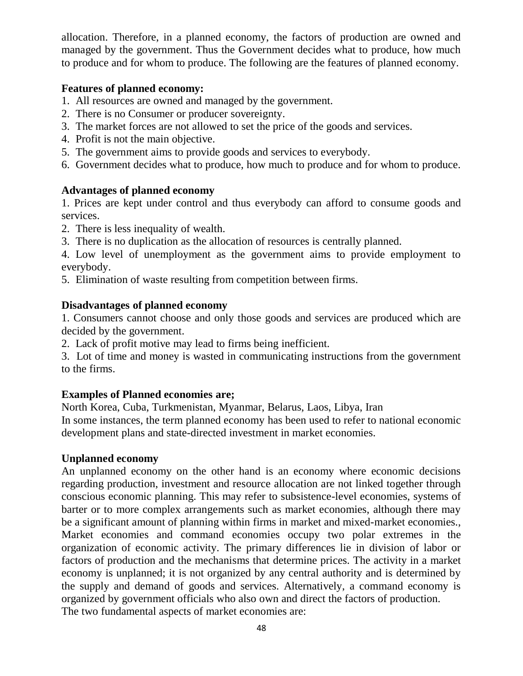allocation. Therefore, in a planned economy, the factors of production are owned and managed by the government. Thus the Government decides what to produce, how much to produce and for whom to produce. The following are the features of planned economy.

### **Features of planned economy:**

- 1. All resources are owned and managed by the government.
- 2. There is no Consumer or producer sovereignty.
- 3. The market forces are not allowed to set the price of the goods and services.
- 4. Profit is not the main objective.
- 5. The government aims to provide goods and services to everybody.
- 6. Government decides what to produce, how much to produce and for whom to produce.

# **Advantages of planned economy**

1. Prices are kept under control and thus everybody can afford to consume goods and services.

- 2. There is less inequality of wealth.
- 3. There is no duplication as the allocation of resources is centrally planned.

4. Low level of unemployment as the government aims to provide employment to everybody.

5. Elimination of waste resulting from competition between firms.

# **Disadvantages of planned economy**

1. Consumers cannot choose and only those goods and services are produced which are decided by the government.

2. Lack of profit motive may lead to firms being inefficient.

3. Lot of time and money is wasted in communicating instructions from the government to the firms.

# **Examples of Planned economies are;**

North Korea, Cuba, Turkmenistan, Myanmar, Belarus, Laos, Libya, Iran In some instances, the term planned economy has been used to refer to national economic development plans and state-directed investment in market economies.

# **Unplanned economy**

An unplanned economy on the other hand is an economy where economic decisions regarding production, investment and resource allocation are not linked together through conscious economic planning. This may refer to subsistence-level economies, systems of barter or to more complex arrangements such as market economies, although there may be a significant amount of planning within firms in market and mixed-market economies., Market economies and command economies occupy two polar extremes in the organization of economic activity. The primary differences lie in division of labor or factors of production and the mechanisms that determine prices. The activity in a market economy is unplanned; it is not organized by any central authority and is determined by the supply and demand of goods and services. Alternatively, a command economy is organized by government officials who also own and direct the factors of production. The two fundamental aspects of market economies are: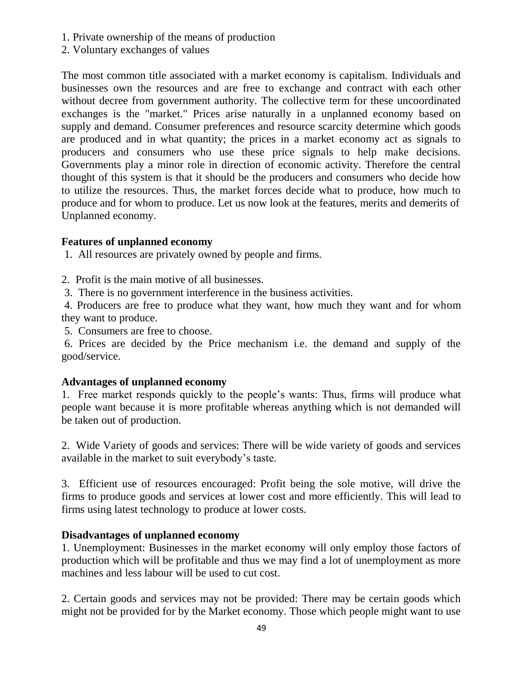- 1. Private ownership of the means of production
- 2. Voluntary exchanges of values

The most common title associated with a market economy is capitalism. Individuals and businesses own the resources and are free to exchange and contract with each other without decree from government authority. The collective term for these uncoordinated exchanges is the "market." Prices arise naturally in a unplanned economy based on supply and demand. Consumer preferences and resource scarcity determine which goods are produced and in what quantity; the prices in a market economy act as signals to producers and consumers who use these price signals to help make decisions. Governments play a minor role in direction of economic activity. Therefore the central thought of this system is that it should be the producers and consumers who decide how to utilize the resources. Thus, the market forces decide what to produce, how much to produce and for whom to produce. Let us now look at the features, merits and demerits of Unplanned economy.

#### **Features of unplanned economy**

1. All resources are privately owned by people and firms.

- 2. Profit is the main motive of all businesses.
- 3. There is no government interference in the business activities.

4. Producers are free to produce what they want, how much they want and for whom they want to produce.

5. Consumers are free to choose.

6. Prices are decided by the Price mechanism i.e. the demand and supply of the good/service.

#### **Advantages of unplanned economy**

1. Free market responds quickly to the people's wants: Thus, firms will produce what people want because it is more profitable whereas anything which is not demanded will be taken out of production.

2. Wide Variety of goods and services: There will be wide variety of goods and services available in the market to suit everybody's taste.

3. Efficient use of resources encouraged: Profit being the sole motive, will drive the firms to produce goods and services at lower cost and more efficiently. This will lead to firms using latest technology to produce at lower costs.

#### **Disadvantages of unplanned economy**

1. Unemployment: Businesses in the market economy will only employ those factors of production which will be profitable and thus we may find a lot of unemployment as more machines and less labour will be used to cut cost.

2. Certain goods and services may not be provided: There may be certain goods which might not be provided for by the Market economy. Those which people might want to use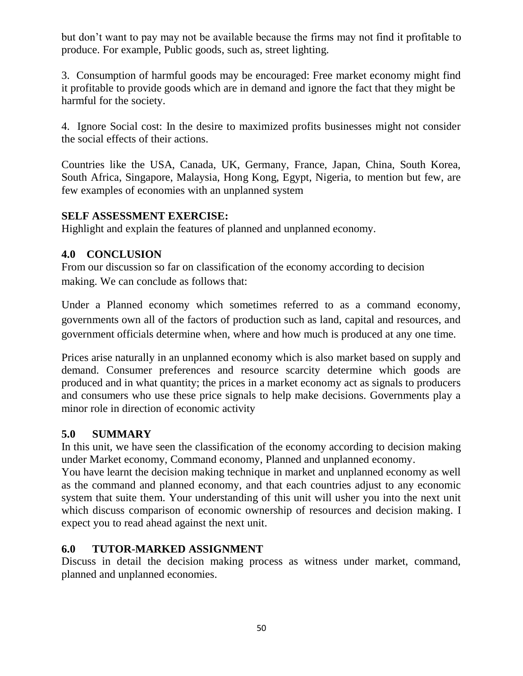but don't want to pay may not be available because the firms may not find it profitable to produce. For example, Public goods, such as, street lighting.

3. Consumption of harmful goods may be encouraged: Free market economy might find it profitable to provide goods which are in demand and ignore the fact that they might be harmful for the society.

4. Ignore Social cost: In the desire to maximized profits businesses might not consider the social effects of their actions.

Countries like the USA, Canada, UK, Germany, France, Japan, China, South Korea, South Africa, Singapore, Malaysia, Hong Kong, Egypt, Nigeria, to mention but few, are few examples of economies with an unplanned system

### **SELF ASSESSMENT EXERCISE:**

Highlight and explain the features of planned and unplanned economy.

### **4.0 CONCLUSION**

From our discussion so far on classification of the economy according to decision making. We can conclude as follows that:

Under a Planned economy which sometimes referred to as a command economy, governments own all of the factors of production such as land, capital and resources, and government officials determine when, where and how much is produced at any one time.

Prices arise naturally in an unplanned economy which is also market based on supply and demand. Consumer preferences and resource scarcity determine which goods are produced and in what quantity; the prices in a market economy act as signals to producers and consumers who use these price signals to help make decisions. Governments play a minor role in direction of economic activity

### **5.0 SUMMARY**

In this unit, we have seen the classification of the economy according to decision making under Market economy, Command economy, Planned and unplanned economy.

You have learnt the decision making technique in market and unplanned economy as well as the command and planned economy, and that each countries adjust to any economic system that suite them. Your understanding of this unit will usher you into the next unit which discuss comparison of economic ownership of resources and decision making. I expect you to read ahead against the next unit.

### **6.0 TUTOR-MARKED ASSIGNMENT**

Discuss in detail the decision making process as witness under market, command, planned and unplanned economies.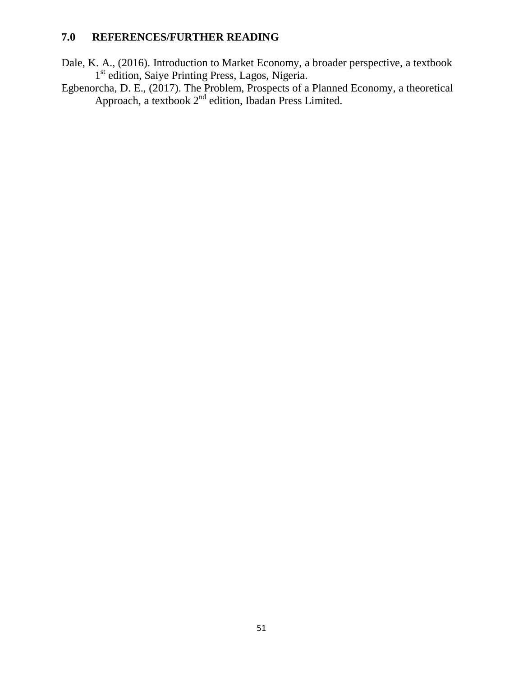## **7.0 REFERENCES/FURTHER READING**

- Dale, K. A., (2016). Introduction to Market Economy, a broader perspective, a textbook 1 1<sup>st</sup> edition, Saiye Printing Press, Lagos, Nigeria.
- Egbenorcha, D. E., (2017). The Problem, Prospects of a Planned Economy, a theoretical Approach, a textbook  $2<sup>nd</sup>$  edition, Ibadan Press Limited.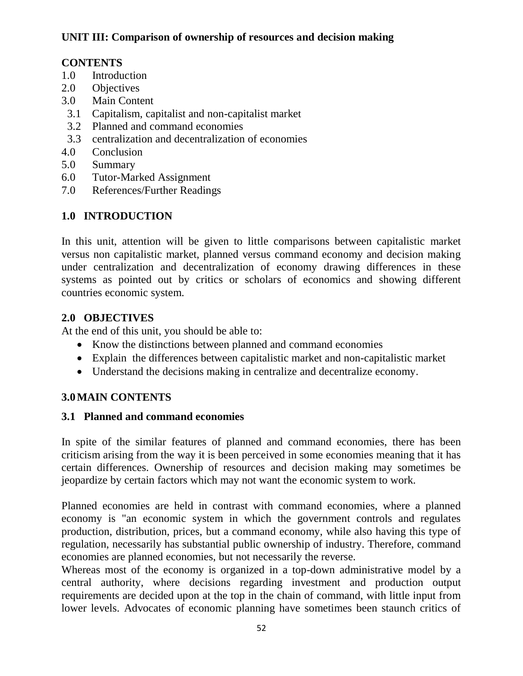### **UNIT III: Comparison of ownership of resources and decision making**

### **CONTENTS**

- 1.0 Introduction
- 2.0 Objectives
- 3.0 Main Content
- 3.1 Capitalism, capitalist and non-capitalist market
- 3.2 Planned and command economies
- 3.3 centralization and decentralization of economies
- 4.0 Conclusion
- 5.0 Summary
- 6.0 Tutor-Marked Assignment
- 7.0 References/Further Readings

# **1.0 INTRODUCTION**

In this unit, attention will be given to little comparisons between capitalistic market versus non capitalistic market, planned versus command economy and decision making under centralization and decentralization of economy drawing differences in these systems as pointed out by critics or scholars of economics and showing different countries economic system.

# **2.0 OBJECTIVES**

At the end of this unit, you should be able to:

- Know the distinctions between planned and command economies
- Explain the differences between capitalistic market and non-capitalistic market
- Understand the decisions making in centralize and decentralize economy.

# **3.0MAIN CONTENTS**

### **3.1 Planned and command economies**

In spite of the similar features of planned and command economies, there has been criticism arising from the way it is been perceived in some economies meaning that it has certain differences. Ownership of resources and decision making may sometimes be jeopardize by certain factors which may not want the economic system to work.

Planned economies are held in contrast with command economies, where a planned economy is "an economic system in which the government controls and regulates production, distribution, prices, but a command economy, while also having this type of regulation, necessarily has substantial public ownership of industry. Therefore, command economies are planned economies, but not necessarily the reverse.

Whereas most of the economy is organized in a top-down administrative model by a central authority, where decisions regarding investment and production output requirements are decided upon at the top in the chain of command, with little input from lower levels. Advocates of economic planning have sometimes been staunch critics of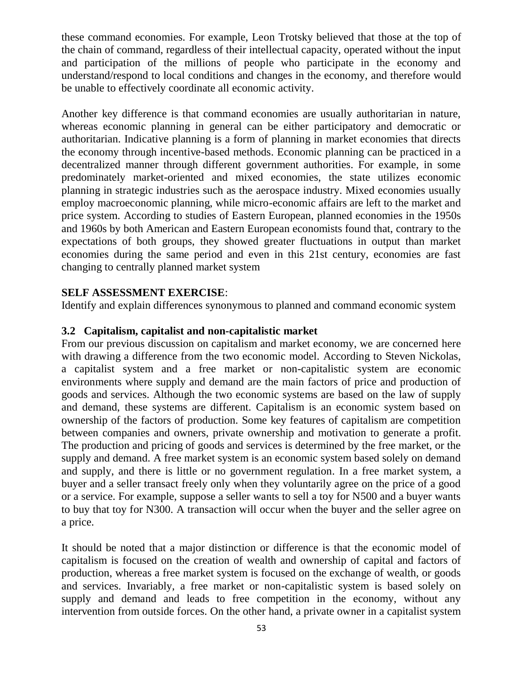these command economies. For example, Leon Trotsky believed that those at the top of the chain of command, regardless of their intellectual capacity, operated without the input and participation of the millions of people who participate in the economy and understand/respond to local conditions and changes in the economy, and therefore would be unable to effectively coordinate all economic activity.

Another key difference is that command economies are usually authoritarian in nature, whereas economic planning in general can be either participatory and democratic or authoritarian. Indicative planning is a form of planning in market economies that directs the economy through incentive-based methods. Economic planning can be practiced in a decentralized manner through different government authorities. For example, in some predominately market-oriented and mixed economies, the state utilizes economic planning in strategic industries such as the aerospace industry. Mixed economies usually employ macroeconomic planning, while micro-economic affairs are left to the market and price system. According to studies of Eastern European, planned economies in the 1950s and 1960s by both American and Eastern European economists found that, contrary to the expectations of both groups, they showed greater fluctuations in output than market economies during the same period and even in this 21st century, economies are fast changing to centrally planned market system

#### **SELF ASSESSMENT EXERCISE**:

Identify and explain differences synonymous to planned and command economic system

#### **3.2 Capitalism, capitalist and non-capitalistic market**

From our previous discussion on capitalism and market economy, we are concerned here with drawing a difference from the two economic model. According to Steven Nickolas, a capitalist system and a free market or non-capitalistic system are economic environments where supply and demand are the main factors of price and production of goods and services. Although the two economic systems are based on the law of supply and demand, these systems are different. Capitalism is an economic system based on ownership of the factors of production. Some key features of capitalism are competition between companies and owners, private ownership and motivation to generate a profit. The production and pricing of goods and services is determined by the free market, or the supply and demand. A free market system is an economic system based solely on demand and supply, and there is little or no government regulation. In a free market system, a buyer and a seller transact freely only when they voluntarily agree on the price of a good or a service. For example, suppose a seller wants to sell a toy for N500 and a buyer wants to buy that toy for N300. A transaction will occur when the buyer and the seller agree on a price.

It should be noted that a major distinction or difference is that the economic model of capitalism is focused on the creation of wealth and ownership of capital and factors of production, whereas a free market system is focused on the exchange of wealth, or goods and services. Invariably, a free market or non-capitalistic system is based solely on supply and demand and leads to free competition in the economy, without any intervention from outside forces. On the other hand, a private owner in a capitalist system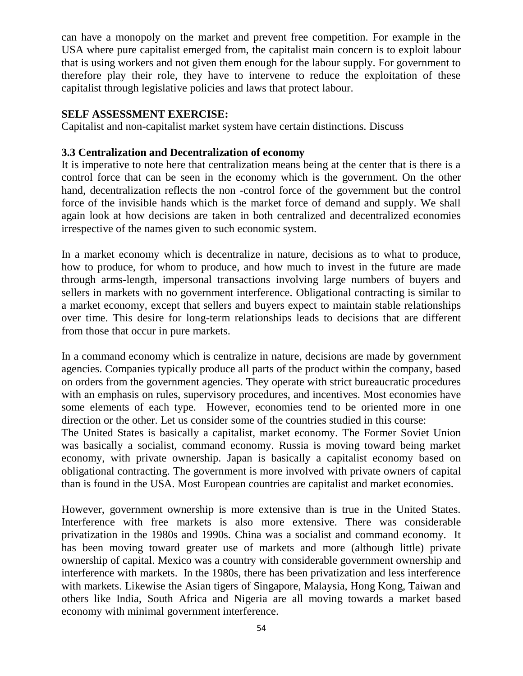can have a monopoly on the market and prevent free competition. For example in the USA where pure capitalist emerged from, the capitalist main concern is to exploit labour that is using workers and not given them enough for the labour supply. For government to therefore play their role, they have to intervene to reduce the exploitation of these capitalist through legislative policies and laws that protect labour.

#### **SELF ASSESSMENT EXERCISE:**

Capitalist and non-capitalist market system have certain distinctions. Discuss

#### **3.3 Centralization and Decentralization of economy**

It is imperative to note here that centralization means being at the center that is there is a control force that can be seen in the economy which is the government. On the other hand, decentralization reflects the non -control force of the government but the control force of the invisible hands which is the market force of demand and supply. We shall again look at how decisions are taken in both centralized and decentralized economies irrespective of the names given to such economic system.

In a market economy which is decentralize in nature, decisions as to what to produce, how to produce, for whom to produce, and how much to invest in the future are made through arms-length, impersonal transactions involving large numbers of buyers and sellers in markets with no government interference. Obligational contracting is similar to a market economy, except that sellers and buyers expect to maintain stable relationships over time. This desire for long-term relationships leads to decisions that are different from those that occur in pure markets.

In a command economy which is centralize in nature, decisions are made by government agencies. Companies typically produce all parts of the product within the company, based on orders from the government agencies. They operate with strict bureaucratic procedures with an emphasis on rules, supervisory procedures, and incentives. Most economies have some elements of each type. However, economies tend to be oriented more in one direction or the other. Let us consider some of the countries studied in this course:

The United States is basically a capitalist, market economy. The Former Soviet Union was basically a socialist, command economy. Russia is moving toward being market economy, with private ownership. Japan is basically a capitalist economy based on obligational contracting. The government is more involved with private owners of capital than is found in the USA. Most European countries are capitalist and market economies.

However, government ownership is more extensive than is true in the United States. Interference with free markets is also more extensive. There was considerable privatization in the 1980s and 1990s. China was a socialist and command economy. It has been moving toward greater use of markets and more (although little) private ownership of capital. Mexico was a country with considerable government ownership and interference with markets. In the 1980s, there has been privatization and less interference with markets. Likewise the Asian tigers of Singapore, Malaysia, Hong Kong, Taiwan and others like India, South Africa and Nigeria are all moving towards a market based economy with minimal government interference.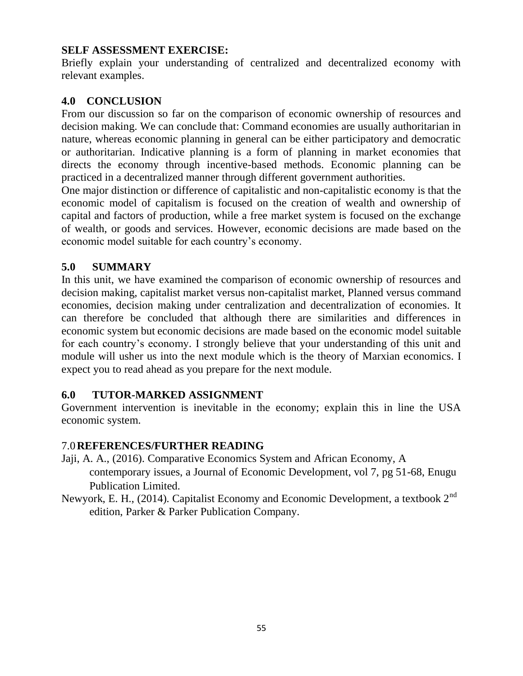#### **SELF ASSESSMENT EXERCISE:**

Briefly explain your understanding of centralized and decentralized economy with relevant examples.

#### **4.0 CONCLUSION**

From our discussion so far on the comparison of economic ownership of resources and decision making. We can conclude that: Command economies are usually authoritarian in nature, whereas economic planning in general can be either participatory and democratic or authoritarian. Indicative planning is a form of planning in market economies that directs the economy through incentive-based methods. Economic planning can be practiced in a decentralized manner through different government authorities.

One major distinction or difference of capitalistic and non-capitalistic economy is that the economic model of capitalism is focused on the creation of wealth and ownership of capital and factors of production, while a free market system is focused on the exchange of wealth, or goods and services. However, economic decisions are made based on the economic model suitable for each country's economy.

#### **5.0 SUMMARY**

In this unit, we have examined the comparison of economic ownership of resources and decision making, capitalist market versus non-capitalist market, Planned versus command economies, decision making under centralization and decentralization of economies. It can therefore be concluded that although there are similarities and differences in economic system but economic decisions are made based on the economic model suitable for each country's economy. I strongly believe that your understanding of this unit and module will usher us into the next module which is the theory of Marxian economics. I expect you to read ahead as you prepare for the next module.

#### **6.0 TUTOR-MARKED ASSIGNMENT**

Government intervention is inevitable in the economy; explain this in line the USA economic system.

#### 7.0**REFERENCES/FURTHER READING**

- Jaji, A. A., (2016). Comparative Economics System and African Economy, A contemporary issues, a Journal of Economic Development, vol 7, pg 51-68, Enugu Publication Limited.
- Newyork, E. H., (2014). Capitalist Economy and Economic Development, a textbook  $2^{nd}$ edition, Parker & Parker Publication Company.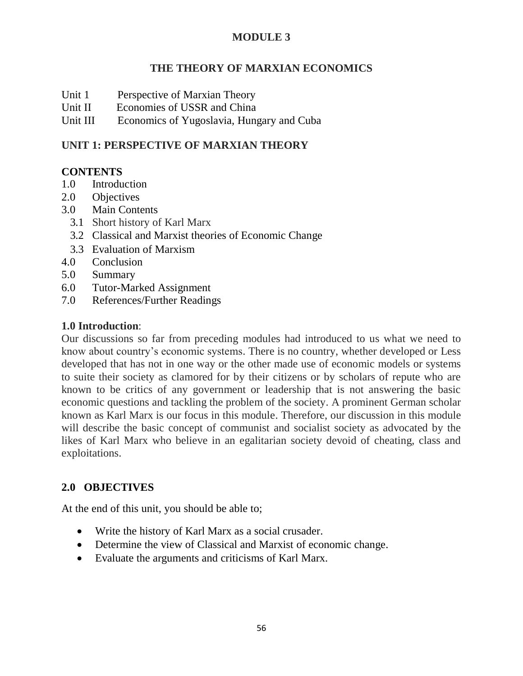### **MODULE 3**

### **THE THEORY OF MARXIAN ECONOMICS**

- Unit 1 Perspective of Marxian Theory
- Unit II Economies of USSR and China
- Unit III Economics of Yugoslavia, Hungary and Cuba

### **UNIT 1: PERSPECTIVE OF MARXIAN THEORY**

### **CONTENTS**

- 1.0 Introduction
- 2.0 Objectives
- 3.0 Main Contents
	- 3.1 Short history of Karl Marx
	- 3.2 Classical and Marxist theories of Economic Change
	- 3.3 Evaluation of Marxism
- 4.0 Conclusion
- 5.0 Summary
- 6.0 Tutor-Marked Assignment
- 7.0 References/Further Readings

### **1.0 Introduction**:

Our discussions so far from preceding modules had introduced to us what we need to know about country's economic systems. There is no country, whether developed or Less developed that has not in one way or the other made use of economic models or systems to suite their society as clamored for by their citizens or by scholars of repute who are known to be critics of any government or leadership that is not answering the basic economic questions and tackling the problem of the society. A prominent German scholar known as Karl Marx is our focus in this module. Therefore, our discussion in this module will describe the basic concept of communist and socialist society as advocated by the likes of Karl Marx who believe in an egalitarian society devoid of cheating, class and exploitations.

# **2.0 OBJECTIVES**

At the end of this unit, you should be able to;

- Write the history of Karl Marx as a social crusader.
- Determine the view of Classical and Marxist of economic change.
- Evaluate the arguments and criticisms of Karl Marx.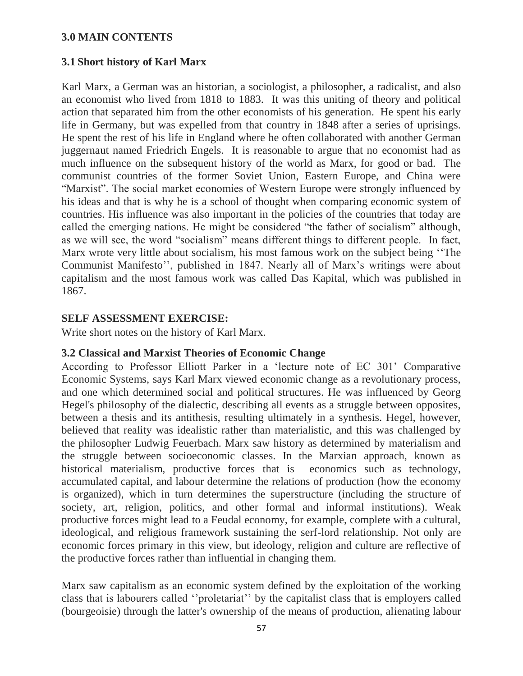#### **3.0 MAIN CONTENTS**

#### **3.1 Short history of Karl Marx**

Karl Marx, a German was an historian, a sociologist, a philosopher, a radicalist, and also an economist who lived from 1818 to 1883. It was this uniting of theory and political action that separated him from the other economists of his generation. He spent his early life in Germany, but was expelled from that country in 1848 after a series of uprisings. He spent the rest of his life in England where he often collaborated with another German juggernaut named Friedrich Engels. It is reasonable to argue that no economist had as much influence on the subsequent history of the world as Marx, for good or bad. The communist countries of the former Soviet Union, Eastern Europe, and China were "Marxist". The social market economies of Western Europe were strongly influenced by his ideas and that is why he is a school of thought when comparing economic system of countries. His influence was also important in the policies of the countries that today are called the emerging nations. He might be considered "the father of socialism" although, as we will see, the word "socialism" means different things to different people. In fact, Marx wrote very little about socialism, his most famous work on the subject being "The Communist Manifesto'', published in 1847. Nearly all of Marx's writings were about capitalism and the most famous work was called Das Kapital, which was published in 1867.

#### **SELF ASSESSMENT EXERCISE:**

Write short notes on the history of Karl Marx.

#### **3.2 Classical and Marxist Theories of Economic Change**

According to Professor Elliott Parker in a ‗lecture note of EC 301' Comparative Economic Systems, says Karl Marx viewed economic change as a revolutionary process, and one which determined social and political structures. He was influenced by Georg Hegel's philosophy of the dialectic, describing all events as a struggle between opposites, between a thesis and its antithesis, resulting ultimately in a synthesis. Hegel, however, believed that reality was idealistic rather than materialistic, and this was challenged by the philosopher Ludwig Feuerbach. Marx saw history as determined by materialism and the struggle between socioeconomic classes. In the Marxian approach, known as historical materialism, productive forces that is economics such as technology, accumulated capital, and labour determine the relations of production (how the economy is organized), which in turn determines the superstructure (including the structure of society, art, religion, politics, and other formal and informal institutions). Weak productive forces might lead to a Feudal economy, for example, complete with a cultural, ideological, and religious framework sustaining the serf-lord relationship. Not only are economic forces primary in this view, but ideology, religion and culture are reflective of the productive forces rather than influential in changing them.

Marx saw capitalism as an economic system defined by the exploitation of the working class that is labourers called "proletariat" by the capitalist class that is employers called (bourgeoisie) through the latter's ownership of the means of production, alienating labour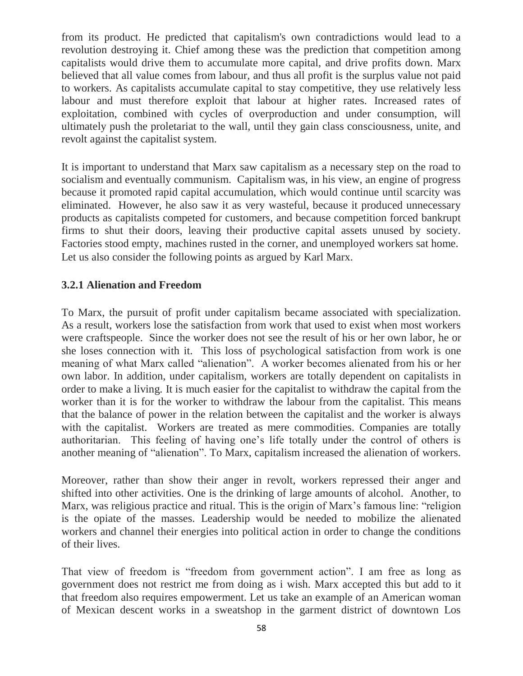from its product. He predicted that capitalism's own contradictions would lead to a revolution destroying it. Chief among these was the prediction that competition among capitalists would drive them to accumulate more capital, and drive profits down. Marx believed that all value comes from labour, and thus all profit is the surplus value not paid to workers. As capitalists accumulate capital to stay competitive, they use relatively less labour and must therefore exploit that labour at higher rates. Increased rates of exploitation, combined with cycles of overproduction and under consumption, will ultimately push the proletariat to the wall, until they gain class consciousness, unite, and revolt against the capitalist system.

It is important to understand that Marx saw capitalism as a necessary step on the road to socialism and eventually communism. Capitalism was, in his view, an engine of progress because it promoted rapid capital accumulation, which would continue until scarcity was eliminated. However, he also saw it as very wasteful, because it produced unnecessary products as capitalists competed for customers, and because competition forced bankrupt firms to shut their doors, leaving their productive capital assets unused by society. Factories stood empty, machines rusted in the corner, and unemployed workers sat home. Let us also consider the following points as argued by Karl Marx.

#### **3.2.1 Alienation and Freedom**

To Marx, the pursuit of profit under capitalism became associated with specialization. As a result, workers lose the satisfaction from work that used to exist when most workers were craftspeople. Since the worker does not see the result of his or her own labor, he or she loses connection with it. This loss of psychological satisfaction from work is one meaning of what Marx called "alienation". A worker becomes alienated from his or her own labor. In addition, under capitalism, workers are totally dependent on capitalists in order to make a living. It is much easier for the capitalist to withdraw the capital from the worker than it is for the worker to withdraw the labour from the capitalist. This means that the balance of power in the relation between the capitalist and the worker is always with the capitalist. Workers are treated as mere commodities. Companies are totally authoritarian. This feeling of having one's life totally under the control of others is another meaning of "alienation". To Marx, capitalism increased the alienation of workers.

Moreover, rather than show their anger in revolt, workers repressed their anger and shifted into other activities. One is the drinking of large amounts of alcohol. Another, to Marx, was religious practice and ritual. This is the origin of Marx's famous line: "religion is the opiate of the masses. Leadership would be needed to mobilize the alienated workers and channel their energies into political action in order to change the conditions of their lives.

That view of freedom is "freedom from government action". I am free as long as government does not restrict me from doing as i wish. Marx accepted this but add to it that freedom also requires empowerment. Let us take an example of an American woman of Mexican descent works in a sweatshop in the garment district of downtown Los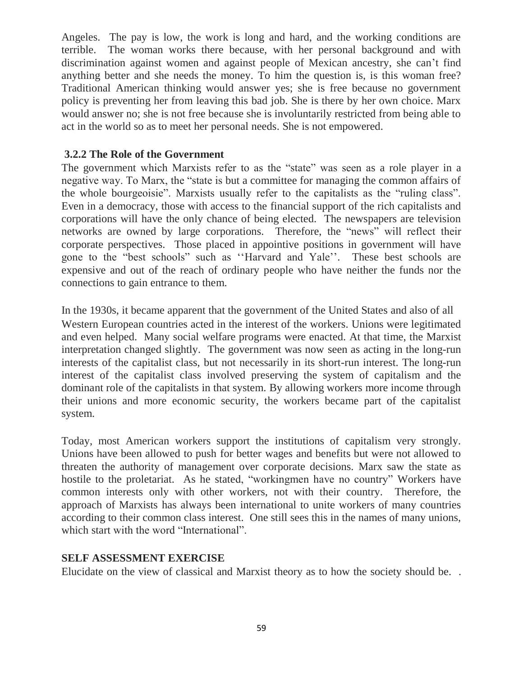Angeles. The pay is low, the work is long and hard, and the working conditions are terrible. The woman works there because, with her personal background and with discrimination against women and against people of Mexican ancestry, she can't find anything better and she needs the money. To him the question is, is this woman free? Traditional American thinking would answer yes; she is free because no government policy is preventing her from leaving this bad job. She is there by her own choice. Marx would answer no; she is not free because she is involuntarily restricted from being able to act in the world so as to meet her personal needs. She is not empowered.

#### **3.2.2 The Role of the Government**

The government which Marxists refer to as the "state" was seen as a role player in a negative way. To Marx, the "state is but a committee for managing the common affairs of the whole bourgeoisie". Marxists usually refer to the capitalists as the "ruling class". Even in a democracy, those with access to the financial support of the rich capitalists and corporations will have the only chance of being elected. The newspapers are television networks are owned by large corporations. Therefore, the "news" will reflect their corporate perspectives. Those placed in appointive positions in government will have gone to the "best schools" such as "Harvard and Yale". These best schools are expensive and out of the reach of ordinary people who have neither the funds nor the connections to gain entrance to them.

In the 1930s, it became apparent that the government of the United States and also of all Western European countries acted in the interest of the workers. Unions were legitimated and even helped. Many social welfare programs were enacted. At that time, the Marxist interpretation changed slightly. The government was now seen as acting in the long-run interests of the capitalist class, but not necessarily in its short-run interest. The long-run interest of the capitalist class involved preserving the system of capitalism and the dominant role of the capitalists in that system. By allowing workers more income through their unions and more economic security, the workers became part of the capitalist system.

Today, most American workers support the institutions of capitalism very strongly. Unions have been allowed to push for better wages and benefits but were not allowed to threaten the authority of management over corporate decisions. Marx saw the state as hostile to the proletariat. As he stated, "workingmen have no country" Workers have common interests only with other workers, not with their country. Therefore, the approach of Marxists has always been international to unite workers of many countries according to their common class interest. One still sees this in the names of many unions, which start with the word "International".

#### **SELF ASSESSMENT EXERCISE**

Elucidate on the view of classical and Marxist theory as to how the society should be. .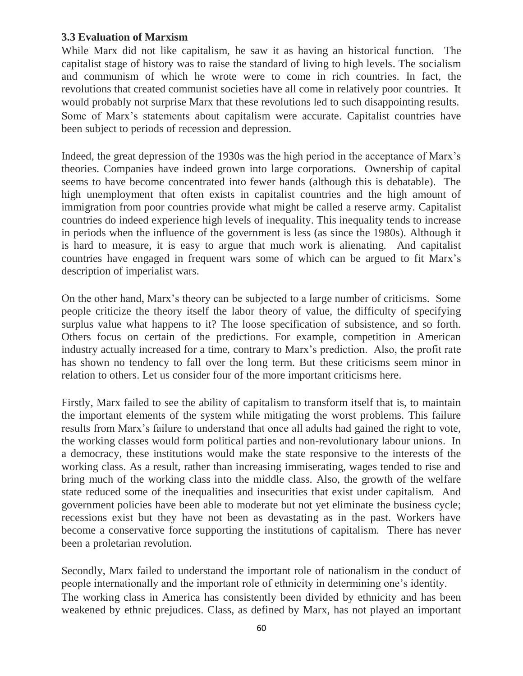#### **3.3 Evaluation of Marxism**

While Marx did not like capitalism, he saw it as having an historical function. The capitalist stage of history was to raise the standard of living to high levels. The socialism and communism of which he wrote were to come in rich countries. In fact, the revolutions that created communist societies have all come in relatively poor countries. It would probably not surprise Marx that these revolutions led to such disappointing results. Some of Marx's statements about capitalism were accurate. Capitalist countries have been subject to periods of recession and depression.

Indeed, the great depression of the 1930s was the high period in the acceptance of Marx's theories. Companies have indeed grown into large corporations. Ownership of capital seems to have become concentrated into fewer hands (although this is debatable). The high unemployment that often exists in capitalist countries and the high amount of immigration from poor countries provide what might be called a reserve army. Capitalist countries do indeed experience high levels of inequality. This inequality tends to increase in periods when the influence of the government is less (as since the 1980s). Although it is hard to measure, it is easy to argue that much work is alienating. And capitalist countries have engaged in frequent wars some of which can be argued to fit Marx's description of imperialist wars.

On the other hand, Marx's theory can be subjected to a large number of criticisms. Some people criticize the theory itself the labor theory of value, the difficulty of specifying surplus value what happens to it? The loose specification of subsistence, and so forth. Others focus on certain of the predictions. For example, competition in American industry actually increased for a time, contrary to Marx's prediction. Also, the profit rate has shown no tendency to fall over the long term. But these criticisms seem minor in relation to others. Let us consider four of the more important criticisms here.

Firstly, Marx failed to see the ability of capitalism to transform itself that is, to maintain the important elements of the system while mitigating the worst problems. This failure results from Marx's failure to understand that once all adults had gained the right to vote, the working classes would form political parties and non-revolutionary labour unions. In a democracy, these institutions would make the state responsive to the interests of the working class. As a result, rather than increasing immiserating, wages tended to rise and bring much of the working class into the middle class. Also, the growth of the welfare state reduced some of the inequalities and insecurities that exist under capitalism. And government policies have been able to moderate but not yet eliminate the business cycle; recessions exist but they have not been as devastating as in the past. Workers have become a conservative force supporting the institutions of capitalism. There has never been a proletarian revolution.

Secondly, Marx failed to understand the important role of nationalism in the conduct of people internationally and the important role of ethnicity in determining one's identity. The working class in America has consistently been divided by ethnicity and has been weakened by ethnic prejudices. Class, as defined by Marx, has not played an important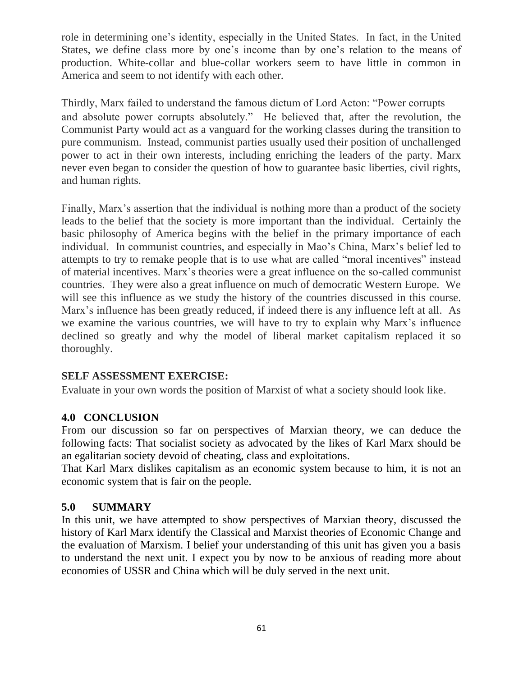role in determining one's identity, especially in the United States. In fact, in the United States, we define class more by one's income than by one's relation to the means of production. White-collar and blue-collar workers seem to have little in common in America and seem to not identify with each other.

Thirdly, Marx failed to understand the famous dictum of Lord Acton: "Power corrupts and absolute power corrupts absolutely." He believed that, after the revolution, the Communist Party would act as a vanguard for the working classes during the transition to pure communism. Instead, communist parties usually used their position of unchallenged power to act in their own interests, including enriching the leaders of the party. Marx never even began to consider the question of how to guarantee basic liberties, civil rights, and human rights.

Finally, Marx's assertion that the individual is nothing more than a product of the society leads to the belief that the society is more important than the individual. Certainly the basic philosophy of America begins with the belief in the primary importance of each individual. In communist countries, and especially in Mao's China, Marx's belief led to attempts to try to remake people that is to use what are called "moral incentives" instead of material incentives. Marx's theories were a great influence on the so-called communist countries. They were also a great influence on much of democratic Western Europe. We will see this influence as we study the history of the countries discussed in this course. Marx's influence has been greatly reduced, if indeed there is any influence left at all. As we examine the various countries, we will have to try to explain why Marx's influence declined so greatly and why the model of liberal market capitalism replaced it so thoroughly.

#### **SELF ASSESSMENT EXERCISE:**

Evaluate in your own words the position of Marxist of what a society should look like.

#### **4.0 CONCLUSION**

From our discussion so far on perspectives of Marxian theory, we can deduce the following facts: That socialist society as advocated by the likes of Karl Marx should be an egalitarian society devoid of cheating, class and exploitations.

That Karl Marx dislikes capitalism as an economic system because to him, it is not an economic system that is fair on the people.

#### **5.0 SUMMARY**

In this unit, we have attempted to show perspectives of Marxian theory, discussed the history of Karl Marx identify the Classical and Marxist theories of Economic Change and the evaluation of Marxism. I belief your understanding of this unit has given you a basis to understand the next unit. I expect you by now to be anxious of reading more about economies of USSR and China which will be duly served in the next unit.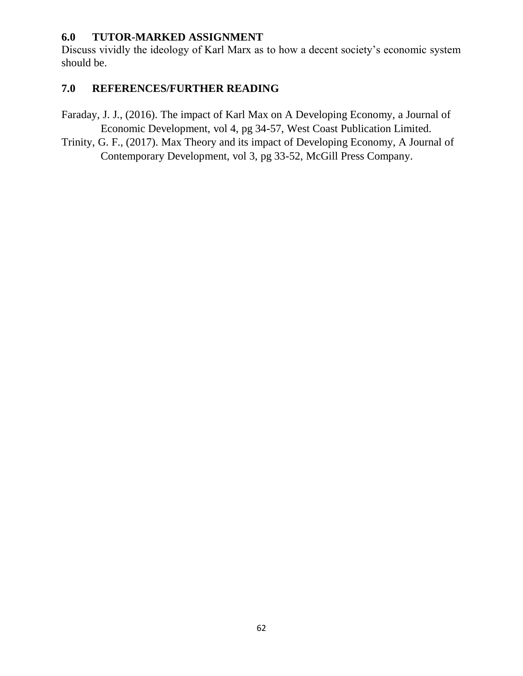### **6.0 TUTOR-MARKED ASSIGNMENT**

Discuss vividly the ideology of Karl Marx as to how a decent society's economic system should be.

### **7.0 REFERENCES/FURTHER READING**

- Faraday, J. J., (2016). The impact of Karl Max on A Developing Economy, a Journal of Economic Development, vol 4, pg 34-57, West Coast Publication Limited.
- Trinity, G. F., (2017). Max Theory and its impact of Developing Economy, A Journal of Contemporary Development, vol 3, pg 33-52, McGill Press Company.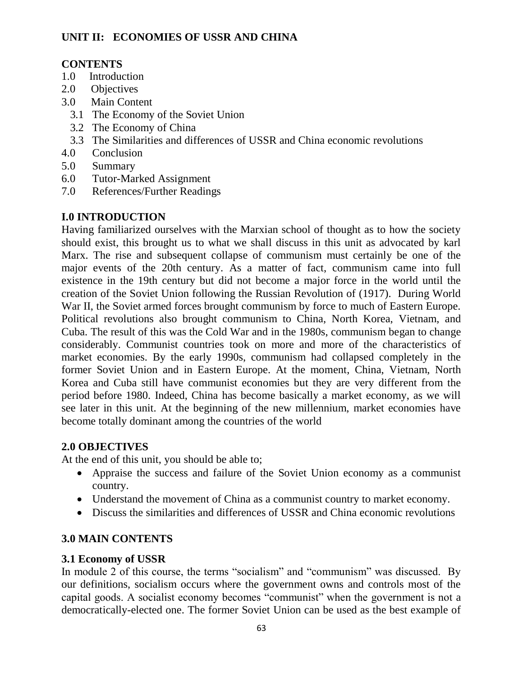### **UNIT II: ECONOMIES OF USSR AND CHINA**

#### **CONTENTS**

- 1.0 Introduction
- 2.0 Objectives
- 3.0 Main Content
	- 3.1 The Economy of the Soviet Union
	- 3.2 The Economy of China
- 3.3 The Similarities and differences of USSR and China economic revolutions
- 4.0 Conclusion
- 5.0 Summary
- 6.0 Tutor-Marked Assignment
- 7.0 References/Further Readings

#### **I.0 INTRODUCTION**

Having familiarized ourselves with the Marxian school of thought as to how the society should exist, this brought us to what we shall discuss in this unit as advocated by karl Marx. The rise and subsequent collapse of communism must certainly be one of the major events of the 20th century. As a matter of fact, communism came into full existence in the 19th century but did not become a major force in the world until the creation of the Soviet Union following the Russian Revolution of (1917). During World War II, the Soviet armed forces brought communism by force to much of Eastern Europe. Political revolutions also brought communism to China, North Korea, Vietnam, and Cuba. The result of this was the Cold War and in the 1980s, communism began to change considerably. Communist countries took on more and more of the characteristics of market economies. By the early 1990s, communism had collapsed completely in the former Soviet Union and in Eastern Europe. At the moment, China, Vietnam, North Korea and Cuba still have communist economies but they are very different from the period before 1980. Indeed, China has become basically a market economy, as we will see later in this unit. At the beginning of the new millennium, market economies have become totally dominant among the countries of the world

### **2.0 OBJECTIVES**

At the end of this unit, you should be able to;

- Appraise the success and failure of the Soviet Union economy as a communist country.
- Understand the movement of China as a communist country to market economy.
- Discuss the similarities and differences of USSR and China economic revolutions

#### **3.0 MAIN CONTENTS**

#### **3.1 Economy of USSR**

In module 2 of this course, the terms "socialism" and "communism" was discussed. By our definitions, socialism occurs where the government owns and controls most of the capital goods. A socialist economy becomes "communist" when the government is not a democratically-elected one. The former Soviet Union can be used as the best example of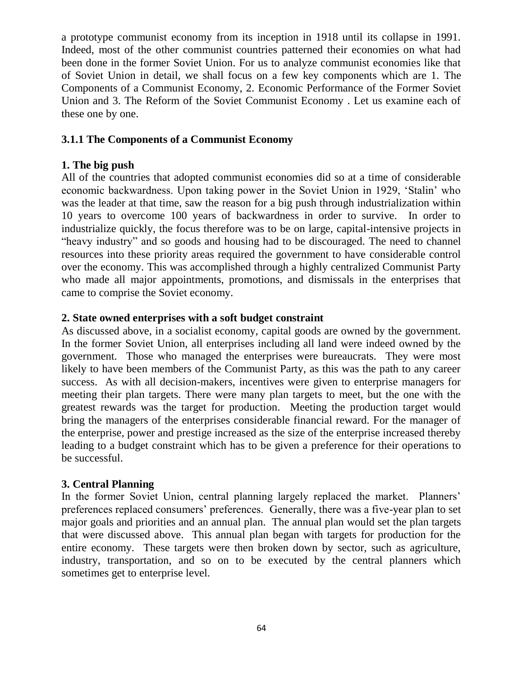a prototype communist economy from its inception in 1918 until its collapse in 1991. Indeed, most of the other communist countries patterned their economies on what had been done in the former Soviet Union. For us to analyze communist economies like that of Soviet Union in detail, we shall focus on a few key components which are 1. The Components of a Communist Economy, 2. Economic Performance of the Former Soviet Union and 3. The Reform of the Soviet Communist Economy . Let us examine each of these one by one.

#### **3.1.1 The Components of a Communist Economy**

#### **1. The big push**

All of the countries that adopted communist economies did so at a time of considerable economic backwardness. Upon taking power in the Soviet Union in 1929, 'Stalin' who was the leader at that time, saw the reason for a big push through industrialization within 10 years to overcome 100 years of backwardness in order to survive. In order to industrialize quickly, the focus therefore was to be on large, capital-intensive projects in "heavy industry" and so goods and housing had to be discouraged. The need to channel resources into these priority areas required the government to have considerable control over the economy. This was accomplished through a highly centralized Communist Party who made all major appointments, promotions, and dismissals in the enterprises that came to comprise the Soviet economy.

#### **2. State owned enterprises with a soft budget constraint**

As discussed above, in a socialist economy, capital goods are owned by the government. In the former Soviet Union, all enterprises including all land were indeed owned by the government. Those who managed the enterprises were bureaucrats. They were most likely to have been members of the Communist Party, as this was the path to any career success. As with all decision-makers, incentives were given to enterprise managers for meeting their plan targets. There were many plan targets to meet, but the one with the greatest rewards was the target for production. Meeting the production target would bring the managers of the enterprises considerable financial reward. For the manager of the enterprise, power and prestige increased as the size of the enterprise increased thereby leading to a budget constraint which has to be given a preference for their operations to be successful.

#### **3. Central Planning**

In the former Soviet Union, central planning largely replaced the market. Planners' preferences replaced consumers' preferences. Generally, there was a five-year plan to set major goals and priorities and an annual plan. The annual plan would set the plan targets that were discussed above. This annual plan began with targets for production for the entire economy. These targets were then broken down by sector, such as agriculture, industry, transportation, and so on to be executed by the central planners which sometimes get to enterprise level.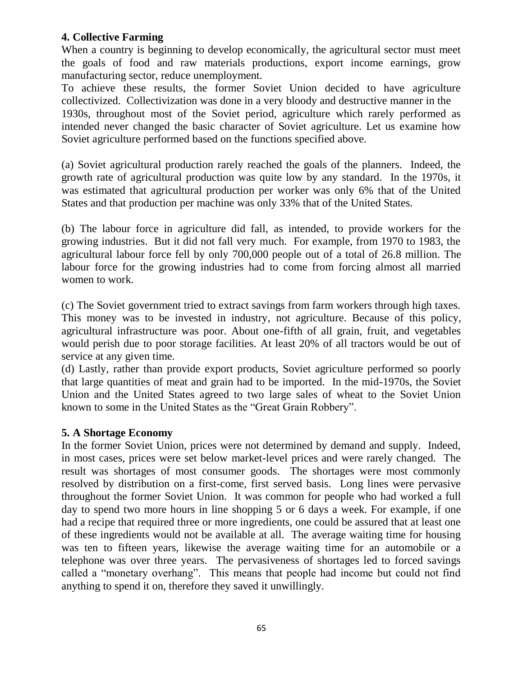#### **4. Collective Farming**

When a country is beginning to develop economically, the agricultural sector must meet the goals of food and raw materials productions, export income earnings, grow manufacturing sector, reduce unemployment.

To achieve these results, the former Soviet Union decided to have agriculture collectivized. Collectivization was done in a very bloody and destructive manner in the 1930s, throughout most of the Soviet period, agriculture which rarely performed as intended never changed the basic character of Soviet agriculture. Let us examine how Soviet agriculture performed based on the functions specified above.

(a) Soviet agricultural production rarely reached the goals of the planners. Indeed, the growth rate of agricultural production was quite low by any standard. In the 1970s, it was estimated that agricultural production per worker was only 6% that of the United States and that production per machine was only 33% that of the United States.

(b) The labour force in agriculture did fall, as intended, to provide workers for the growing industries. But it did not fall very much. For example, from 1970 to 1983, the agricultural labour force fell by only 700,000 people out of a total of 26.8 million. The labour force for the growing industries had to come from forcing almost all married women to work.

(c) The Soviet government tried to extract savings from farm workers through high taxes. This money was to be invested in industry, not agriculture. Because of this policy, agricultural infrastructure was poor. About one-fifth of all grain, fruit, and vegetables would perish due to poor storage facilities. At least 20% of all tractors would be out of service at any given time.

(d) Lastly, rather than provide export products, Soviet agriculture performed so poorly that large quantities of meat and grain had to be imported. In the mid-1970s, the Soviet Union and the United States agreed to two large sales of wheat to the Soviet Union known to some in the United States as the "Great Grain Robbery".

#### **5. A Shortage Economy**

In the former Soviet Union, prices were not determined by demand and supply. Indeed, in most cases, prices were set below market-level prices and were rarely changed. The result was shortages of most consumer goods. The shortages were most commonly resolved by distribution on a first-come, first served basis. Long lines were pervasive throughout the former Soviet Union. It was common for people who had worked a full day to spend two more hours in line shopping 5 or 6 days a week. For example, if one had a recipe that required three or more ingredients, one could be assured that at least one of these ingredients would not be available at all. The average waiting time for housing was ten to fifteen years, likewise the average waiting time for an automobile or a telephone was over three years. The pervasiveness of shortages led to forced savings called a "monetary overhang". This means that people had income but could not find anything to spend it on, therefore they saved it unwillingly.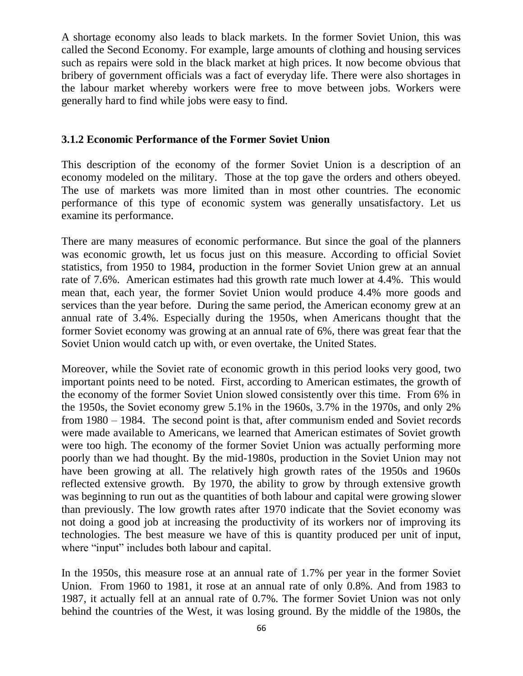A shortage economy also leads to black markets. In the former Soviet Union, this was called the Second Economy. For example, large amounts of clothing and housing services such as repairs were sold in the black market at high prices. It now become obvious that bribery of government officials was a fact of everyday life. There were also shortages in the labour market whereby workers were free to move between jobs. Workers were generally hard to find while jobs were easy to find.

#### **3.1.2 Economic Performance of the Former Soviet Union**

This description of the economy of the former Soviet Union is a description of an economy modeled on the military. Those at the top gave the orders and others obeyed. The use of markets was more limited than in most other countries. The economic performance of this type of economic system was generally unsatisfactory. Let us examine its performance.

There are many measures of economic performance. But since the goal of the planners was economic growth, let us focus just on this measure. According to official Soviet statistics, from 1950 to 1984, production in the former Soviet Union grew at an annual rate of 7.6%. American estimates had this growth rate much lower at 4.4%. This would mean that, each year, the former Soviet Union would produce 4.4% more goods and services than the year before. During the same period, the American economy grew at an annual rate of 3.4%. Especially during the 1950s, when Americans thought that the former Soviet economy was growing at an annual rate of 6%, there was great fear that the Soviet Union would catch up with, or even overtake, the United States.

Moreover, while the Soviet rate of economic growth in this period looks very good, two important points need to be noted. First, according to American estimates, the growth of the economy of the former Soviet Union slowed consistently over this time. From 6% in the 1950s, the Soviet economy grew 5.1% in the 1960s, 3.7% in the 1970s, and only 2% from 1980 – 1984. The second point is that, after communism ended and Soviet records were made available to Americans, we learned that American estimates of Soviet growth were too high. The economy of the former Soviet Union was actually performing more poorly than we had thought. By the mid-1980s, production in the Soviet Union may not have been growing at all. The relatively high growth rates of the 1950s and 1960s reflected extensive growth. By 1970, the ability to grow by through extensive growth was beginning to run out as the quantities of both labour and capital were growing slower than previously. The low growth rates after 1970 indicate that the Soviet economy was not doing a good job at increasing the productivity of its workers nor of improving its technologies. The best measure we have of this is quantity produced per unit of input, where "input" includes both labour and capital.

In the 1950s, this measure rose at an annual rate of 1.7% per year in the former Soviet Union. From 1960 to 1981, it rose at an annual rate of only 0.8%. And from 1983 to 1987, it actually fell at an annual rate of 0.7%. The former Soviet Union was not only behind the countries of the West, it was losing ground. By the middle of the 1980s, the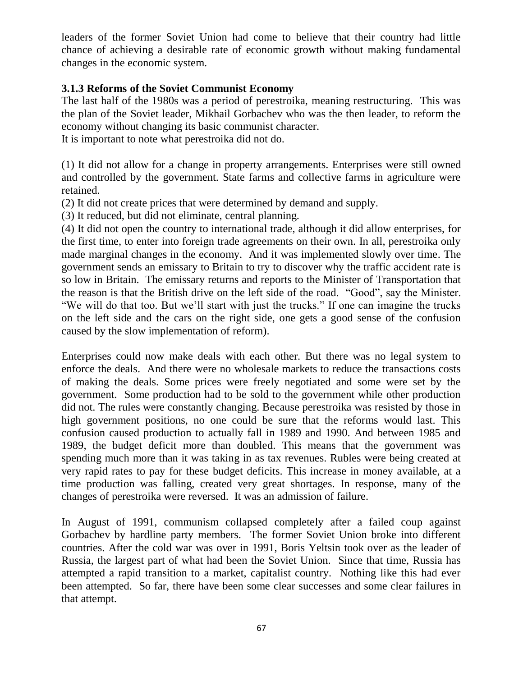leaders of the former Soviet Union had come to believe that their country had little chance of achieving a desirable rate of economic growth without making fundamental changes in the economic system.

#### **3.1.3 Reforms of the Soviet Communist Economy**

The last half of the 1980s was a period of perestroika, meaning restructuring. This was the plan of the Soviet leader, Mikhail Gorbachev who was the then leader, to reform the economy without changing its basic communist character.

It is important to note what perestroika did not do.

(1) It did not allow for a change in property arrangements. Enterprises were still owned and controlled by the government. State farms and collective farms in agriculture were retained.

(2) It did not create prices that were determined by demand and supply.

(3) It reduced, but did not eliminate, central planning.

(4) It did not open the country to international trade, although it did allow enterprises, for the first time, to enter into foreign trade agreements on their own. In all, perestroika only made marginal changes in the economy. And it was implemented slowly over time. The government sends an emissary to Britain to try to discover why the traffic accident rate is so low in Britain. The emissary returns and reports to the Minister of Transportation that the reason is that the British drive on the left side of the road. "Good", say the Minister. "We will do that too. But we'll start with just the trucks." If one can imagine the trucks on the left side and the cars on the right side, one gets a good sense of the confusion caused by the slow implementation of reform).

Enterprises could now make deals with each other. But there was no legal system to enforce the deals. And there were no wholesale markets to reduce the transactions costs of making the deals. Some prices were freely negotiated and some were set by the government. Some production had to be sold to the government while other production did not. The rules were constantly changing. Because perestroika was resisted by those in high government positions, no one could be sure that the reforms would last. This confusion caused production to actually fall in 1989 and 1990. And between 1985 and 1989, the budget deficit more than doubled. This means that the government was spending much more than it was taking in as tax revenues. Rubles were being created at very rapid rates to pay for these budget deficits. This increase in money available, at a time production was falling, created very great shortages. In response, many of the changes of perestroika were reversed. It was an admission of failure.

In August of 1991, communism collapsed completely after a failed coup against Gorbachev by hardline party members. The former Soviet Union broke into different countries. After the cold war was over in 1991, Boris Yeltsin took over as the leader of Russia, the largest part of what had been the Soviet Union. Since that time, Russia has attempted a rapid transition to a market, capitalist country. Nothing like this had ever been attempted. So far, there have been some clear successes and some clear failures in that attempt.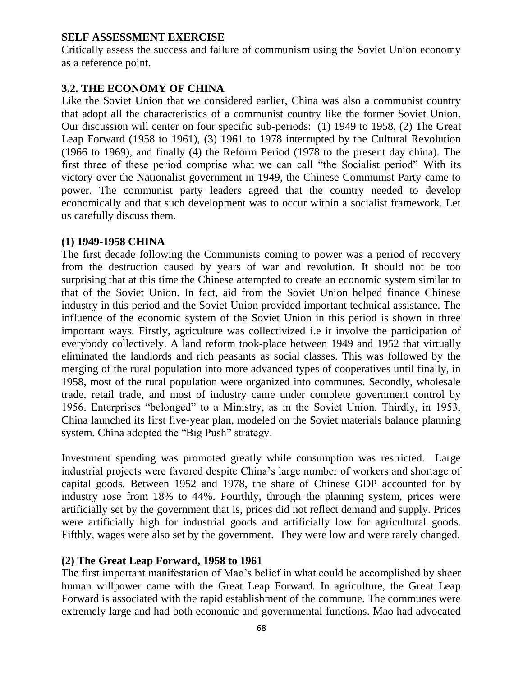#### **SELF ASSESSMENT EXERCISE**

Critically assess the success and failure of communism using the Soviet Union economy as a reference point.

### **3.2. THE ECONOMY OF CHINA**

Like the Soviet Union that we considered earlier, China was also a communist country that adopt all the characteristics of a communist country like the former Soviet Union. Our discussion will center on four specific sub-periods: (1) 1949 to 1958, (2) The Great Leap Forward (1958 to 1961), (3) 1961 to 1978 interrupted by the Cultural Revolution (1966 to 1969), and finally (4) the Reform Period (1978 to the present day china). The first three of these period comprise what we can call "the Socialist period" With its victory over the Nationalist government in 1949, the Chinese Communist Party came to power. The communist party leaders agreed that the country needed to develop economically and that such development was to occur within a socialist framework. Let us carefully discuss them.

#### **(1) 1949-1958 CHINA**

The first decade following the Communists coming to power was a period of recovery from the destruction caused by years of war and revolution. It should not be too surprising that at this time the Chinese attempted to create an economic system similar to that of the Soviet Union. In fact, aid from the Soviet Union helped finance Chinese industry in this period and the Soviet Union provided important technical assistance. The influence of the economic system of the Soviet Union in this period is shown in three important ways. Firstly, agriculture was collectivized i.e it involve the participation of everybody collectively. A land reform took-place between 1949 and 1952 that virtually eliminated the landlords and rich peasants as social classes. This was followed by the merging of the rural population into more advanced types of cooperatives until finally, in 1958, most of the rural population were organized into communes. Secondly, wholesale trade, retail trade, and most of industry came under complete government control by 1956. Enterprises "belonged" to a Ministry, as in the Soviet Union. Thirdly, in 1953, China launched its first five-year plan, modeled on the Soviet materials balance planning system. China adopted the "Big Push" strategy.

Investment spending was promoted greatly while consumption was restricted. Large industrial projects were favored despite China's large number of workers and shortage of capital goods. Between 1952 and 1978, the share of Chinese GDP accounted for by industry rose from 18% to 44%. Fourthly, through the planning system, prices were artificially set by the government that is, prices did not reflect demand and supply. Prices were artificially high for industrial goods and artificially low for agricultural goods. Fifthly, wages were also set by the government. They were low and were rarely changed.

#### **(2) The Great Leap Forward, 1958 to 1961**

The first important manifestation of Mao's belief in what could be accomplished by sheer human willpower came with the Great Leap Forward. In agriculture, the Great Leap Forward is associated with the rapid establishment of the commune. The communes were extremely large and had both economic and governmental functions. Mao had advocated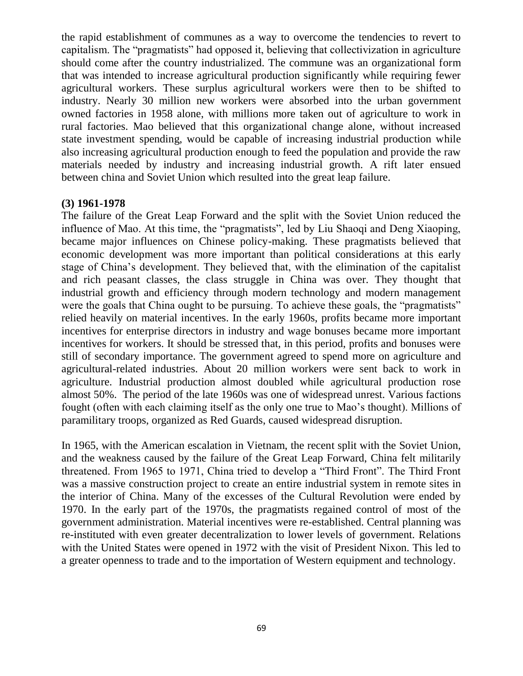the rapid establishment of communes as a way to overcome the tendencies to revert to capitalism. The "pragmatists" had opposed it, believing that collectivization in agriculture should come after the country industrialized. The commune was an organizational form that was intended to increase agricultural production significantly while requiring fewer agricultural workers. These surplus agricultural workers were then to be shifted to industry. Nearly 30 million new workers were absorbed into the urban government owned factories in 1958 alone, with millions more taken out of agriculture to work in rural factories. Mao believed that this organizational change alone, without increased state investment spending, would be capable of increasing industrial production while also increasing agricultural production enough to feed the population and provide the raw materials needed by industry and increasing industrial growth. A rift later ensued between china and Soviet Union which resulted into the great leap failure.

#### **(3) 1961-1978**

The failure of the Great Leap Forward and the split with the Soviet Union reduced the influence of Mao. At this time, the "pragmatists", led by Liu Shaoqi and Deng Xiaoping, became major influences on Chinese policy-making. These pragmatists believed that economic development was more important than political considerations at this early stage of China's development. They believed that, with the elimination of the capitalist and rich peasant classes, the class struggle in China was over. They thought that industrial growth and efficiency through modern technology and modern management were the goals that China ought to be pursuing. To achieve these goals, the "pragmatists" relied heavily on material incentives. In the early 1960s, profits became more important incentives for enterprise directors in industry and wage bonuses became more important incentives for workers. It should be stressed that, in this period, profits and bonuses were still of secondary importance. The government agreed to spend more on agriculture and agricultural-related industries. About 20 million workers were sent back to work in agriculture. Industrial production almost doubled while agricultural production rose almost 50%. The period of the late 1960s was one of widespread unrest. Various factions fought (often with each claiming itself as the only one true to Mao's thought). Millions of paramilitary troops, organized as Red Guards, caused widespread disruption.

In 1965, with the American escalation in Vietnam, the recent split with the Soviet Union, and the weakness caused by the failure of the Great Leap Forward, China felt militarily threatened. From 1965 to 1971, China tried to develop a "Third Front". The Third Front was a massive construction project to create an entire industrial system in remote sites in the interior of China. Many of the excesses of the Cultural Revolution were ended by 1970. In the early part of the 1970s, the pragmatists regained control of most of the government administration. Material incentives were re-established. Central planning was re-instituted with even greater decentralization to lower levels of government. Relations with the United States were opened in 1972 with the visit of President Nixon. This led to a greater openness to trade and to the importation of Western equipment and technology.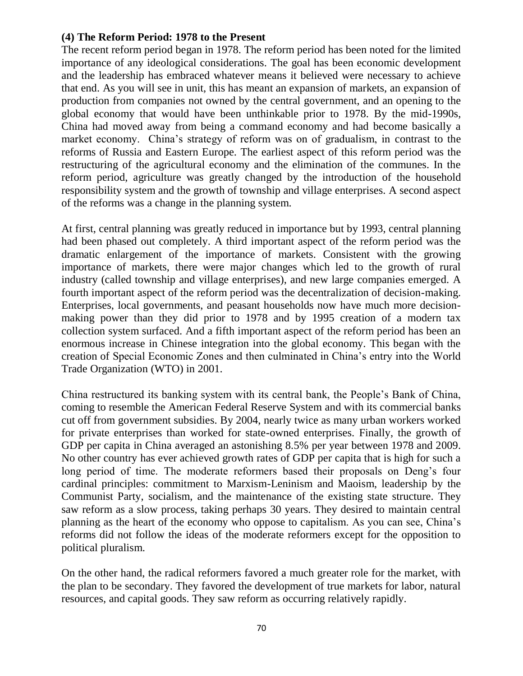### **(4) The Reform Period: 1978 to the Present**

The recent reform period began in 1978. The reform period has been noted for the limited importance of any ideological considerations. The goal has been economic development and the leadership has embraced whatever means it believed were necessary to achieve that end. As you will see in unit, this has meant an expansion of markets, an expansion of production from companies not owned by the central government, and an opening to the global economy that would have been unthinkable prior to 1978. By the mid-1990s, China had moved away from being a command economy and had become basically a market economy. China's strategy of reform was on of gradualism, in contrast to the reforms of Russia and Eastern Europe. The earliest aspect of this reform period was the restructuring of the agricultural economy and the elimination of the communes. In the reform period, agriculture was greatly changed by the introduction of the household responsibility system and the growth of township and village enterprises. A second aspect of the reforms was a change in the planning system.

At first, central planning was greatly reduced in importance but by 1993, central planning had been phased out completely. A third important aspect of the reform period was the dramatic enlargement of the importance of markets. Consistent with the growing importance of markets, there were major changes which led to the growth of rural industry (called township and village enterprises), and new large companies emerged. A fourth important aspect of the reform period was the decentralization of decision-making. Enterprises, local governments, and peasant households now have much more decisionmaking power than they did prior to 1978 and by 1995 creation of a modern tax collection system surfaced. And a fifth important aspect of the reform period has been an enormous increase in Chinese integration into the global economy. This began with the creation of Special Economic Zones and then culminated in China's entry into the World Trade Organization (WTO) in 2001.

China restructured its banking system with its central bank, the People's Bank of China, coming to resemble the American Federal Reserve System and with its commercial banks cut off from government subsidies. By 2004, nearly twice as many urban workers worked for private enterprises than worked for state-owned enterprises. Finally, the growth of GDP per capita in China averaged an astonishing 8.5% per year between 1978 and 2009. No other country has ever achieved growth rates of GDP per capita that is high for such a long period of time. The moderate reformers based their proposals on Deng's four cardinal principles: commitment to Marxism-Leninism and Maoism, leadership by the Communist Party, socialism, and the maintenance of the existing state structure. They saw reform as a slow process, taking perhaps 30 years. They desired to maintain central planning as the heart of the economy who oppose to capitalism. As you can see, China's reforms did not follow the ideas of the moderate reformers except for the opposition to political pluralism.

On the other hand, the radical reformers favored a much greater role for the market, with the plan to be secondary. They favored the development of true markets for labor, natural resources, and capital goods. They saw reform as occurring relatively rapidly.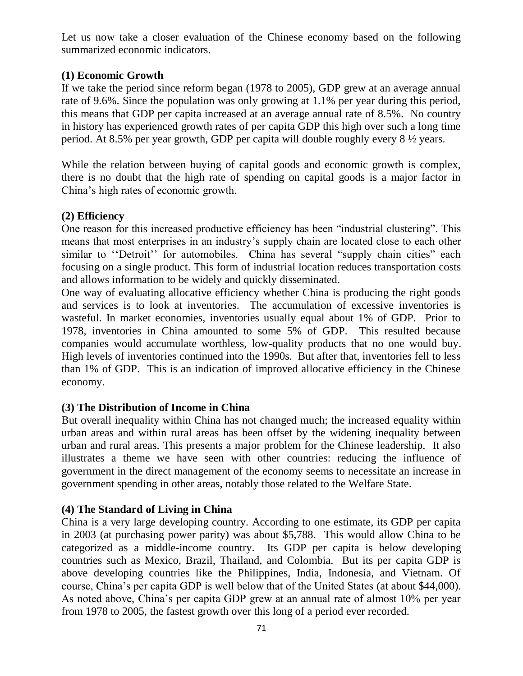Let us now take a closer evaluation of the Chinese economy based on the following summarized economic indicators.

### **(1) Economic Growth**

If we take the period since reform began (1978 to 2005), GDP grew at an average annual rate of 9.6%. Since the population was only growing at 1.1% per year during this period, this means that GDP per capita increased at an average annual rate of 8.5%. No country in history has experienced growth rates of per capita GDP this high over such a long time period. At 8.5% per year growth, GDP per capita will double roughly every 8 ½ years.

While the relation between buying of capital goods and economic growth is complex, there is no doubt that the high rate of spending on capital goods is a major factor in China's high rates of economic growth.

### **(2) Efficiency**

One reason for this increased productive efficiency has been "industrial clustering". This means that most enterprises in an industry's supply chain are located close to each other similar to "Detroit" for automobiles. China has several "supply chain cities" each focusing on a single product. This form of industrial location reduces transportation costs and allows information to be widely and quickly disseminated.

One way of evaluating allocative efficiency whether China is producing the right goods and services is to look at inventories. The accumulation of excessive inventories is wasteful. In market economies, inventories usually equal about 1% of GDP. Prior to 1978, inventories in China amounted to some 5% of GDP. This resulted because companies would accumulate worthless, low-quality products that no one would buy. High levels of inventories continued into the 1990s. But after that, inventories fell to less than 1% of GDP. This is an indication of improved allocative efficiency in the Chinese economy.

### **(3) The Distribution of Income in China**

But overall inequality within China has not changed much; the increased equality within urban areas and within rural areas has been offset by the widening inequality between urban and rural areas. This presents a major problem for the Chinese leadership. It also illustrates a theme we have seen with other countries: reducing the influence of government in the direct management of the economy seems to necessitate an increase in government spending in other areas, notably those related to the Welfare State.

### **(4) The Standard of Living in China**

China is a very large developing country. According to one estimate, its GDP per capita in 2003 (at purchasing power parity) was about \$5,788. This would allow China to be categorized as a middle-income country. Its GDP per capita is below developing countries such as Mexico, Brazil, Thailand, and Colombia. But its per capita GDP is above developing countries like the Philippines, India, Indonesia, and Vietnam. Of course, China's per capita GDP is well below that of the United States (at about \$44,000). As noted above, China's per capita GDP grew at an annual rate of almost 10% per year from 1978 to 2005, the fastest growth over this long of a period ever recorded.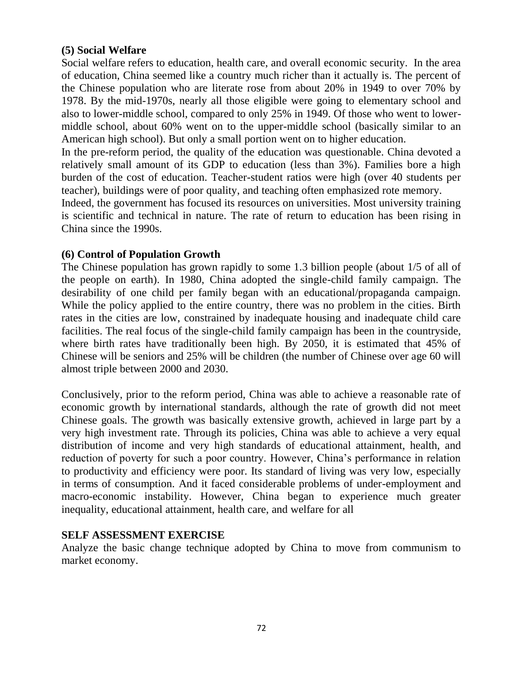#### **(5) Social Welfare**

Social welfare refers to education, health care, and overall economic security. In the area of education, China seemed like a country much richer than it actually is. The percent of the Chinese population who are literate rose from about 20% in 1949 to over 70% by 1978. By the mid-1970s, nearly all those eligible were going to elementary school and also to lower-middle school, compared to only 25% in 1949. Of those who went to lowermiddle school, about 60% went on to the upper-middle school (basically similar to an American high school). But only a small portion went on to higher education.

In the pre-reform period, the quality of the education was questionable. China devoted a relatively small amount of its GDP to education (less than 3%). Families bore a high burden of the cost of education. Teacher-student ratios were high (over 40 students per teacher), buildings were of poor quality, and teaching often emphasized rote memory.

Indeed, the government has focused its resources on universities. Most university training is scientific and technical in nature. The rate of return to education has been rising in China since the 1990s.

### **(6) Control of Population Growth**

The Chinese population has grown rapidly to some 1.3 billion people (about 1/5 of all of the people on earth). In 1980, China adopted the single-child family campaign. The desirability of one child per family began with an educational/propaganda campaign. While the policy applied to the entire country, there was no problem in the cities. Birth rates in the cities are low, constrained by inadequate housing and inadequate child care facilities. The real focus of the single-child family campaign has been in the countryside, where birth rates have traditionally been high. By 2050, it is estimated that 45% of Chinese will be seniors and 25% will be children (the number of Chinese over age 60 will almost triple between 2000 and 2030.

Conclusively, prior to the reform period, China was able to achieve a reasonable rate of economic growth by international standards, although the rate of growth did not meet Chinese goals. The growth was basically extensive growth, achieved in large part by a very high investment rate. Through its policies, China was able to achieve a very equal distribution of income and very high standards of educational attainment, health, and reduction of poverty for such a poor country. However, China's performance in relation to productivity and efficiency were poor. Its standard of living was very low, especially in terms of consumption. And it faced considerable problems of under-employment and macro-economic instability. However, China began to experience much greater inequality, educational attainment, health care, and welfare for all

#### **SELF ASSESSMENT EXERCISE**

Analyze the basic change technique adopted by China to move from communism to market economy.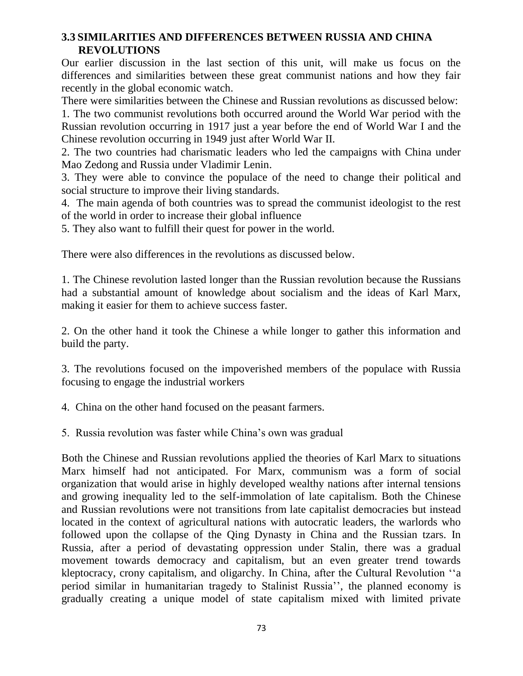## **3.3 SIMILARITIES AND DIFFERENCES BETWEEN RUSSIA AND CHINA REVOLUTIONS**

Our earlier discussion in the last section of this unit, will make us focus on the differences and similarities between these great communist nations and how they fair recently in the global economic watch.

There were similarities between the Chinese and Russian revolutions as discussed below:

1. The two communist revolutions both occurred around the World War period with the Russian revolution occurring in 1917 just a year before the end of World War I and the Chinese revolution occurring in 1949 just after World War II.

2. The two countries had charismatic leaders who led the campaigns with China under Mao Zedong and Russia under Vladimir Lenin.

3. They were able to convince the populace of the need to change their political and social structure to improve their living standards.

4. The main agenda of both countries was to spread the communist ideologist to the rest of the world in order to increase their global influence

5. They also want to fulfill their quest for power in the world.

There were also differences in the revolutions as discussed below.

1. The Chinese revolution lasted longer than the Russian revolution because the Russians had a substantial amount of knowledge about socialism and the ideas of Karl Marx, making it easier for them to achieve success faster.

2. On the other hand it took the Chinese a while longer to gather this information and build the party.

3. The revolutions focused on the impoverished members of the populace with Russia focusing to engage the industrial workers

4. China on the other hand focused on the peasant farmers.

5. Russia revolution was faster while China's own was gradual

Both the Chinese and Russian revolutions applied the theories of Karl Marx to situations Marx himself had not anticipated. For Marx, communism was a form of social organization that would arise in highly developed wealthy nations after internal tensions and growing inequality led to the self-immolation of late capitalism. Both the Chinese and Russian revolutions were not transitions from late capitalist democracies but instead located in the context of agricultural nations with autocratic leaders, the warlords who followed upon the collapse of the Qing Dynasty in China and the Russian tzars. In Russia, after a period of devastating oppression under Stalin, there was a gradual movement towards democracy and capitalism, but an even greater trend towards kleptocracy, crony capitalism, and oligarchy. In China, after the Cultural Revolution "a period similar in humanitarian tragedy to Stalinist Russia'', the planned economy is gradually creating a unique model of state capitalism mixed with limited private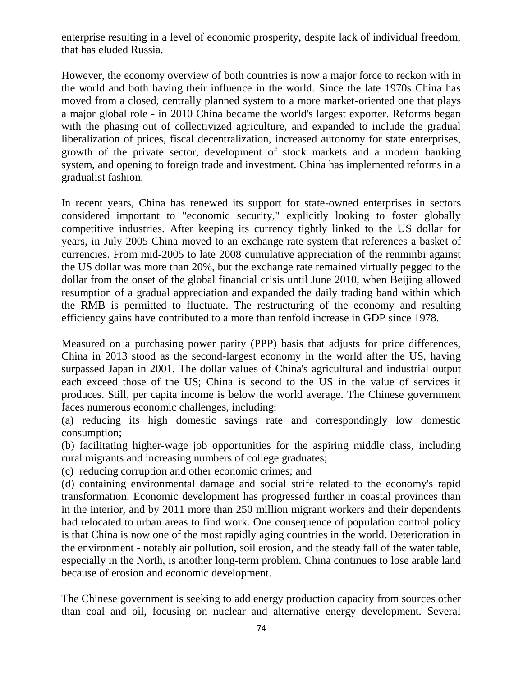enterprise resulting in a level of economic prosperity, despite lack of individual freedom, that has eluded Russia.

However, the economy overview of both countries is now a major force to reckon with in the world and both having their influence in the world. Since the late 1970s China has moved from a closed, centrally planned system to a more market-oriented one that plays a major global role - in 2010 China became the world's largest exporter. Reforms began with the phasing out of collectivized agriculture, and expanded to include the gradual liberalization of prices, fiscal decentralization, increased autonomy for state enterprises, growth of the private sector, development of stock markets and a modern banking system, and opening to foreign trade and investment. China has implemented reforms in a gradualist fashion.

In recent years, China has renewed its support for state-owned enterprises in sectors considered important to "economic security," explicitly looking to foster globally competitive industries. After keeping its currency tightly linked to the US dollar for years, in July 2005 China moved to an exchange rate system that references a basket of currencies. From mid-2005 to late 2008 cumulative appreciation of the renminbi against the US dollar was more than 20%, but the exchange rate remained virtually pegged to the dollar from the onset of the global financial crisis until June 2010, when Beijing allowed resumption of a gradual appreciation and expanded the daily trading band within which the RMB is permitted to fluctuate. The restructuring of the economy and resulting efficiency gains have contributed to a more than tenfold increase in GDP since 1978.

Measured on a purchasing power parity (PPP) basis that adjusts for price differences, China in 2013 stood as the second-largest economy in the world after the US, having surpassed Japan in 2001. The dollar values of China's agricultural and industrial output each exceed those of the US; China is second to the US in the value of services it produces. Still, per capita income is below the world average. The Chinese government faces numerous economic challenges, including:

(a) reducing its high domestic savings rate and correspondingly low domestic consumption;

(b) facilitating higher-wage job opportunities for the aspiring middle class, including rural migrants and increasing numbers of college graduates;

(c) reducing corruption and other economic crimes; and

(d) containing environmental damage and social strife related to the economy's rapid transformation. Economic development has progressed further in coastal provinces than in the interior, and by 2011 more than 250 million migrant workers and their dependents had relocated to urban areas to find work. One consequence of population control policy is that China is now one of the most rapidly aging countries in the world. Deterioration in the environment - notably air pollution, soil erosion, and the steady fall of the water table, especially in the North, is another long-term problem. China continues to lose arable land because of erosion and economic development.

The Chinese government is seeking to add energy production capacity from sources other than coal and oil, focusing on nuclear and alternative energy development. Several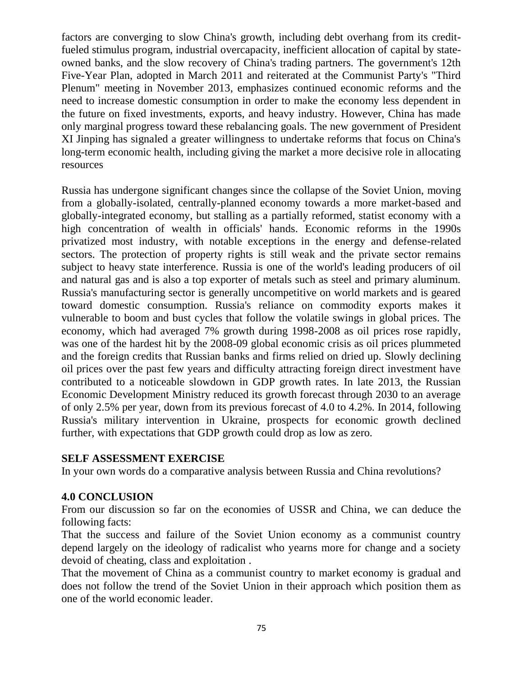factors are converging to slow China's growth, including debt overhang from its creditfueled stimulus program, industrial overcapacity, inefficient allocation of capital by stateowned banks, and the slow recovery of China's trading partners. The government's 12th Five-Year Plan, adopted in March 2011 and reiterated at the Communist Party's "Third Plenum" meeting in November 2013, emphasizes continued economic reforms and the need to increase domestic consumption in order to make the economy less dependent in the future on fixed investments, exports, and heavy industry. However, China has made only marginal progress toward these rebalancing goals. The new government of President XI Jinping has signaled a greater willingness to undertake reforms that focus on China's long-term economic health, including giving the market a more decisive role in allocating resources

Russia has undergone significant changes since the collapse of the Soviet Union, moving from a globally-isolated, centrally-planned economy towards a more market-based and globally-integrated economy, but stalling as a partially reformed, statist economy with a high concentration of wealth in officials' hands. Economic reforms in the 1990s privatized most industry, with notable exceptions in the energy and defense-related sectors. The protection of property rights is still weak and the private sector remains subject to heavy state interference. Russia is one of the world's leading producers of oil and natural gas and is also a top exporter of metals such as steel and primary aluminum. Russia's manufacturing sector is generally uncompetitive on world markets and is geared toward domestic consumption. Russia's reliance on commodity exports makes it vulnerable to boom and bust cycles that follow the volatile swings in global prices. The economy, which had averaged 7% growth during 1998-2008 as oil prices rose rapidly, was one of the hardest hit by the 2008-09 global economic crisis as oil prices plummeted and the foreign credits that Russian banks and firms relied on dried up. Slowly declining oil prices over the past few years and difficulty attracting foreign direct investment have contributed to a noticeable slowdown in GDP growth rates. In late 2013, the Russian Economic Development Ministry reduced its growth forecast through 2030 to an average of only 2.5% per year, down from its previous forecast of 4.0 to 4.2%. In 2014, following Russia's military intervention in Ukraine, prospects for economic growth declined further, with expectations that GDP growth could drop as low as zero.

### **SELF ASSESSMENT EXERCISE**

In your own words do a comparative analysis between Russia and China revolutions?

## **4.0 CONCLUSION**

From our discussion so far on the economies of USSR and China, we can deduce the following facts:

That the success and failure of the Soviet Union economy as a communist country depend largely on the ideology of radicalist who yearns more for change and a society devoid of cheating, class and exploitation .

That the movement of China as a communist country to market economy is gradual and does not follow the trend of the Soviet Union in their approach which position them as one of the world economic leader.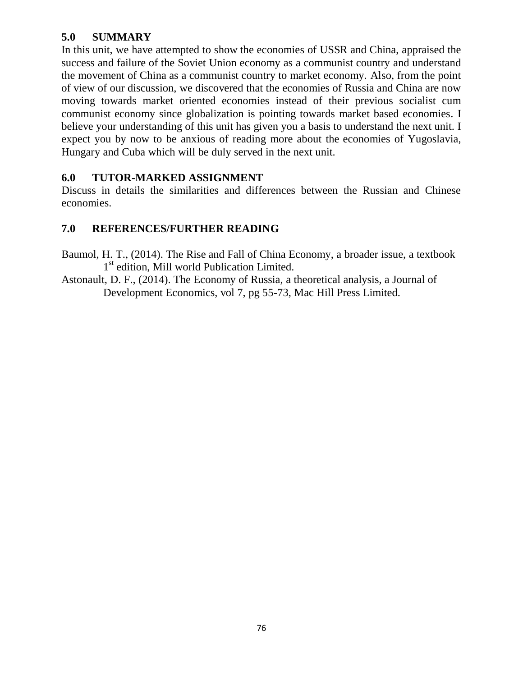# **5.0 SUMMARY**

In this unit, we have attempted to show the economies of USSR and China, appraised the success and failure of the Soviet Union economy as a communist country and understand the movement of China as a communist country to market economy. Also, from the point of view of our discussion, we discovered that the economies of Russia and China are now moving towards market oriented economies instead of their previous socialist cum communist economy since globalization is pointing towards market based economies. I believe your understanding of this unit has given you a basis to understand the next unit. I expect you by now to be anxious of reading more about the economies of Yugoslavia, Hungary and Cuba which will be duly served in the next unit.

# **6.0 TUTOR-MARKED ASSIGNMENT**

Discuss in details the similarities and differences between the Russian and Chinese economies.

# **7.0 REFERENCES/FURTHER READING**

- Baumol, H. T., (2014). The Rise and Fall of China Economy, a broader issue, a textbook 1 1<sup>st</sup> edition, Mill world Publication Limited.
- Astonault, D. F., (2014). The Economy of Russia, a theoretical analysis, a Journal of Development Economics, vol 7, pg 55-73, Mac Hill Press Limited.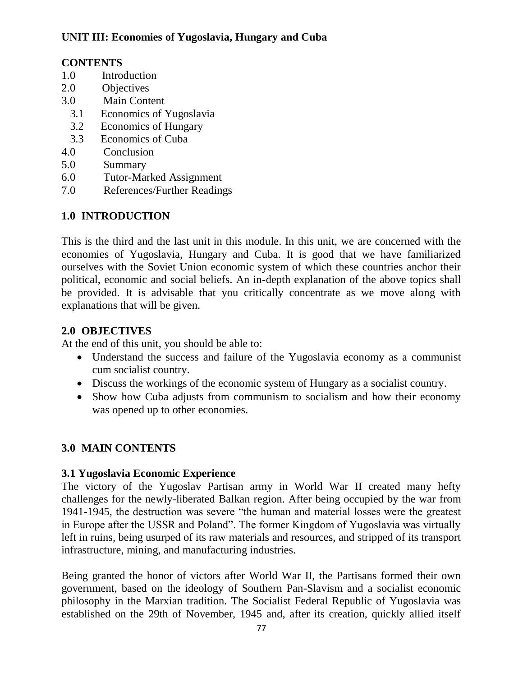# **UNIT III: Economies of Yugoslavia, Hungary and Cuba**

## **CONTENTS**

- 1.0 Introduction
- 2.0 Objectives
- 3.0 Main Content
	- 3.1 Economics of Yugoslavia
	- 3.2 Economics of Hungary
	- 3.3 Economics of Cuba
- 4.0 Conclusion
- 5.0 Summary
- 6.0 Tutor-Marked Assignment
- 7.0 References/Further Readings

# **1.0 INTRODUCTION**

This is the third and the last unit in this module. In this unit, we are concerned with the economies of Yugoslavia, Hungary and Cuba. It is good that we have familiarized ourselves with the Soviet Union economic system of which these countries anchor their political, economic and social beliefs. An in-depth explanation of the above topics shall be provided. It is advisable that you critically concentrate as we move along with explanations that will be given.

# **2.0 OBJECTIVES**

At the end of this unit, you should be able to:

- Understand the success and failure of the Yugoslavia economy as a communist cum socialist country.
- Discuss the workings of the economic system of Hungary as a socialist country.
- Show how Cuba adjusts from communism to socialism and how their economy was opened up to other economies.

# **3.0 MAIN CONTENTS**

## **3.1 Yugoslavia Economic Experience**

The victory of the Yugoslav Partisan army in World War II created many hefty challenges for the newly-liberated Balkan region. After being occupied by the war from 1941-1945, the destruction was severe "the human and material losses were the greatest in Europe after the USSR and Poland". The former Kingdom of Yugoslavia was virtually left in ruins, being usurped of its raw materials and resources, and stripped of its transport infrastructure, mining, and manufacturing industries.

Being granted the honor of victors after World War II, the Partisans formed their own government, based on the ideology of Southern Pan-Slavism and a socialist economic philosophy in the Marxian tradition. The Socialist Federal Republic of Yugoslavia was established on the 29th of November, 1945 and, after its creation, quickly allied itself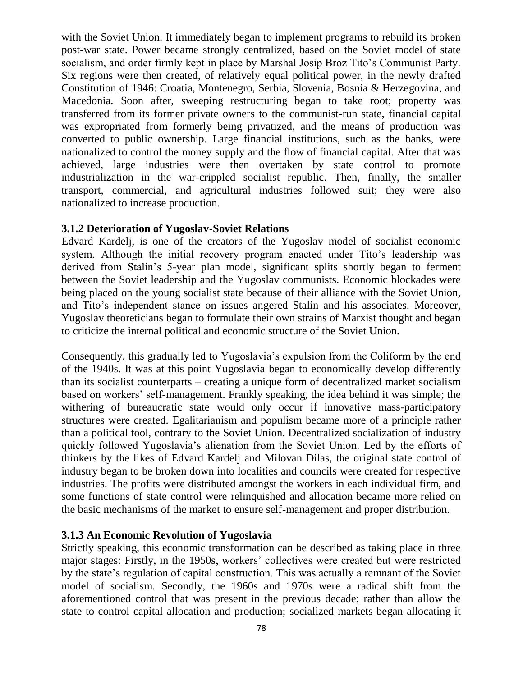with the Soviet Union. It immediately began to implement programs to rebuild its broken post-war state. Power became strongly centralized, based on the Soviet model of state socialism, and order firmly kept in place by Marshal Josip Broz Tito's Communist Party. Six regions were then created, of relatively equal political power, in the newly drafted Constitution of 1946: Croatia, Montenegro, Serbia, Slovenia, Bosnia & Herzegovina, and Macedonia. Soon after, sweeping restructuring began to take root; property was transferred from its former private owners to the communist-run state, financial capital was expropriated from formerly being privatized, and the means of production was converted to public ownership. Large financial institutions, such as the banks, were nationalized to control the money supply and the flow of financial capital. After that was achieved, large industries were then overtaken by state control to promote industrialization in the war-crippled socialist republic. Then, finally, the smaller transport, commercial, and agricultural industries followed suit; they were also nationalized to increase production.

### **3.1.2 Deterioration of Yugoslav-Soviet Relations**

Edvard Kardelj, is one of the creators of the Yugoslav model of socialist economic system. Although the initial recovery program enacted under Tito's leadership was derived from Stalin's 5-year plan model, significant splits shortly began to ferment between the Soviet leadership and the Yugoslav communists. Economic blockades were being placed on the young socialist state because of their alliance with the Soviet Union, and Tito's independent stance on issues angered Stalin and his associates. Moreover, Yugoslav theoreticians began to formulate their own strains of Marxist thought and began to criticize the internal political and economic structure of the Soviet Union.

Consequently, this gradually led to Yugoslavia's expulsion from the Coliform by the end of the 1940s. It was at this point Yugoslavia began to economically develop differently than its socialist counterparts – creating a unique form of decentralized market socialism based on workers' self-management. Frankly speaking, the idea behind it was simple; the withering of bureaucratic state would only occur if innovative mass-participatory structures were created. Egalitarianism and populism became more of a principle rather than a political tool, contrary to the Soviet Union. Decentralized socialization of industry quickly followed Yugoslavia's alienation from the Soviet Union. Led by the efforts of thinkers by the likes of Edvard Kardelj and Milovan Dilas, the original state control of industry began to be broken down into localities and councils were created for respective industries. The profits were distributed amongst the workers in each individual firm, and some functions of state control were relinquished and allocation became more relied on the basic mechanisms of the market to ensure self-management and proper distribution.

## **3.1.3 An Economic Revolution of Yugoslavia**

Strictly speaking, this economic transformation can be described as taking place in three major stages: Firstly, in the 1950s, workers' collectives were created but were restricted by the state's regulation of capital construction. This was actually a remnant of the Soviet model of socialism. Secondly, the 1960s and 1970s were a radical shift from the aforementioned control that was present in the previous decade; rather than allow the state to control capital allocation and production; socialized markets began allocating it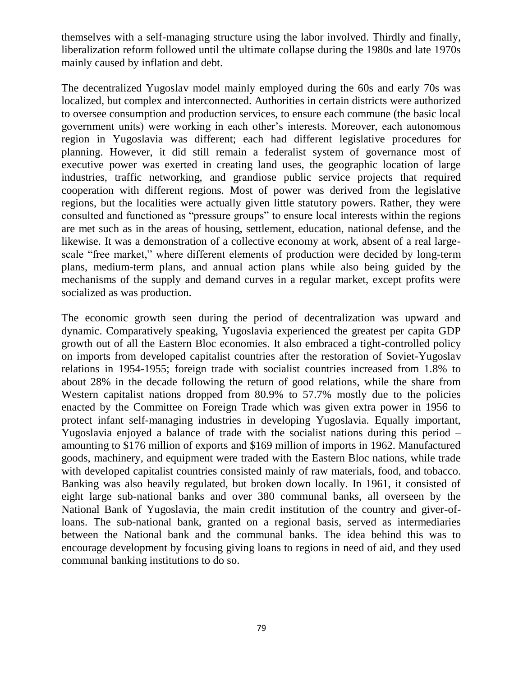themselves with a self-managing structure using the labor involved. Thirdly and finally, liberalization reform followed until the ultimate collapse during the 1980s and late 1970s mainly caused by inflation and debt.

The decentralized Yugoslav model mainly employed during the 60s and early 70s was localized, but complex and interconnected. Authorities in certain districts were authorized to oversee consumption and production services, to ensure each commune (the basic local government units) were working in each other's interests. Moreover, each autonomous region in Yugoslavia was different; each had different legislative procedures for planning. However, it did still remain a federalist system of governance most of executive power was exerted in creating land uses, the geographic location of large industries, traffic networking, and grandiose public service projects that required cooperation with different regions. Most of power was derived from the legislative regions, but the localities were actually given little statutory powers. Rather, they were consulted and functioned as "pressure groups" to ensure local interests within the regions are met such as in the areas of housing, settlement, education, national defense, and the likewise. It was a demonstration of a collective economy at work, absent of a real largescale "free market," where different elements of production were decided by long-term plans, medium-term plans, and annual action plans while also being guided by the mechanisms of the supply and demand curves in a regular market, except profits were socialized as was production.

The economic growth seen during the period of decentralization was upward and dynamic. Comparatively speaking, Yugoslavia experienced the greatest per capita GDP growth out of all the Eastern Bloc economies. It also embraced a tight-controlled policy on imports from developed capitalist countries after the restoration of Soviet-Yugoslav relations in 1954-1955; foreign trade with socialist countries increased from 1.8% to about 28% in the decade following the return of good relations, while the share from Western capitalist nations dropped from 80.9% to 57.7% mostly due to the policies enacted by the Committee on Foreign Trade which was given extra power in 1956 to protect infant self-managing industries in developing Yugoslavia. Equally important, Yugoslavia enjoyed a balance of trade with the socialist nations during this period – amounting to \$176 million of exports and \$169 million of imports in 1962. Manufactured goods, machinery, and equipment were traded with the Eastern Bloc nations, while trade with developed capitalist countries consisted mainly of raw materials, food, and tobacco. Banking was also heavily regulated, but broken down locally. In 1961, it consisted of eight large sub-national banks and over 380 communal banks, all overseen by the National Bank of Yugoslavia, the main credit institution of the country and giver-ofloans. The sub-national bank, granted on a regional basis, served as intermediaries between the National bank and the communal banks. The idea behind this was to encourage development by focusing giving loans to regions in need of aid, and they used communal banking institutions to do so.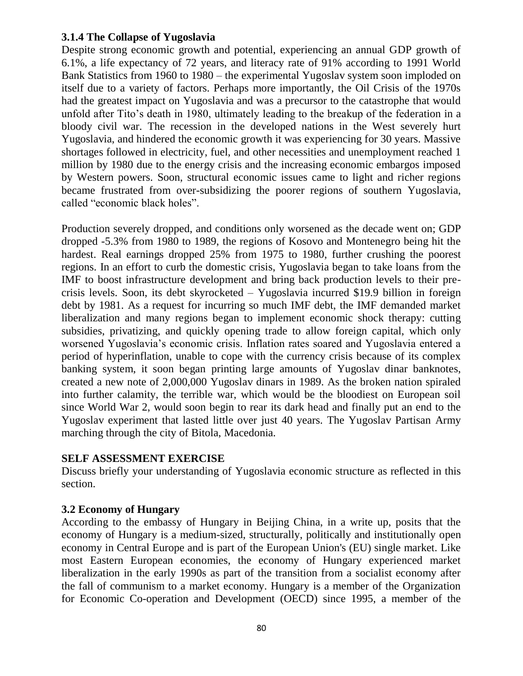## **3.1.4 The Collapse of Yugoslavia**

Despite strong economic growth and potential, experiencing an annual GDP growth of 6.1%, a life expectancy of 72 years, and literacy rate of 91% according to 1991 World Bank Statistics from 1960 to 1980 – the experimental Yugoslav system soon imploded on itself due to a variety of factors. Perhaps more importantly, the Oil Crisis of the 1970s had the greatest impact on Yugoslavia and was a precursor to the catastrophe that would unfold after Tito's death in 1980, ultimately leading to the breakup of the federation in a bloody civil war. The recession in the developed nations in the West severely hurt Yugoslavia, and hindered the economic growth it was experiencing for 30 years. Massive shortages followed in electricity, fuel, and other necessities and unemployment reached 1 million by 1980 due to the energy crisis and the increasing economic embargos imposed by Western powers. Soon, structural economic issues came to light and richer regions became frustrated from over-subsidizing the poorer regions of southern Yugoslavia, called "economic black holes".

Production severely dropped, and conditions only worsened as the decade went on; GDP dropped -5.3% from 1980 to 1989, the regions of Kosovo and Montenegro being hit the hardest. Real earnings dropped 25% from 1975 to 1980, further crushing the poorest regions. In an effort to curb the domestic crisis, Yugoslavia began to take loans from the IMF to boost infrastructure development and bring back production levels to their precrisis levels. Soon, its debt skyrocketed – Yugoslavia incurred \$19.9 billion in foreign debt by 1981. As a request for incurring so much IMF debt, the IMF demanded market liberalization and many regions began to implement economic shock therapy: cutting subsidies, privatizing, and quickly opening trade to allow foreign capital, which only worsened Yugoslavia's economic crisis. Inflation rates soared and Yugoslavia entered a period of hyperinflation, unable to cope with the currency crisis because of its complex banking system, it soon began printing large amounts of Yugoslav dinar banknotes, created a new note of 2,000,000 Yugoslav dinars in 1989. As the broken nation spiraled into further calamity, the terrible war, which would be the bloodiest on European soil since World War 2, would soon begin to rear its dark head and finally put an end to the Yugoslav experiment that lasted little over just 40 years. The Yugoslav Partisan Army marching through the city of Bitola, Macedonia.

### **SELF ASSESSMENT EXERCISE**

Discuss briefly your understanding of Yugoslavia economic structure as reflected in this section.

## **3.2 Economy of Hungary**

According to the embassy of Hungary in Beijing China, in a write up, posits that the economy of Hungary is a medium-sized, structurally, politically and institutionally open economy in Central Europe and is part of the European Union's (EU) single market. Like most Eastern European economies, the economy of Hungary experienced market liberalization in the early 1990s as part of the transition from a socialist economy after the fall of communism to a market economy. Hungary is a member of the Organization for Economic Co-operation and Development (OECD) since 1995, a member of the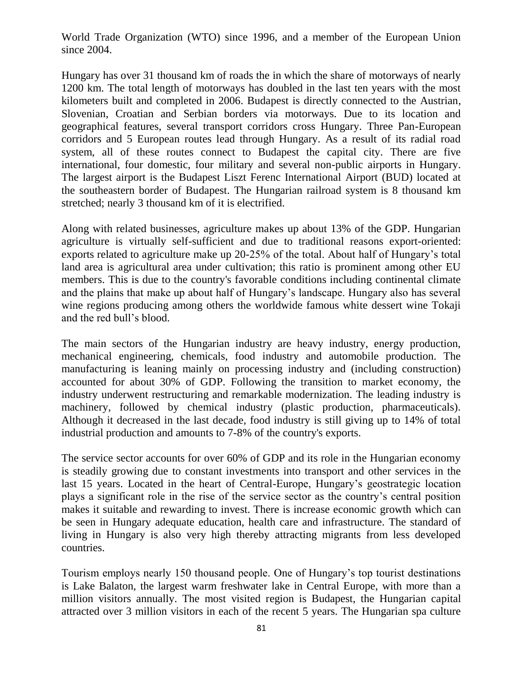World Trade Organization (WTO) since 1996, and a member of the European Union since 2004.

Hungary has over 31 thousand km of roads the in which the share of motorways of nearly 1200 km. The total length of motorways has doubled in the last ten years with the most kilometers built and completed in 2006. Budapest is directly connected to the Austrian, Slovenian, Croatian and Serbian borders via motorways. Due to its location and geographical features, several transport corridors cross Hungary. Three Pan-European corridors and 5 European routes lead through Hungary. As a result of its radial road system, all of these routes connect to Budapest the capital city. There are five international, four domestic, four military and several non-public airports in Hungary. The largest airport is the Budapest Liszt Ferenc International Airport (BUD) located at the southeastern border of Budapest. The Hungarian railroad system is 8 thousand km stretched; nearly 3 thousand km of it is electrified.

Along with related businesses, agriculture makes up about 13% of the GDP. Hungarian agriculture is virtually self-sufficient and due to traditional reasons export-oriented: exports related to agriculture make up 20-25% of the total. About half of Hungary's total land area is agricultural area under cultivation; this ratio is prominent among other EU members. This is due to the country's favorable conditions including continental climate and the plains that make up about half of Hungary's landscape. Hungary also has several wine regions producing among others the worldwide famous white dessert wine Tokaji and the red bull's blood.

The main sectors of the Hungarian industry are heavy industry, energy production, mechanical engineering, chemicals, food industry and automobile production. The manufacturing is leaning mainly on processing industry and (including construction) accounted for about 30% of GDP. Following the transition to market economy, the industry underwent restructuring and remarkable modernization. The leading industry is machinery, followed by chemical industry (plastic production, pharmaceuticals). Although it decreased in the last decade, food industry is still giving up to 14% of total industrial production and amounts to 7-8% of the country's exports.

The service sector accounts for over 60% of GDP and its role in the Hungarian economy is steadily growing due to constant investments into transport and other services in the last 15 years. Located in the heart of Central-Europe, Hungary's geostrategic location plays a significant role in the rise of the service sector as the country's central position makes it suitable and rewarding to invest. There is increase economic growth which can be seen in Hungary adequate education, health care and infrastructure. The standard of living in Hungary is also very high thereby attracting migrants from less developed countries.

Tourism employs nearly 150 thousand people. One of Hungary's top tourist destinations is Lake Balaton, the largest warm freshwater lake in Central Europe, with more than a million visitors annually. The most visited region is Budapest, the Hungarian capital attracted over 3 million visitors in each of the recent 5 years. The Hungarian spa culture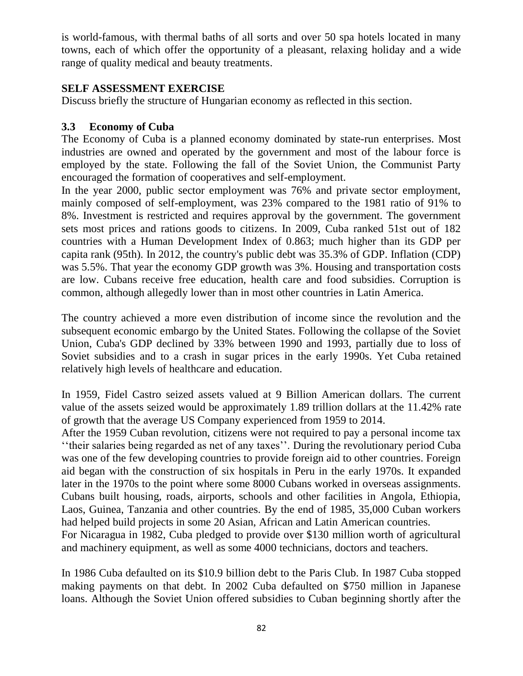is world-famous, with thermal baths of all sorts and over 50 spa hotels located in many towns, each of which offer the opportunity of a pleasant, relaxing holiday and a wide range of quality medical and beauty treatments.

## **SELF ASSESSMENT EXERCISE**

Discuss briefly the structure of Hungarian economy as reflected in this section.

### **3.3 Economy of Cuba**

The Economy of Cuba is a planned economy dominated by state-run enterprises. Most industries are owned and operated by the government and most of the labour force is employed by the state. Following the fall of the Soviet Union, the Communist Party encouraged the formation of cooperatives and self-employment.

In the year 2000, public sector employment was 76% and private sector employment, mainly composed of self-employment, was 23% compared to the 1981 ratio of 91% to 8%. Investment is restricted and requires approval by the government. The government sets most prices and rations goods to citizens. In 2009, Cuba ranked 51st out of 182 countries with a Human Development Index of 0.863; much higher than its GDP per capita rank (95th). In 2012, the country's public debt was 35.3% of GDP. Inflation (CDP) was 5.5%. That year the economy GDP growth was 3%. Housing and transportation costs are low. Cubans receive free education, health care and food subsidies. Corruption is common, although allegedly lower than in most other countries in Latin America.

The country achieved a more even distribution of income since the revolution and the subsequent economic embargo by the United States. Following the collapse of the Soviet Union, Cuba's GDP declined by 33% between 1990 and 1993, partially due to loss of Soviet subsidies and to a crash in sugar prices in the early 1990s. Yet Cuba retained relatively high levels of healthcare and education.

In 1959, Fidel Castro seized assets valued at 9 Billion American dollars. The current value of the assets seized would be approximately 1.89 trillion dollars at the 11.42% rate of growth that the average US Company experienced from 1959 to 2014.

After the 1959 Cuban revolution, citizens were not required to pay a personal income tax ‗‗their salaries being regarded as net of any taxes''. During the revolutionary period Cuba was one of the few developing countries to provide foreign aid to other countries. Foreign aid began with the construction of six hospitals in Peru in the early 1970s. It expanded later in the 1970s to the point where some 8000 Cubans worked in overseas assignments. Cubans built housing, roads, airports, schools and other facilities in Angola, Ethiopia, Laos, Guinea, Tanzania and other countries. By the end of 1985, 35,000 Cuban workers had helped build projects in some 20 Asian, African and Latin American countries.

For Nicaragua in 1982, Cuba pledged to provide over \$130 million worth of agricultural and machinery equipment, as well as some 4000 technicians, doctors and teachers.

In 1986 Cuba defaulted on its \$10.9 billion debt to the Paris Club. In 1987 Cuba stopped making payments on that debt. In 2002 Cuba defaulted on \$750 million in Japanese loans. Although the Soviet Union offered subsidies to Cuban beginning shortly after the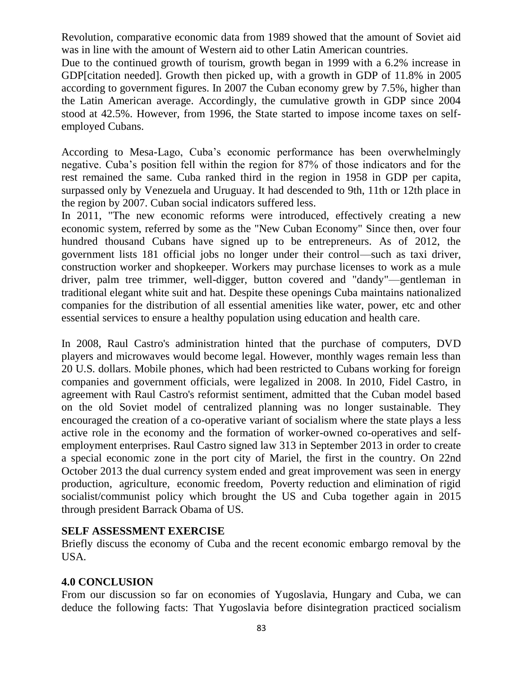Revolution, comparative economic data from 1989 showed that the amount of Soviet aid was in line with the amount of Western aid to other Latin American countries.

Due to the continued growth of tourism, growth began in 1999 with a 6.2% increase in GDP[citation needed]. Growth then picked up, with a growth in GDP of 11.8% in 2005 according to government figures. In 2007 the Cuban economy grew by 7.5%, higher than the Latin American average. Accordingly, the cumulative growth in GDP since 2004 stood at 42.5%. However, from 1996, the State started to impose income taxes on selfemployed Cubans.

According to Mesa-Lago, Cuba's economic performance has been overwhelmingly negative. Cuba's position fell within the region for 87% of those indicators and for the rest remained the same. Cuba ranked third in the region in 1958 in GDP per capita, surpassed only by Venezuela and Uruguay. It had descended to 9th, 11th or 12th place in the region by 2007. Cuban social indicators suffered less.

In 2011, "The new economic reforms were introduced, effectively creating a new economic system, referred by some as the "New Cuban Economy" Since then, over four hundred thousand Cubans have signed up to be entrepreneurs. As of 2012, the government lists 181 official jobs no longer under their control—such as taxi driver, construction worker and shopkeeper. Workers may purchase licenses to work as a mule driver, palm tree trimmer, well-digger, button covered and "dandy"—gentleman in traditional elegant white suit and hat. Despite these openings Cuba maintains nationalized companies for the distribution of all essential amenities like water, power, etc and other essential services to ensure a healthy population using education and health care.

In 2008, Raul Castro's administration hinted that the purchase of computers, DVD players and microwaves would become legal. However, monthly wages remain less than 20 U.S. dollars. Mobile phones, which had been restricted to Cubans working for foreign companies and government officials, were legalized in 2008. In 2010, Fidel Castro, in agreement with Raul Castro's reformist sentiment, admitted that the Cuban model based on the old Soviet model of centralized planning was no longer sustainable. They encouraged the creation of a co-operative variant of socialism where the state plays a less active role in the economy and the formation of worker-owned co-operatives and selfemployment enterprises. Raul Castro signed law 313 in September 2013 in order to create a special economic zone in the port city of Mariel, the first in the country. On 22nd October 2013 the dual currency system ended and great improvement was seen in energy production, agriculture, economic freedom, Poverty reduction and elimination of rigid socialist/communist policy which brought the US and Cuba together again in 2015 through president Barrack Obama of US.

## **SELF ASSESSMENT EXERCISE**

Briefly discuss the economy of Cuba and the recent economic embargo removal by the USA.

## **4.0 CONCLUSION**

From our discussion so far on economies of Yugoslavia, Hungary and Cuba, we can deduce the following facts: That Yugoslavia before disintegration practiced socialism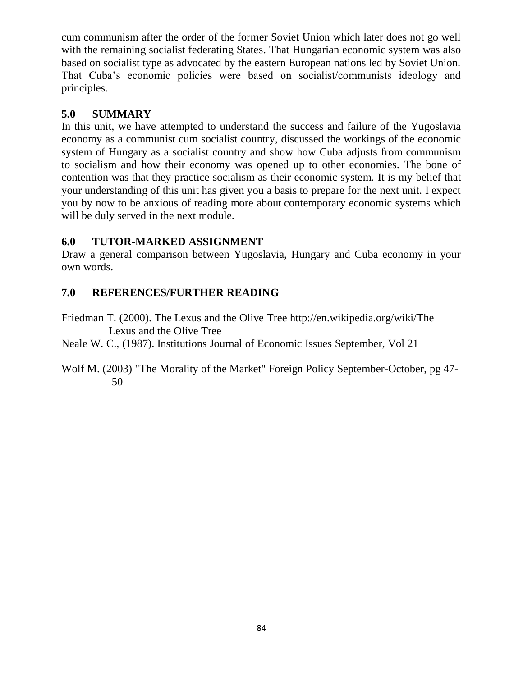cum communism after the order of the former Soviet Union which later does not go well with the remaining socialist federating States. That Hungarian economic system was also based on socialist type as advocated by the eastern European nations led by Soviet Union. That Cuba's economic policies were based on socialist/communists ideology and principles.

# **5.0 SUMMARY**

In this unit, we have attempted to understand the success and failure of the Yugoslavia economy as a communist cum socialist country, discussed the workings of the economic system of Hungary as a socialist country and show how Cuba adjusts from communism to socialism and how their economy was opened up to other economies. The bone of contention was that they practice socialism as their economic system. It is my belief that your understanding of this unit has given you a basis to prepare for the next unit. I expect you by now to be anxious of reading more about contemporary economic systems which will be duly served in the next module.

# **6.0 TUTOR-MARKED ASSIGNMENT**

Draw a general comparison between Yugoslavia, Hungary and Cuba economy in your own words.

# **7.0 REFERENCES/FURTHER READING**

Friedman T. (2000). The Lexus and the Olive Tree http://en.wikipedia.org/wiki/The Lexus and the Olive Tree

Neale W. C., (1987). Institutions Journal of Economic Issues September, Vol 21

Wolf M. (2003) "The Morality of the Market" Foreign Policy September-October, pg 47- 50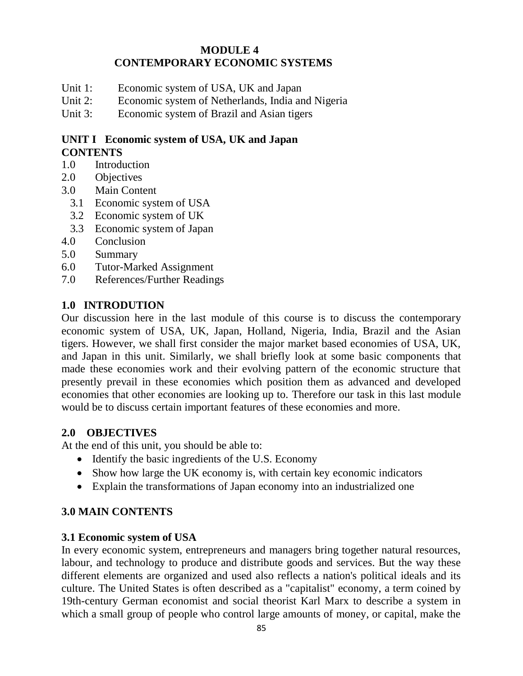## **MODULE 4 CONTEMPORARY ECONOMIC SYSTEMS**

- Unit 1: Economic system of USA, UK and Japan
- Unit 2: Economic system of Netherlands, India and Nigeria
- Unit 3: Economic system of Brazil and Asian tigers

# **UNIT I Economic system of USA, UK and Japan CONTENTS**

- 1.0 Introduction
- 2.0 Objectives
- 3.0 Main Content
	- 3.1 Economic system of USA
	- 3.2 Economic system of UK
	- 3.3 Economic system of Japan
- 4.0 Conclusion
- 5.0 Summary
- 6.0 Tutor-Marked Assignment
- 7.0 References/Further Readings

# **1.0 INTRODUTION**

Our discussion here in the last module of this course is to discuss the contemporary economic system of USA, UK, Japan, Holland, Nigeria, India, Brazil and the Asian tigers. However, we shall first consider the major market based economies of USA, UK, and Japan in this unit. Similarly, we shall briefly look at some basic components that made these economies work and their evolving pattern of the economic structure that presently prevail in these economies which position them as advanced and developed economies that other economies are looking up to. Therefore our task in this last module would be to discuss certain important features of these economies and more.

# **2.0 OBJECTIVES**

At the end of this unit, you should be able to:

- Identify the basic ingredients of the U.S. Economy
- Show how large the UK economy is, with certain key economic indicators
- Explain the transformations of Japan economy into an industrialized one

# **3.0 MAIN CONTENTS**

## **3.1 Economic system of USA**

In every economic system, entrepreneurs and managers bring together natural resources, labour, and technology to produce and distribute goods and services. But the way these different elements are organized and used also reflects a nation's political ideals and its culture. The United States is often described as a "capitalist" economy, a term coined by 19th-century German economist and social theorist Karl Marx to describe a system in which a small group of people who control large amounts of money, or capital, make the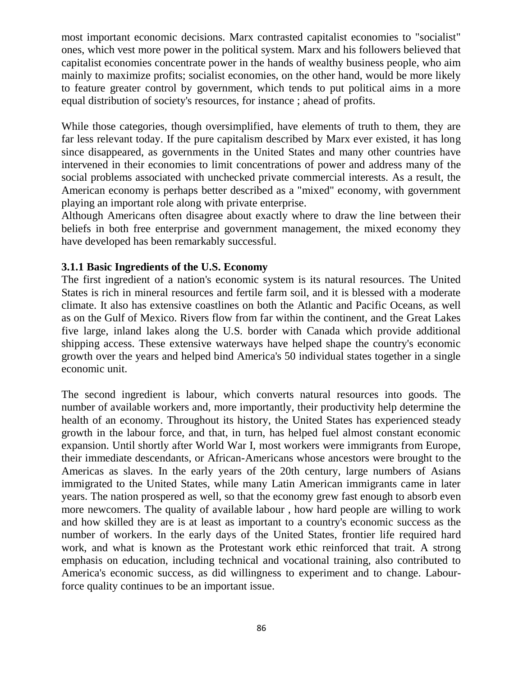most important economic decisions. Marx contrasted capitalist economies to "socialist" ones, which vest more power in the political system. Marx and his followers believed that capitalist economies concentrate power in the hands of wealthy business people, who aim mainly to maximize profits; socialist economies, on the other hand, would be more likely to feature greater control by government, which tends to put political aims in a more equal distribution of society's resources, for instance ; ahead of profits.

While those categories, though oversimplified, have elements of truth to them, they are far less relevant today. If the pure capitalism described by Marx ever existed, it has long since disappeared, as governments in the United States and many other countries have intervened in their economies to limit concentrations of power and address many of the social problems associated with unchecked private commercial interests. As a result, the American economy is perhaps better described as a "mixed" economy, with government playing an important role along with private enterprise.

Although Americans often disagree about exactly where to draw the line between their beliefs in both free enterprise and government management, the mixed economy they have developed has been remarkably successful.

### **3.1.1 Basic Ingredients of the U.S. Economy**

The first ingredient of a nation's economic system is its natural resources. The United States is rich in mineral resources and fertile farm soil, and it is blessed with a moderate climate. It also has extensive coastlines on both the Atlantic and Pacific Oceans, as well as on the Gulf of Mexico. Rivers flow from far within the continent, and the Great Lakes five large, inland lakes along the U.S. border with Canada which provide additional shipping access. These extensive waterways have helped shape the country's economic growth over the years and helped bind America's 50 individual states together in a single economic unit.

The second ingredient is labour, which converts natural resources into goods. The number of available workers and, more importantly, their productivity help determine the health of an economy. Throughout its history, the United States has experienced steady growth in the labour force, and that, in turn, has helped fuel almost constant economic expansion. Until shortly after World War I, most workers were immigrants from Europe, their immediate descendants, or African-Americans whose ancestors were brought to the Americas as slaves. In the early years of the 20th century, large numbers of Asians immigrated to the United States, while many Latin American immigrants came in later years. The nation prospered as well, so that the economy grew fast enough to absorb even more newcomers. The quality of available labour , how hard people are willing to work and how skilled they are is at least as important to a country's economic success as the number of workers. In the early days of the United States, frontier life required hard work, and what is known as the Protestant work ethic reinforced that trait. A strong emphasis on education, including technical and vocational training, also contributed to America's economic success, as did willingness to experiment and to change. Labourforce quality continues to be an important issue.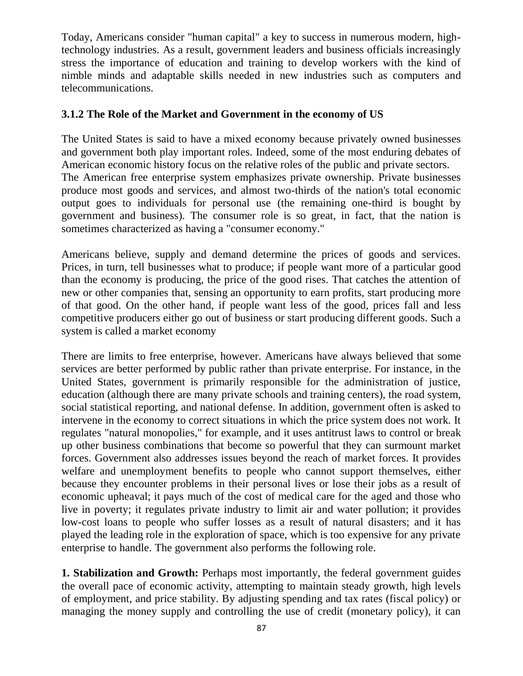Today, Americans consider "human capital" a key to success in numerous modern, hightechnology industries. As a result, government leaders and business officials increasingly stress the importance of education and training to develop workers with the kind of nimble minds and adaptable skills needed in new industries such as computers and telecommunications.

## **3.1.2 The Role of the Market and Government in the economy of US**

The United States is said to have a mixed economy because privately owned businesses and government both play important roles. Indeed, some of the most enduring debates of American economic history focus on the relative roles of the public and private sectors. The American free enterprise system emphasizes private ownership. Private businesses produce most goods and services, and almost two-thirds of the nation's total economic output goes to individuals for personal use (the remaining one-third is bought by government and business). The consumer role is so great, in fact, that the nation is sometimes characterized as having a "consumer economy."

Americans believe, supply and demand determine the prices of goods and services. Prices, in turn, tell businesses what to produce; if people want more of a particular good than the economy is producing, the price of the good rises. That catches the attention of new or other companies that, sensing an opportunity to earn profits, start producing more of that good. On the other hand, if people want less of the good, prices fall and less competitive producers either go out of business or start producing different goods. Such a system is called a market economy

There are limits to free enterprise, however. Americans have always believed that some services are better performed by public rather than private enterprise. For instance, in the United States, government is primarily responsible for the administration of justice, education (although there are many private schools and training centers), the road system, social statistical reporting, and national defense. In addition, government often is asked to intervene in the economy to correct situations in which the price system does not work. It regulates "natural monopolies," for example, and it uses antitrust laws to control or break up other business combinations that become so powerful that they can surmount market forces. Government also addresses issues beyond the reach of market forces. It provides welfare and unemployment benefits to people who cannot support themselves, either because they encounter problems in their personal lives or lose their jobs as a result of economic upheaval; it pays much of the cost of medical care for the aged and those who live in poverty; it regulates private industry to limit air and water pollution; it provides low-cost loans to people who suffer losses as a result of natural disasters; and it has played the leading role in the exploration of space, which is too expensive for any private enterprise to handle. The government also performs the following role.

**1. Stabilization and Growth:** Perhaps most importantly, the federal government guides the overall pace of economic activity, attempting to maintain steady growth, high levels of employment, and price stability. By adjusting spending and tax rates (fiscal policy) or managing the money supply and controlling the use of credit (monetary policy), it can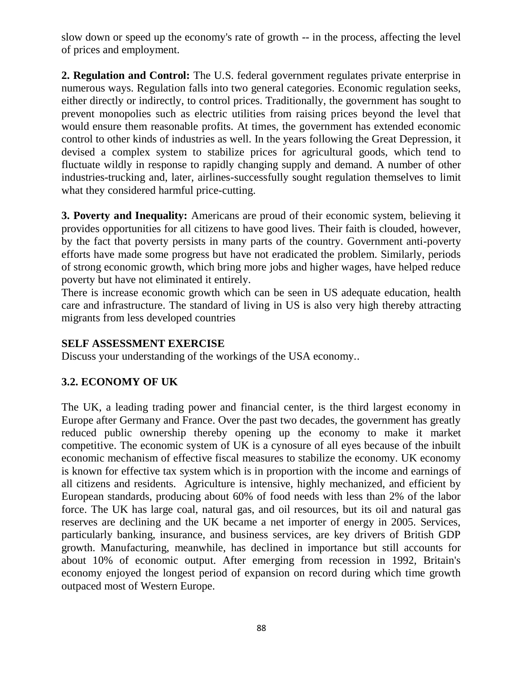slow down or speed up the economy's rate of growth -- in the process, affecting the level of prices and employment.

**2. Regulation and Control:** The U.S. federal government regulates private enterprise in numerous ways. Regulation falls into two general categories. Economic regulation seeks, either directly or indirectly, to control prices. Traditionally, the government has sought to prevent monopolies such as electric utilities from raising prices beyond the level that would ensure them reasonable profits. At times, the government has extended economic control to other kinds of industries as well. In the years following the Great Depression, it devised a complex system to stabilize prices for agricultural goods, which tend to fluctuate wildly in response to rapidly changing supply and demand. A number of other industries-trucking and, later, airlines-successfully sought regulation themselves to limit what they considered harmful price-cutting.

**3. Poverty and Inequality:** Americans are proud of their economic system, believing it provides opportunities for all citizens to have good lives. Their faith is clouded, however, by the fact that poverty persists in many parts of the country. Government anti-poverty efforts have made some progress but have not eradicated the problem. Similarly, periods of strong economic growth, which bring more jobs and higher wages, have helped reduce poverty but have not eliminated it entirely.

There is increase economic growth which can be seen in US adequate education, health care and infrastructure. The standard of living in US is also very high thereby attracting migrants from less developed countries

## **SELF ASSESSMENT EXERCISE**

Discuss your understanding of the workings of the USA economy..

# **3.2. ECONOMY OF UK**

The UK, a leading trading power and financial center, is the third largest economy in Europe after Germany and France. Over the past two decades, the government has greatly reduced public ownership thereby opening up the economy to make it market competitive. The economic system of UK is a cynosure of all eyes because of the inbuilt economic mechanism of effective fiscal measures to stabilize the economy. UK economy is known for effective tax system which is in proportion with the income and earnings of all citizens and residents. Agriculture is intensive, highly mechanized, and efficient by European standards, producing about 60% of food needs with less than 2% of the labor force. The UK has large coal, natural gas, and oil resources, but its oil and natural gas reserves are declining and the UK became a net importer of energy in 2005. Services, particularly banking, insurance, and business services, are key drivers of British GDP growth. Manufacturing, meanwhile, has declined in importance but still accounts for about 10% of economic output. After emerging from recession in 1992, Britain's economy enjoyed the longest period of expansion on record during which time growth outpaced most of Western Europe.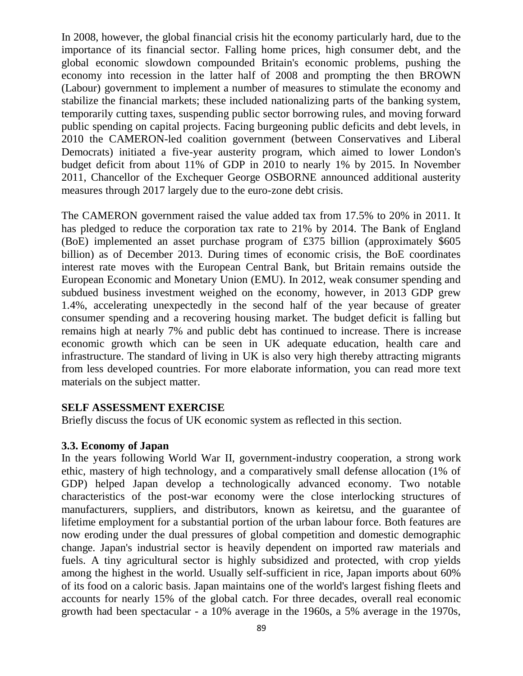In 2008, however, the global financial crisis hit the economy particularly hard, due to the importance of its financial sector. Falling home prices, high consumer debt, and the global economic slowdown compounded Britain's economic problems, pushing the economy into recession in the latter half of 2008 and prompting the then BROWN (Labour) government to implement a number of measures to stimulate the economy and stabilize the financial markets; these included nationalizing parts of the banking system, temporarily cutting taxes, suspending public sector borrowing rules, and moving forward public spending on capital projects. Facing burgeoning public deficits and debt levels, in 2010 the CAMERON-led coalition government (between Conservatives and Liberal Democrats) initiated a five-year austerity program, which aimed to lower London's budget deficit from about 11% of GDP in 2010 to nearly 1% by 2015. In November 2011, Chancellor of the Exchequer George OSBORNE announced additional austerity measures through 2017 largely due to the euro-zone debt crisis.

The CAMERON government raised the value added tax from 17.5% to 20% in 2011. It has pledged to reduce the corporation tax rate to 21% by 2014. The Bank of England (BoE) implemented an asset purchase program of £375 billion (approximately \$605 billion) as of December 2013. During times of economic crisis, the BoE coordinates interest rate moves with the European Central Bank, but Britain remains outside the European Economic and Monetary Union (EMU). In 2012, weak consumer spending and subdued business investment weighed on the economy, however, in 2013 GDP grew 1.4%, accelerating unexpectedly in the second half of the year because of greater consumer spending and a recovering housing market. The budget deficit is falling but remains high at nearly 7% and public debt has continued to increase. There is increase economic growth which can be seen in UK adequate education, health care and infrastructure. The standard of living in UK is also very high thereby attracting migrants from less developed countries. For more elaborate information, you can read more text materials on the subject matter.

### **SELF ASSESSMENT EXERCISE**

Briefly discuss the focus of UK economic system as reflected in this section.

#### **3.3. Economy of Japan**

In the years following World War II, government-industry cooperation, a strong work ethic, mastery of high technology, and a comparatively small defense allocation (1% of GDP) helped Japan develop a technologically advanced economy. Two notable characteristics of the post-war economy were the close interlocking structures of manufacturers, suppliers, and distributors, known as keiretsu, and the guarantee of lifetime employment for a substantial portion of the urban labour force. Both features are now eroding under the dual pressures of global competition and domestic demographic change. Japan's industrial sector is heavily dependent on imported raw materials and fuels. A tiny agricultural sector is highly subsidized and protected, with crop yields among the highest in the world. Usually self-sufficient in rice, Japan imports about 60% of its food on a caloric basis. Japan maintains one of the world's largest fishing fleets and accounts for nearly 15% of the global catch. For three decades, overall real economic growth had been spectacular - a 10% average in the 1960s, a 5% average in the 1970s,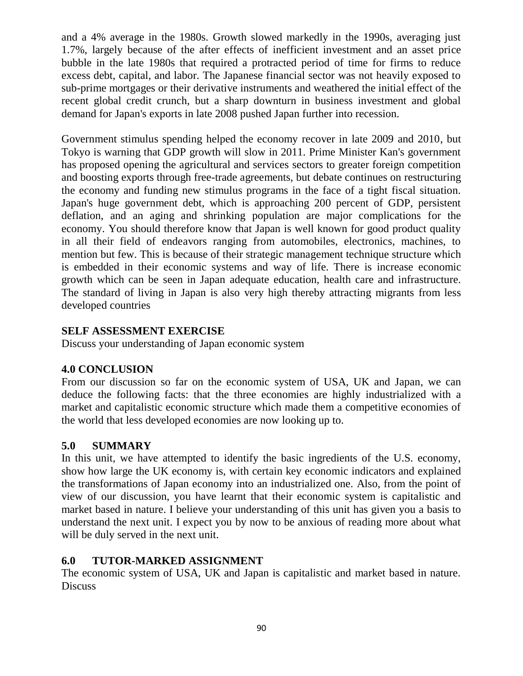and a 4% average in the 1980s. Growth slowed markedly in the 1990s, averaging just 1.7%, largely because of the after effects of inefficient investment and an asset price bubble in the late 1980s that required a protracted period of time for firms to reduce excess debt, capital, and labor. The Japanese financial sector was not heavily exposed to sub-prime mortgages or their derivative instruments and weathered the initial effect of the recent global credit crunch, but a sharp downturn in business investment and global demand for Japan's exports in late 2008 pushed Japan further into recession.

Government stimulus spending helped the economy recover in late 2009 and 2010, but Tokyo is warning that GDP growth will slow in 2011. Prime Minister Kan's government has proposed opening the agricultural and services sectors to greater foreign competition and boosting exports through free-trade agreements, but debate continues on restructuring the economy and funding new stimulus programs in the face of a tight fiscal situation. Japan's huge government debt, which is approaching 200 percent of GDP, persistent deflation, and an aging and shrinking population are major complications for the economy. You should therefore know that Japan is well known for good product quality in all their field of endeavors ranging from automobiles, electronics, machines, to mention but few. This is because of their strategic management technique structure which is embedded in their economic systems and way of life. There is increase economic growth which can be seen in Japan adequate education, health care and infrastructure. The standard of living in Japan is also very high thereby attracting migrants from less developed countries

## **SELF ASSESSMENT EXERCISE**

Discuss your understanding of Japan economic system

# **4.0 CONCLUSION**

From our discussion so far on the economic system of USA, UK and Japan, we can deduce the following facts: that the three economies are highly industrialized with a market and capitalistic economic structure which made them a competitive economies of the world that less developed economies are now looking up to.

## **5.0 SUMMARY**

In this unit, we have attempted to identify the basic ingredients of the U.S. economy, show how large the UK economy is, with certain key economic indicators and explained the transformations of Japan economy into an industrialized one. Also, from the point of view of our discussion, you have learnt that their economic system is capitalistic and market based in nature. I believe your understanding of this unit has given you a basis to understand the next unit. I expect you by now to be anxious of reading more about what will be duly served in the next unit.

# **6.0 TUTOR-MARKED ASSIGNMENT**

The economic system of USA, UK and Japan is capitalistic and market based in nature. Discuss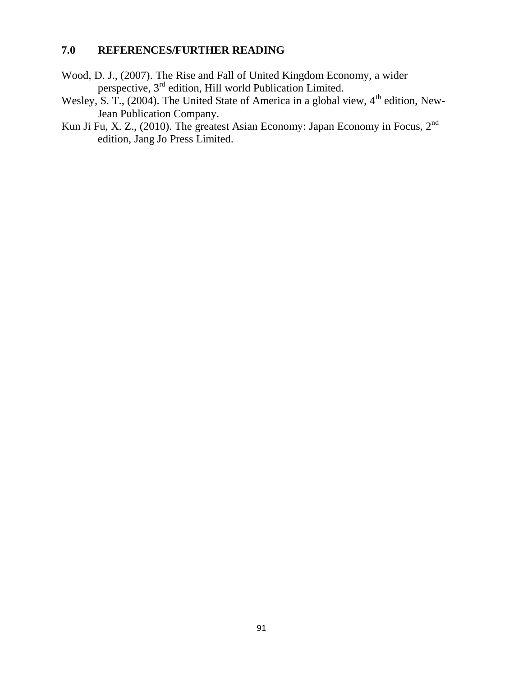# **7.0 REFERENCES/FURTHER READING**

- Wood, D. J., (2007). The Rise and Fall of United Kingdom Economy, a wider perspective, 3<sup>rd</sup> edition, Hill world Publication Limited.
- Wesley, S. T.,  $(2004)$ . The United State of America in a global view,  $4<sup>th</sup>$  edition, New-Jean Publication Company.
- Kun Ji Fu, X. Z., (2010). The greatest Asian Economy: Japan Economy in Focus,  $2^{nd}$ edition, Jang Jo Press Limited.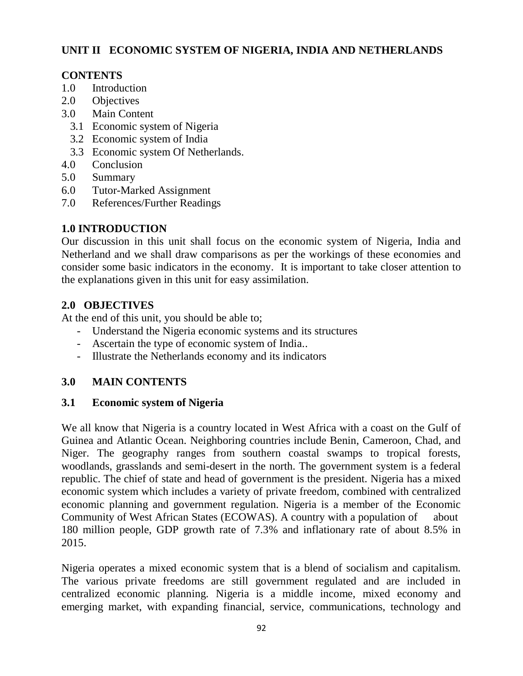# **UNIT II ECONOMIC SYSTEM OF NIGERIA, INDIA AND NETHERLANDS**

# **CONTENTS**

- 1.0 Introduction
- 2.0 Objectives
- 3.0 Main Content
	- 3.1 Economic system of Nigeria
	- 3.2 Economic system of India
	- 3.3 Economic system Of Netherlands.
- 4.0 Conclusion
- 5.0 Summary
- 6.0 Tutor-Marked Assignment
- 7.0 References/Further Readings

# **1.0 INTRODUCTION**

Our discussion in this unit shall focus on the economic system of Nigeria, India and Netherland and we shall draw comparisons as per the workings of these economies and consider some basic indicators in the economy. It is important to take closer attention to the explanations given in this unit for easy assimilation.

# **2.0 OBJECTIVES**

At the end of this unit, you should be able to;

- Understand the Nigeria economic systems and its structures
- Ascertain the type of economic system of India..
- Illustrate the Netherlands economy and its indicators

# **3.0 MAIN CONTENTS**

# **3.1 Economic system of Nigeria**

We all know that Nigeria is a country located in West Africa with a coast on the Gulf of Guinea and Atlantic Ocean. Neighboring countries include Benin, Cameroon, Chad, and Niger. The geography ranges from southern coastal swamps to tropical forests, woodlands, grasslands and semi-desert in the north. The government system is a federal republic. The chief of state and head of government is the president. Nigeria has a mixed economic system which includes a variety of private freedom, combined with centralized economic planning and government regulation. Nigeria is a member of the Economic Community of West African States (ECOWAS). A country with a population of about 180 million people, GDP growth rate of 7.3% and inflationary rate of about 8.5% in 2015.

Nigeria operates a mixed economic system that is a blend of socialism and capitalism. The various private freedoms are still government regulated and are included in centralized economic planning. Nigeria is a middle income, mixed economy and emerging market, with expanding financial, service, communications, technology and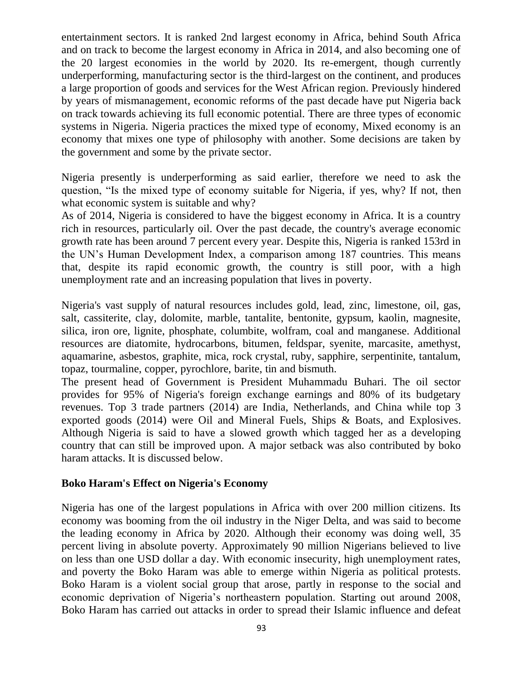entertainment sectors. It is ranked 2nd largest economy in Africa, behind South Africa and on track to become the largest economy in Africa in 2014, and also becoming one of the 20 largest economies in the world by 2020. Its re-emergent, though currently underperforming, manufacturing sector is the third-largest on the continent, and produces a large proportion of goods and services for the West African region. Previously hindered by years of mismanagement, economic reforms of the past decade have put Nigeria back on track towards achieving its full economic potential. There are three types of economic systems in Nigeria. Nigeria practices the mixed type of economy, Mixed economy is an economy that mixes one type of philosophy with another. Some decisions are taken by the government and some by the private sector.

Nigeria presently is underperforming as said earlier, therefore we need to ask the question, "Is the mixed type of economy suitable for Nigeria, if yes, why? If not, then what economic system is suitable and why?

As of 2014, Nigeria is considered to have the biggest economy in Africa. It is a country rich in resources, particularly oil. Over the past decade, the country's average economic growth rate has been around 7 percent every year. Despite this, Nigeria is ranked 153rd in the UN's Human Development Index, a comparison among 187 countries. This means that, despite its rapid economic growth, the country is still poor, with a high unemployment rate and an increasing population that lives in poverty.

Nigeria's vast supply of natural resources includes gold, lead, zinc, limestone, oil, gas, salt, cassiterite, clay, dolomite, marble, tantalite, bentonite, gypsum, kaolin, magnesite, silica, iron ore, lignite, phosphate, columbite, wolfram, coal and manganese. Additional resources are diatomite, hydrocarbons, bitumen, feldspar, syenite, marcasite, amethyst, aquamarine, asbestos, graphite, mica, rock crystal, ruby, sapphire, serpentinite, tantalum, topaz, tourmaline, copper, pyrochlore, barite, tin and bismuth.

The present head of Government is President Muhammadu Buhari. The oil sector provides for 95% of Nigeria's foreign exchange earnings and 80% of its budgetary revenues. Top 3 trade partners (2014) are India, Netherlands, and China while top 3 exported goods (2014) were Oil and Mineral Fuels, Ships & Boats, and Explosives. Although Nigeria is said to have a slowed growth which tagged her as a developing country that can still be improved upon. A major setback was also contributed by boko haram attacks. It is discussed below.

### **Boko Haram's Effect on Nigeria's Economy**

[Nigeria](https://en.wikipedia.org/wiki/Nigeria) has one of the largest populations in Africa with over 200 million citizens. Its economy was booming from the oil industry in the [Niger Delta,](https://en.wikipedia.org/wiki/Niger_Delta) and was said to become the leading economy in Africa by 2020. Although their economy was doing well, 35 percent living in absolute poverty. Approximately 90 million Nigerians believed to live on less than one USD dollar a day. With economic insecurity, high unemployment rates, and poverty the [Boko Haram](https://en.wikipedia.org/wiki/Boko_Haram) was able to emerge within Nigeria as political protests. Boko Haram is a violent social group that arose, partly in response to the social and economic deprivation of Nigeria's northeastern population. Starting out around 2008, Boko Haram has carried out attacks in order to spread their Islamic influence and defeat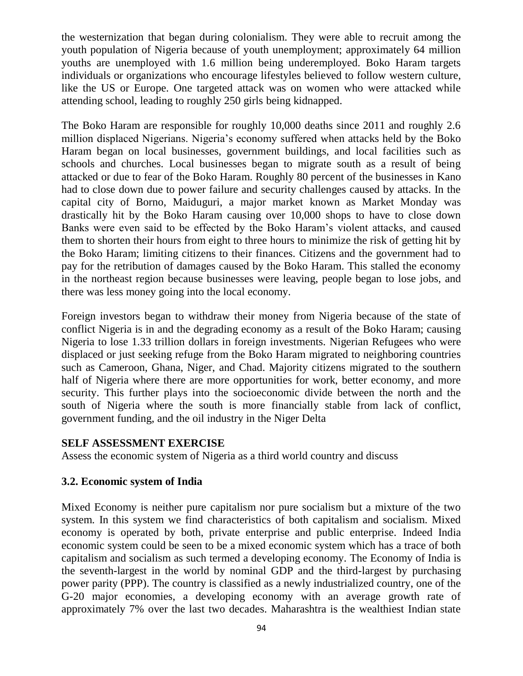the westernization that began during colonialism. They were able to recruit among the youth population of Nigeria because of youth unemployment; approximately 64 million youths are unemployed with 1.6 million being underemployed. Boko Haram targets individuals or organizations who encourage lifestyles believed to follow [western culture,](https://en.wikipedia.org/wiki/Western_culture) like the US or Europe. One targeted attack was on women who were attacked while attending school, leading to roughly 250 girls being kidnapped.

The Boko Haram are responsible for roughly 10,000 deaths since 2011 and roughly 2.6 million displaced Nigerians. Nigeria's economy suffered when attacks held by the Boko Haram began on local businesses, government buildings, and local facilities such as schools and churches. Local businesses began to migrate south as a result of being attacked or due to fear of the Boko Haram. Roughly 80 percent of the businesses in [Kano](https://en.wikipedia.org/wiki/Kano) had to close down due to power failure and security challenges caused by attacks. In the capital city of Borno, [Maiduguri,](https://en.wikipedia.org/wiki/Maiduguri) a major market known as Market Monday was drastically hit by the Boko Haram causing over 10,000 shops to have to close down Banks were even said to be effected by the Boko Haram's violent attacks, and caused them to shorten their hours from eight to three hours to minimize the risk of getting hit by the Boko Haram; limiting citizens to their finances. Citizens and the government had to pay for the retribution of damages caused by the Boko Haram. This stalled the economy in the northeast region because businesses were leaving, people began to lose jobs, and there was less money going into the local economy.

Foreign investors began to withdraw their money from Nigeria because of the state of conflict Nigeria is in and the degrading economy as a result of the Boko Haram; causing Nigeria to lose 1.33 trillion dollars in foreign investments. [Nigerian Refugees](https://en.wikipedia.org/wiki/Nigerian_refugees) who were displaced or just seeking refuge from the Boko Haram migrated to neighboring countries such as Cameroon, Ghana, Niger, and Chad. Majority citizens migrated to the southern half of Nigeria where there are more opportunities for work, better economy, and more security. This further plays into the socioeconomic divide between the north and the south of Nigeria where the south is more financially stable from lack of conflict, government funding, and the oil industry in the [Niger Delta](https://en.wikipedia.org/wiki/Niger_Delta)

### **SELF ASSESSMENT EXERCISE**

Assess the economic system of Nigeria as a third world country and discuss

## **3.2. Economic system of India**

Mixed Economy is neither pure capitalism nor pure socialism but a mixture of the two system. In this system we find characteristics of both capitalism and socialism. Mixed economy is operated by both, private enterprise and public enterprise. Indeed India economic system could be seen to be a mixed economic system which has a trace of both capitalism and socialism as such termed a developing economy. The Economy of India is the seventh-largest in the world by nominal GDP and the third-largest by purchasing power parity (PPP). The country is classified as a newly industrialized country, one of the G-20 major economies, a developing economy with an average growth rate of approximately 7% over the last two decades. Maharashtra is the wealthiest Indian state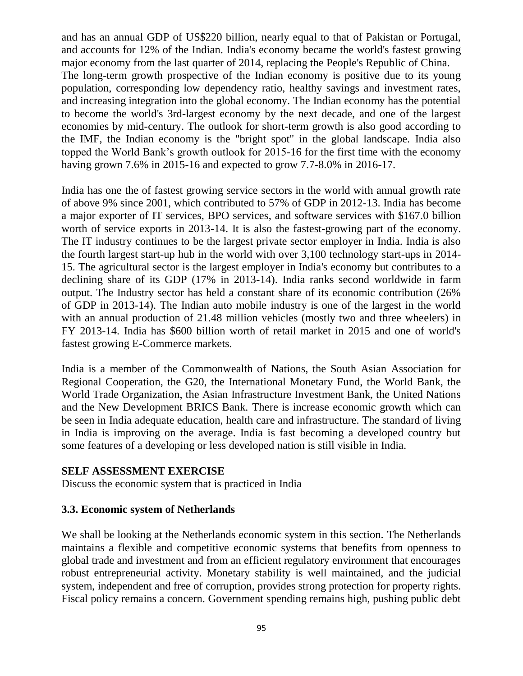and has an annual GDP of US\$220 billion, nearly equal to that of Pakistan or Portugal, and accounts for 12% of the Indian. India's economy became the world's fastest growing major economy from the last quarter of 2014, replacing the People's Republic of China. The long-term growth prospective of the Indian economy is positive due to its young population, corresponding low dependency ratio, healthy savings and investment rates, and increasing integration into the global economy. The Indian economy has the potential to become the world's 3rd-largest economy by the next decade, and one of the largest economies by mid-century. The outlook for short-term growth is also good according to the IMF, the Indian economy is the "bright spot" in the global landscape. India also topped the World Bank's growth outlook for 2015-16 for the first time with the economy having grown 7.6% in 2015-16 and expected to grow 7.7-8.0% in 2016-17.

India has one the of fastest growing service sectors in the world with annual growth rate of above 9% since 2001, which contributed to 57% of GDP in 2012-13. India has become a major exporter of IT services, BPO services, and software services with \$167.0 billion worth of service exports in 2013-14. It is also the fastest-growing part of the economy. The IT industry continues to be the largest private sector employer in India. India is also the fourth largest start-up hub in the world with over 3,100 technology start-ups in 2014- 15. The agricultural sector is the largest employer in India's economy but contributes to a declining share of its GDP (17% in 2013-14). India ranks second worldwide in farm output. The Industry sector has held a constant share of its economic contribution (26% of GDP in 2013-14). The Indian auto mobile industry is one of the largest in the world with an annual production of 21.48 million vehicles (mostly two and three wheelers) in FY 2013-14. India has \$600 billion worth of retail market in 2015 and one of world's fastest growing E-Commerce markets.

India is a member of the Commonwealth of Nations, the South Asian Association for Regional Cooperation, the G20, the International Monetary Fund, the World Bank, the World Trade Organization, the Asian Infrastructure Investment Bank, the United Nations and the New Development BRICS Bank. There is increase economic growth which can be seen in India adequate education, health care and infrastructure. The standard of living in India is improving on the average. India is fast becoming a developed country but some features of a developing or less developed nation is still visible in India.

### **SELF ASSESSMENT EXERCISE**

Discuss the economic system that is practiced in India

### **3.3. Economic system of Netherlands**

We shall be looking at the Netherlands economic system in this section. The Netherlands maintains a flexible and competitive economic systems that benefits from openness to global trade and investment and from an efficient regulatory environment that encourages robust entrepreneurial activity. Monetary stability is well maintained, and the judicial system, independent and free of corruption, provides strong protection for property rights. Fiscal policy remains a concern. Government spending remains high, pushing public debt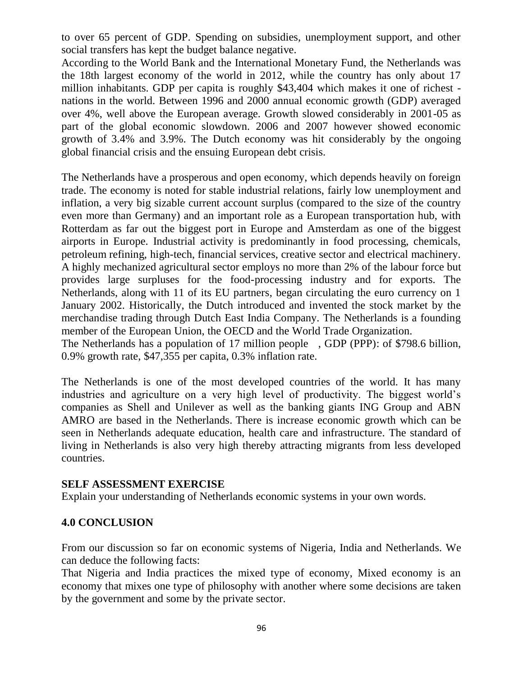to over 65 percent of GDP. Spending on subsidies, unemployment support, and other social transfers has kept the budget balance negative.

According to the World Bank and the International Monetary Fund, the Netherlands was the 18th largest economy of the world in 2012, while the country has only about 17 million inhabitants. GDP per capita is roughly \$43,404 which makes it one of richest nations in the world. Between 1996 and 2000 annual economic growth (GDP) averaged over 4%, well above the European average. Growth slowed considerably in 2001-05 as part of the global economic slowdown. 2006 and 2007 however showed economic growth of 3.4% and 3.9%. The Dutch economy was hit considerably by the ongoing global financial crisis and the ensuing European debt crisis.

The Netherlands have a prosperous and open economy, which depends heavily on foreign trade. The economy is noted for stable industrial relations, fairly low unemployment and inflation, a very big sizable current account surplus (compared to the size of the country even more than Germany) and an important role as a European transportation hub, with Rotterdam as far out the biggest port in Europe and Amsterdam as one of the biggest airports in Europe. Industrial activity is predominantly in food processing, chemicals, petroleum refining, high-tech, financial services, creative sector and electrical machinery. A highly mechanized agricultural sector employs no more than 2% of the labour force but provides large surpluses for the food-processing industry and for exports. The Netherlands, along with 11 of its EU partners, began circulating the euro currency on 1 January 2002. Historically, the Dutch introduced and invented the stock market by the merchandise trading through Dutch East India Company. The Netherlands is a founding member of the European Union, the OECD and the World Trade Organization.

The Netherlands has a population of 17 million people , GDP (PPP): of \$798.6 billion, 0.9% growth rate, \$47,355 per capita, 0.3% inflation rate.

The Netherlands is one of the most developed countries of the world. It has many industries and agriculture on a very high level of productivity. The biggest world's companies as Shell and Unilever as well as the banking giants ING Group and ABN AMRO are based in the Netherlands. There is increase economic growth which can be seen in Netherlands adequate education, health care and infrastructure. The standard of living in Netherlands is also very high thereby attracting migrants from less developed countries.

### **SELF ASSESSMENT EXERCISE**

Explain your understanding of Netherlands economic systems in your own words.

### **4.0 CONCLUSION**

From our discussion so far on economic systems of Nigeria, India and Netherlands. We can deduce the following facts:

That Nigeria and India practices the mixed type of economy, Mixed economy is an economy that mixes one type of philosophy with another where some decisions are taken by the government and some by the private sector.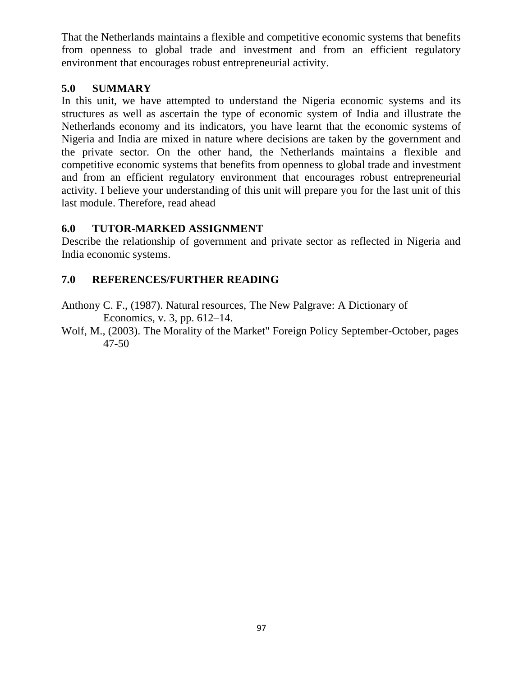That the Netherlands maintains a flexible and competitive economic systems that benefits from openness to global trade and investment and from an efficient regulatory environment that encourages robust entrepreneurial activity.

# **5.0 SUMMARY**

In this unit, we have attempted to understand the Nigeria economic systems and its structures as well as ascertain the type of economic system of India and illustrate the Netherlands economy and its indicators, you have learnt that the economic systems of Nigeria and India are mixed in nature where decisions are taken by the government and the private sector. On the other hand, the Netherlands maintains a flexible and competitive economic systems that benefits from openness to global trade and investment and from an efficient regulatory environment that encourages robust entrepreneurial activity. I believe your understanding of this unit will prepare you for the last unit of this last module. Therefore, read ahead

# **6.0 TUTOR-MARKED ASSIGNMENT**

Describe the relationship of government and private sector as reflected in Nigeria and India economic systems.

# **7.0 REFERENCES/FURTHER READING**

- Anthony C. F., (1987). Natural resources, The New Palgrave: A Dictionary of Economics, v. 3, pp. 612–14.
- Wolf, M., (2003). The Morality of the Market" Foreign Policy September-October, pages 47-50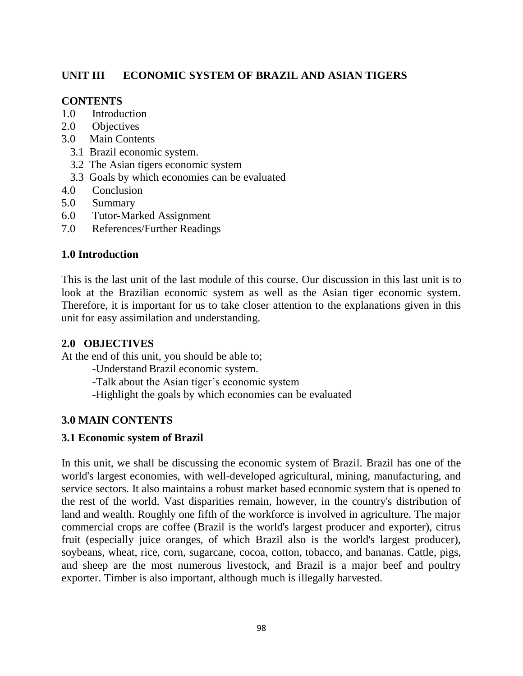# **UNIT III ECONOMIC SYSTEM OF BRAZIL AND ASIAN TIGERS**

### **CONTENTS**

- 1.0 Introduction
- 2.0 Objectives
- 3.0 Main Contents
	- 3.1 Brazil economic system.
	- 3.2 The Asian tigers economic system
	- 3.3 Goals by which economies can be evaluated
- 4.0 Conclusion
- 5.0 Summary
- 6.0 Tutor-Marked Assignment
- 7.0 References/Further Readings

### **1.0 Introduction**

This is the last unit of the last module of this course. Our discussion in this last unit is to look at the Brazilian economic system as well as the Asian tiger economic system. Therefore, it is important for us to take closer attention to the explanations given in this unit for easy assimilation and understanding.

### **2.0 OBJECTIVES**

At the end of this unit, you should be able to;

- -Understand Brazil economic system.
- -Talk about the Asian tiger's economic system
- -Highlight the goals by which economies can be evaluated

## **3.0 MAIN CONTENTS**

### **3.1 Economic system of Brazil**

In this unit, we shall be discussing the economic system of Brazil. Brazil has one of the world's largest economies, with well-developed agricultural, mining, manufacturing, and service sectors. It also maintains a robust market based economic system that is opened to the rest of the world. Vast disparities remain, however, in the country's distribution of land and wealth. Roughly one fifth of the workforce is involved in agriculture. The major commercial crops are coffee (Brazil is the world's largest producer and exporter), citrus fruit (especially juice oranges, of which Brazil also is the world's largest producer), soybeans, wheat, rice, corn, sugarcane, cocoa, cotton, tobacco, and bananas. Cattle, pigs, and sheep are the most numerous livestock, and Brazil is a major beef and poultry exporter. Timber is also important, although much is illegally harvested.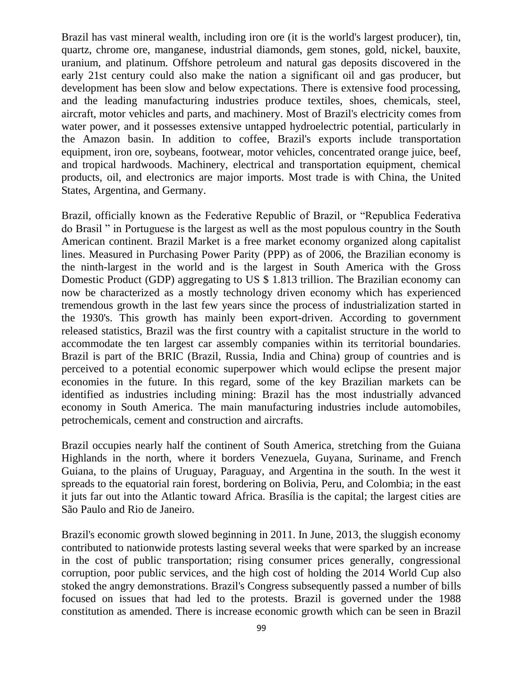Brazil has vast mineral wealth, including iron ore (it is the world's largest producer), tin, quartz, chrome ore, manganese, industrial diamonds, gem stones, gold, nickel, bauxite, uranium, and platinum. Offshore petroleum and natural gas deposits discovered in the early 21st century could also make the nation a significant oil and gas producer, but development has been slow and below expectations. There is extensive food processing, and the leading manufacturing industries produce textiles, shoes, chemicals, steel, aircraft, motor vehicles and parts, and machinery. Most of Brazil's electricity comes from water power, and it possesses extensive untapped hydroelectric potential, particularly in the Amazon basin. In addition to coffee, Brazil's exports include transportation equipment, iron ore, soybeans, footwear, motor vehicles, concentrated orange juice, beef, and tropical hardwoods. Machinery, electrical and transportation equipment, chemical products, oil, and electronics are major imports. Most trade is with China, the United States, Argentina, and Germany.

Brazil, officially known as the Federative Republic of Brazil, or "Republica Federativa do Brasil " in Portuguese is the largest as well as the most populous country in the South American continent. Brazil Market is a free market economy organized along capitalist lines. Measured in Purchasing Power Parity (PPP) as of 2006, the Brazilian economy is the ninth-largest in the world and is the largest in South America with the Gross Domestic Product (GDP) aggregating to US \$ 1.813 trillion. The Brazilian economy can now be characterized as a mostly technology driven economy which has experienced tremendous growth in the last few years since the process of industrialization started in the 1930's. This growth has mainly been export-driven. According to government released statistics, Brazil was the first country with a capitalist structure in the world to accommodate the ten largest car assembly companies within its territorial boundaries. Brazil is part of the BRIC (Brazil, Russia, India and China) group of countries and is perceived to a potential economic superpower which would eclipse the present major economies in the future. In this regard, some of the key Brazilian markets can be identified as industries including mining: Brazil has the most industrially advanced economy in South America. The main manufacturing industries include automobiles, petrochemicals, cement and construction and aircrafts.

Brazil occupies nearly half the continent of South America, stretching from the Guiana Highlands in the north, where it borders Venezuela, Guyana, Suriname, and French Guiana, to the plains of Uruguay, Paraguay, and Argentina in the south. In the west it spreads to the equatorial rain forest, bordering on Bolivia, Peru, and Colombia; in the east it juts far out into the Atlantic toward Africa. Brasília is the capital; the largest cities are São Paulo and Rio de Janeiro.

Brazil's economic growth slowed beginning in 2011. In June, 2013, the sluggish economy contributed to nationwide protests lasting several weeks that were sparked by an increase in the cost of public transportation; rising consumer prices generally, congressional corruption, poor public services, and the high cost of holding the 2014 World Cup also stoked the angry demonstrations. Brazil's Congress subsequently passed a number of bills focused on issues that had led to the protests. Brazil is governed under the 1988 constitution as amended. There is increase economic growth which can be seen in Brazil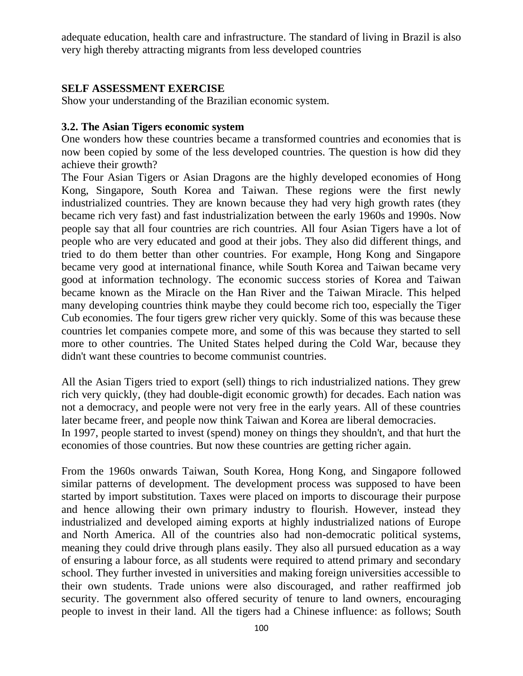adequate education, health care and infrastructure. The standard of living in Brazil is also very high thereby attracting migrants from less developed countries

## **SELF ASSESSMENT EXERCISE**

Show your understanding of the Brazilian economic system.

## **3.2. The Asian Tigers economic system**

One wonders how these countries became a transformed countries and economies that is now been copied by some of the less developed countries. The question is how did they achieve their growth?

The Four Asian Tigers or Asian Dragons are the highly developed economies of Hong Kong, Singapore, South Korea and Taiwan. These regions were the first newly industrialized countries. They are known because they had very high growth rates (they became rich very fast) and fast industrialization between the early 1960s and 1990s. Now people say that all four countries are rich countries. All four Asian Tigers have a lot of people who are very educated and good at their jobs. They also did different things, and tried to do them better than other countries. For example, Hong Kong and Singapore became very good at international finance, while South Korea and Taiwan became very good at information technology. The economic success stories of Korea and Taiwan became known as the Miracle on the Han River and the Taiwan Miracle. This helped many developing countries think maybe they could become rich too, especially the Tiger Cub economies. The four tigers grew richer very quickly. Some of this was because these countries let companies compete more, and some of this was because they started to sell more to other countries. The United States helped during the Cold War, because they didn't want these countries to become communist countries.

All the Asian Tigers tried to export (sell) things to rich industrialized nations. They grew rich very quickly, (they had double-digit economic growth) for decades. Each nation was not a democracy, and people were not very free in the early years. All of these countries later became freer, and people now think Taiwan and Korea are liberal democracies. In 1997, people started to invest (spend) money on things they shouldn't, and that hurt the economies of those countries. But now these countries are getting richer again.

From the 1960s onwards Taiwan, South Korea, Hong Kong, and Singapore followed similar patterns of development. The development process was supposed to have been started by import substitution. Taxes were placed on imports to discourage their purpose and hence allowing their own primary industry to flourish. However, instead they industrialized and developed aiming exports at highly industrialized nations of Europe and North America. All of the countries also had non-democratic political systems, meaning they could drive through plans easily. They also all pursued education as a way of ensuring a labour force, as all students were required to attend primary and secondary school. They further invested in universities and making foreign universities accessible to their own students. Trade unions were also discouraged, and rather reaffirmed job security. The government also offered security of tenure to land owners, encouraging people to invest in their land. All the tigers had a Chinese influence: as follows; South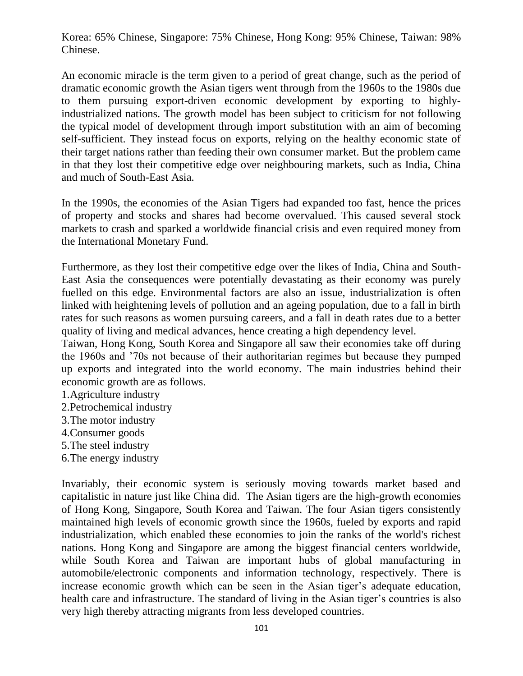Korea: 65% Chinese, Singapore: 75% Chinese, Hong Kong: 95% Chinese, Taiwan: 98% Chinese.

An economic miracle is the term given to a period of great change, such as the period of dramatic economic growth the Asian tigers went through from the 1960s to the 1980s due to them pursuing export-driven economic development by exporting to highlyindustrialized nations. The growth model has been subject to criticism for not following the typical model of development through import substitution with an aim of becoming self-sufficient. They instead focus on exports, relying on the healthy economic state of their target nations rather than feeding their own consumer market. But the problem came in that they lost their competitive edge over neighbouring markets, such as India, China and much of South-East Asia.

In the 1990s, the economies of the Asian Tigers had expanded too fast, hence the prices of property and stocks and shares had become overvalued. This caused several stock markets to crash and sparked a worldwide financial crisis and even required money from the International Monetary Fund.

Furthermore, as they lost their competitive edge over the likes of India, China and South-East Asia the consequences were potentially devastating as their economy was purely fuelled on this edge. Environmental factors are also an issue, industrialization is often linked with heightening levels of pollution and an ageing population, due to a fall in birth rates for such reasons as women pursuing careers, and a fall in death rates due to a better quality of living and medical advances, hence creating a high dependency level.

Taiwan, Hong Kong, South Korea and Singapore all saw their economies take off during the 1960s and '70s not because of their authoritarian regimes but because they pumped up exports and integrated into the world economy. The main industries behind their economic growth are as follows.

- 1.Agriculture industry
- 2.Petrochemical industry
- 3.The motor industry
- 4.Consumer goods
- 5.The steel industry
- 6.The energy industry

Invariably, their economic system is seriously moving towards market based and capitalistic in nature just like China did. The Asian tigers are the high-growth economies of Hong Kong, Singapore, South Korea and Taiwan. The four Asian tigers consistently maintained high levels of economic growth since the 1960s, fueled by exports and rapid industrialization, which enabled these economies to join the ranks of the world's richest nations. Hong Kong and Singapore are among the biggest financial centers worldwide, while South Korea and Taiwan are important hubs of global manufacturing in automobile/electronic components and information technology, respectively. There is increase economic growth which can be seen in the Asian tiger's adequate education, health care and infrastructure. The standard of living in the Asian tiger's countries is also very high thereby attracting migrants from less developed countries.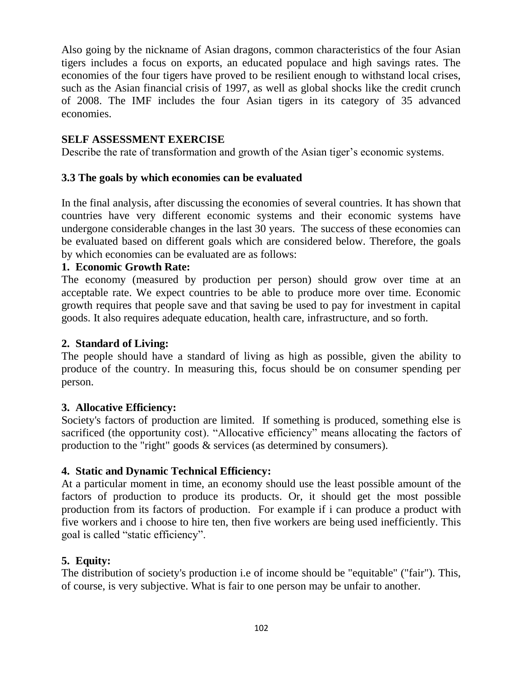Also going by the nickname of Asian dragons, common characteristics of the four Asian tigers includes a focus on exports, an educated populace and high savings rates. The economies of the four tigers have proved to be resilient enough to withstand local crises, such as the Asian financial crisis of 1997, as well as global shocks like the credit crunch of 2008. The IMF includes the four Asian tigers in its category of 35 advanced economies.

# **SELF ASSESSMENT EXERCISE**

Describe the rate of transformation and growth of the Asian tiger's economic systems.

# **3.3 The goals by which economies can be evaluated**

In the final analysis, after discussing the economies of several countries. It has shown that countries have very different economic systems and their economic systems have undergone considerable changes in the last 30 years. The success of these economies can be evaluated based on different goals which are considered below. Therefore, the goals by which economies can be evaluated are as follows:

## **1. Economic Growth Rate:**

The economy (measured by production per person) should grow over time at an acceptable rate. We expect countries to be able to produce more over time. Economic growth requires that people save and that saving be used to pay for investment in capital goods. It also requires adequate education, health care, infrastructure, and so forth.

## **2. Standard of Living:**

The people should have a standard of living as high as possible, given the ability to produce of the country. In measuring this, focus should be on consumer spending per person.

## **3. Allocative Efficiency:**

Society's factors of production are limited. If something is produced, something else is sacrificed (the opportunity cost). "Allocative efficiency" means allocating the factors of production to the "right" goods & services (as determined by consumers).

## **4. Static and Dynamic Technical Efficiency:**

At a particular moment in time, an economy should use the least possible amount of the factors of production to produce its products. Or, it should get the most possible production from its factors of production. For example if i can produce a product with five workers and i choose to hire ten, then five workers are being used inefficiently. This goal is called "static efficiency".

## **5. Equity:**

The distribution of society's production i.e of income should be "equitable" ("fair"). This, of course, is very subjective. What is fair to one person may be unfair to another.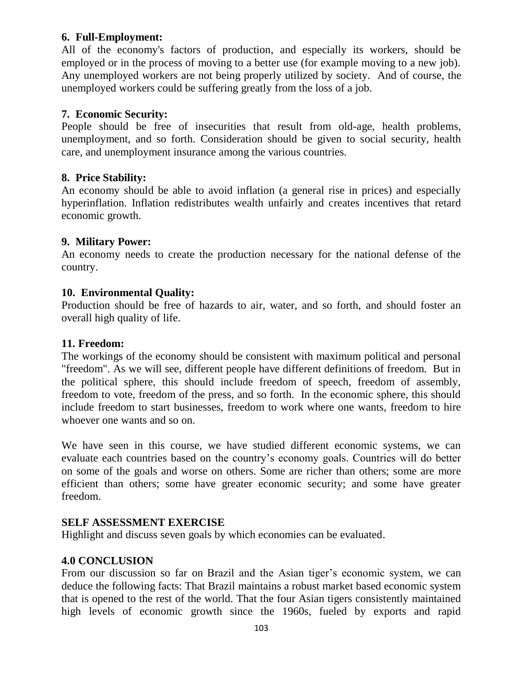### **6. Full-Employment:**

All of the economy's factors of production, and especially its workers, should be employed or in the process of moving to a better use (for example moving to a new job). Any unemployed workers are not being properly utilized by society. And of course, the unemployed workers could be suffering greatly from the loss of a job.

### **7. Economic Security:**

People should be free of insecurities that result from old-age, health problems, unemployment, and so forth. Consideration should be given to social security, health care, and unemployment insurance among the various countries.

### **8. Price Stability:**

An economy should be able to avoid inflation (a general rise in prices) and especially hyperinflation. Inflation redistributes wealth unfairly and creates incentives that retard economic growth.

### **9. Military Power:**

An economy needs to create the production necessary for the national defense of the country.

### **10. Environmental Quality:**

Production should be free of hazards to air, water, and so forth, and should foster an overall high quality of life.

### **11. Freedom:**

The workings of the economy should be consistent with maximum political and personal "freedom". As we will see, different people have different definitions of freedom. But in the political sphere, this should include freedom of speech, freedom of assembly, freedom to vote, freedom of the press, and so forth. In the economic sphere, this should include freedom to start businesses, freedom to work where one wants, freedom to hire whoever one wants and so on.

We have seen in this course, we have studied different economic systems, we can evaluate each countries based on the country's economy goals. Countries will do better on some of the goals and worse on others. Some are richer than others; some are more efficient than others; some have greater economic security; and some have greater freedom.

### **SELF ASSESSMENT EXERCISE**

Highlight and discuss seven goals by which economies can be evaluated.

### **4.0 CONCLUSION**

From our discussion so far on Brazil and the Asian tiger's economic system, we can deduce the following facts: That Brazil maintains a robust market based economic system that is opened to the rest of the world. That the four Asian tigers consistently maintained high levels of economic growth since the 1960s, fueled by exports and rapid